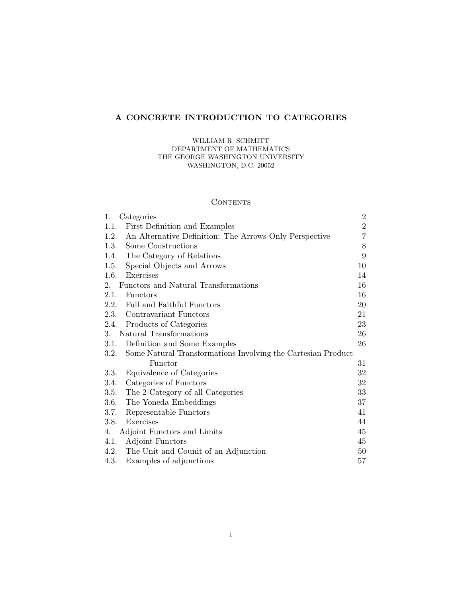# A CONCRETE INTRODUCTION TO CATEGORIES

WILLIAM R. SCHMITT DEPARTMENT OF MATHEMATICS THE GEORGE WASHINGTON UNIVERSITY WASHINGTON, D.C. 20052

## **CONTENTS**

| 1.      | Categories                                                   | $\overline{2}$ |
|---------|--------------------------------------------------------------|----------------|
| 1.1.    | First Definition and Examples                                | $\overline{2}$ |
| 1.2.    | An Alternative Definition: The Arrows-Only Perspective       | 7              |
| 1.3.    | Some Constructions                                           | 8              |
| 1.4.    | The Category of Relations                                    | 9              |
| 1.5.    | Special Objects and Arrows                                   | 10             |
| 1.6.    | Exercises                                                    | 14             |
| $2_{-}$ | Functors and Natural Transformations                         | 16             |
| 2.1.    | <b>Functors</b>                                              | 16             |
| 2.2.    | Full and Faithful Functors                                   | 20             |
|         | 2.3. Contravariant Functors                                  | 21             |
|         | 2.4. Products of Categories                                  | 23             |
| 3.      | Natural Transformations                                      | 26             |
| 3.1.    | Definition and Some Examples                                 | 26             |
| 3.2.    | Some Natural Transformations Involving the Cartesian Product |                |
|         | Functor                                                      | 31             |
| 3.3.    | Equivalence of Categories                                    | 32             |
| 3.4.    | Categories of Functors                                       | 32             |
| 3.5.    | The 2-Category of all Categories                             | 33             |
| 3.6.    | The Yoneda Embeddings                                        | 37             |
| 3.7.    | Representable Functors                                       | 41             |
| 3.8.    | Exercises                                                    | 44             |
| 4.      | Adjoint Functors and Limits                                  | 45             |
| 4.1.    | Adjoint Functors                                             | 45             |
|         | 4.2. The Unit and Counit of an Adjunction                    | 50             |
| 4.3.    | Examples of adjunctions                                      | 57             |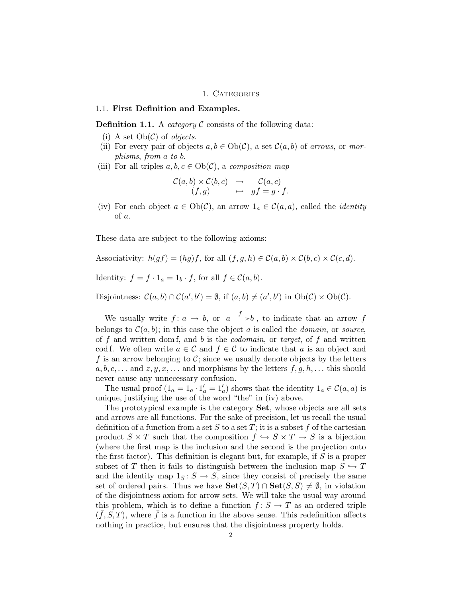#### 1. CATEGORIES

#### 1.1. First Definition and Examples.

**Definition 1.1.** A *category*  $\mathcal C$  consists of the following data:

- (i) A set  $Ob(\mathcal{C})$  of *objects*.
- (ii) For every pair of objects  $a, b \in Ob(\mathcal{C})$ , a set  $\mathcal{C}(a, b)$  of arrows, or morphisms, from a to b.
- (iii) For all triples  $a, b, c \in Ob(\mathcal{C})$ , a composition map

$$
\begin{array}{ccc}\n\mathcal{C}(a,b) \times \mathcal{C}(b,c) & \rightarrow & \mathcal{C}(a,c) \\
(f,g) & \mapsto & gf = g \cdot f.\n\end{array}
$$

(iv) For each object  $a \in Ob(\mathcal{C})$ , an arrow  $1_a \in \mathcal{C}(a,a)$ , called the *identity* of a.

These data are subject to the following axioms:

Associativity:  $h(gf) = (hg)f$ , for all  $(f, g, h) \in C(a, b) \times C(b, c) \times C(c, d)$ .

Identity:  $f = f \cdot 1_a = 1_b \cdot f$ , for all  $f \in \mathcal{C}(a, b)$ .

Disjointness:  $C(a, b) \cap C(a', b') = \emptyset$ , if  $(a, b) \neq (a', b')$  in  $Ob(C) \times Ob(C)$ .

We usually write  $f: a \to b$ , or  $a \stackrel{f}{\longrightarrow} b$ , to indicate that an arrow f belongs to  $\mathcal{C}(a, b)$ ; in this case the object a is called the *domain*, or *source*, of f and written dom f, and b is the *codomain*, or target, of f and written cod f. We often write  $a \in \mathcal{C}$  and  $f \in \mathcal{C}$  to indicate that a is an object and f is an arrow belonging to  $\mathcal{C}$ ; since we usually denote objects by the letters  $a, b, c, \ldots$  and  $z, y, x, \ldots$  and morphisms by the letters  $f, g, h, \ldots$  this should never cause any unnecessary confusion.

The usual proof  $(1_a = 1_a \cdot 1'_a = 1'_a)$  shows that the identity  $1_a \in \mathcal{C}(a, a)$  is unique, justifying the use of the word "the" in (iv) above.

The prototypical example is the category **Set**, whose objects are all sets and arrows are all functions. For the sake of precision, let us recall the usual definition of a function from a set S to a set T; it is a subset f of the cartesian product  $S \times T$  such that the composition  $f \hookrightarrow S \times T \to S$  is a bijection (where the first map is the inclusion and the second is the projection onto the first factor). This definition is elegant but, for example, if  $S$  is a proper subset of T then it fails to distinguish between the inclusion map  $S \hookrightarrow T$ and the identity map  $1_S : S \to S$ , since they consist of precisely the same set of ordered pairs. Thus we have  $\text{Set}(S, T) \cap \text{Set}(S, S) \neq \emptyset$ , in violation of the disjointness axiom for arrow sets. We will take the usual way around this problem, which is to define a function  $f: S \to T$  as an ordered triple  $(\bar{f}, \bar{S}, T)$ , where  $\bar{f}$  is a function in the above sense. This redefinition affects nothing in practice, but ensures that the disjointness property holds.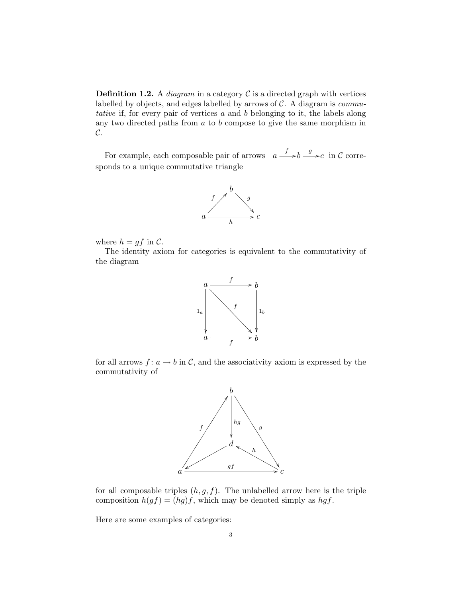**Definition 1.2.** A *diagram* in a category  $\mathcal{C}$  is a directed graph with vertices labelled by objects, and edges labelled by arrows of  $C$ . A diagram is *commu*tative if, for every pair of vertices a and b belonging to it, the labels along any two directed paths from  $a$  to  $b$  compose to give the same morphism in  $\mathcal{C}.$ 

For example, each composable pair of arrows  $a \xrightarrow{f} b \xrightarrow{g} c$  in C corresponds to a unique commutative triangle



where  $h = gf$  in C.

The identity axiom for categories is equivalent to the commutativity of the diagram



for all arrows  $f: a \to b$  in C, and the associativity axiom is expressed by the commutativity of



for all composable triples  $(h, g, f)$ . The unlabelled arrow here is the triple composition  $h(gf) = (hg)f$ , which may be denoted simply as  $hgf$ .

Here are some examples of categories: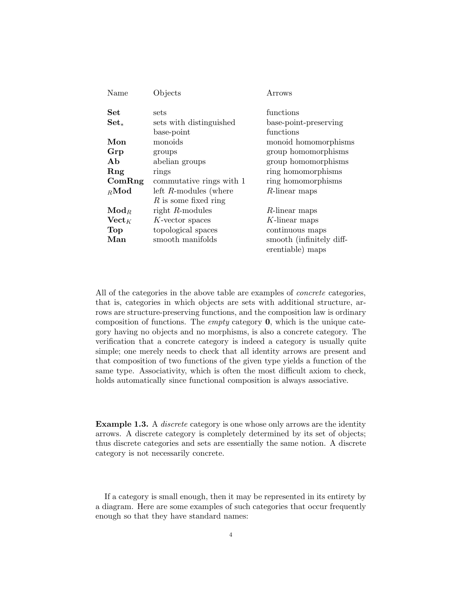| Name                               | Objects                  | Arrows                   |
|------------------------------------|--------------------------|--------------------------|
| Set                                | sets                     | functions                |
| $\mathbf{Set}_{\ast}$              | sets with distinguished  | base-point-preserving    |
|                                    | base-point               | functions                |
| Mon                                | monoids                  | monoid homomorphisms     |
| Grp                                | groups                   | group homomorphisms      |
| Ab                                 | abelian groups           | group homomorphisms      |
| Rng                                | rings                    | ring homomorphisms       |
| ComRng                             | commutative rings with 1 | ring homomorphisms       |
| $_R$ Mod                           | left $R$ -modules (where | $R$ -linear maps         |
|                                    | $R$ is some fixed ring   |                          |
| $\mathbf{Mod}_R$                   | right $R$ -modules       | $R$ -linear maps         |
| $\operatorname{\mathbf{Vect}}_{K}$ | $K$ -vector spaces       | $K$ -linear maps         |
| Top                                | topological spaces       | continuous maps          |
| Man                                | smooth manifolds         | smooth (infinitely diff- |
|                                    |                          | erentiable) maps         |

All of the categories in the above table are examples of concrete categories, that is, categories in which objects are sets with additional structure, arrows are structure-preserving functions, and the composition law is ordinary composition of functions. The *empty* category  $\bf{0}$ , which is the unique category having no objects and no morphisms, is also a concrete category. The verification that a concrete category is indeed a category is usually quite simple; one merely needs to check that all identity arrows are present and that composition of two functions of the given type yields a function of the same type. Associativity, which is often the most difficult axiom to check, holds automatically since functional composition is always associative.

Example 1.3. A *discrete* category is one whose only arrows are the identity arrows. A discrete category is completely determined by its set of objects; thus discrete categories and sets are essentially the same notion. A discrete category is not necessarily concrete.

If a category is small enough, then it may be represented in its entirety by a diagram. Here are some examples of such categories that occur frequently enough so that they have standard names: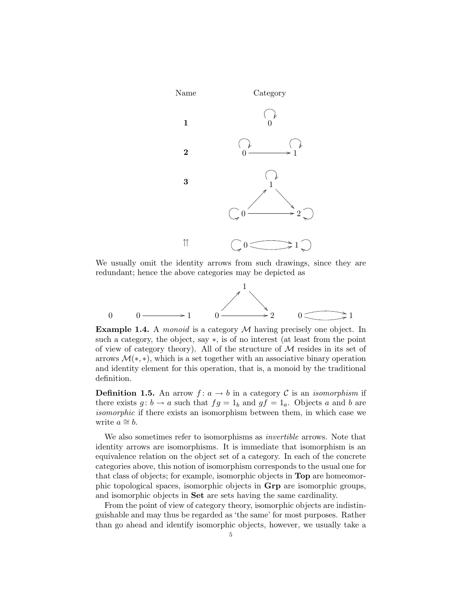

We usually omit the identity arrows from such drawings, since they are redundant; hence the above categories may be depicted as



**Example 1.4.** A *monoid* is a category  $M$  having precisely one object. In such a category, the object, say ∗, is of no interest (at least from the point of view of category theory). All of the structure of  $\mathcal M$  resides in its set of arrows  $\mathcal{M}(*,*)$ , which is a set together with an associative binary operation and identity element for this operation, that is, a monoid by the traditional definition.

**Definition 1.5.** An arrow  $f: a \rightarrow b$  in a category C is an *isomorphism* if there exists  $g: b \to a$  such that  $fg = 1_b$  and  $gf = 1_a$ . Objects a and b are isomorphic if there exists an isomorphism between them, in which case we write  $a \cong b$ .

We also sometimes refer to isomorphisms as *invertible* arrows. Note that identity arrows are isomorphisms. It is immediate that isomorphism is an equivalence relation on the object set of a category. In each of the concrete categories above, this notion of isomorphism corresponds to the usual one for that class of objects; for example, isomorphic objects in Top are homeomorphic topological spaces, isomorphic objects in Grp are isomorphic groups, and isomorphic objects in Set are sets having the same cardinality.

From the point of view of category theory, isomorphic objects are indistinguishable and may thus be regarded as 'the same' for most purposes. Rather than go ahead and identify isomorphic objects, however, we usually take a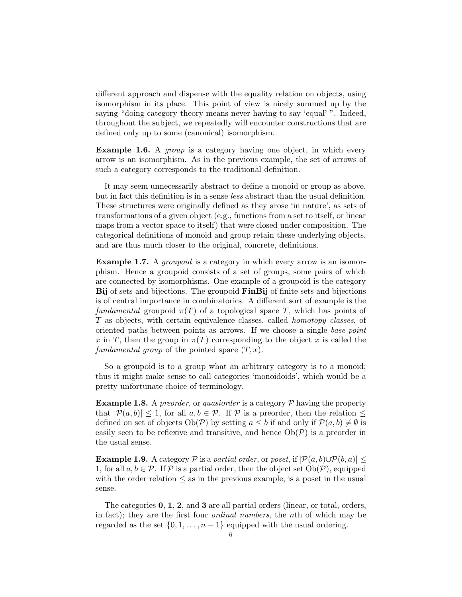different approach and dispense with the equality relation on objects, using isomorphism in its place. This point of view is nicely summed up by the saying "doing category theory means never having to say 'equal' ". Indeed, throughout the subject, we repeatedly will encounter constructions that are defined only up to some (canonical) isomorphism.

Example 1.6. A *group* is a category having one object, in which every arrow is an isomorphism. As in the previous example, the set of arrows of such a category corresponds to the traditional definition.

It may seem unnecessarily abstract to define a monoid or group as above, but in fact this definition is in a sense less abstract than the usual definition. These structures were originally defined as they arose 'in nature', as sets of transformations of a given object (e.g., functions from a set to itself, or linear maps from a vector space to itself) that were closed under composition. The categorical definitions of monoid and group retain these underlying objects, and are thus much closer to the original, concrete, definitions.

Example 1.7. A *groupoid* is a category in which every arrow is an isomorphism. Hence a groupoid consists of a set of groups, some pairs of which are connected by isomorphisms. One example of a groupoid is the category Bij of sets and bijections. The groupoid FinBij of finite sets and bijections is of central importance in combinatorics. A different sort of example is the fundamental groupoid  $\pi(T)$  of a topological space T, which has points of T as objects, with certain equivalence classes, called homotopy classes, of oriented paths between points as arrows. If we choose a single base-point x in T, then the group in  $\pi(T)$  corresponding to the object x is called the fundamental group of the pointed space  $(T, x)$ .

So a groupoid is to a group what an arbitrary category is to a monoid; thus it might make sense to call categories 'monoidoids', which would be a pretty unfortunate choice of terminology.

**Example 1.8.** A preorder, or quasionalistic stategory  $\mathcal{P}$  having the property that  $|\mathcal{P}(a, b)| \leq 1$ , for all  $a, b \in \mathcal{P}$ . If  $\mathcal P$  is a preorder, then the relation  $\leq$ defined on set of objects  $Ob(\mathcal{P})$  by setting  $a \leq b$  if and only if  $\mathcal{P}(a, b) \neq \emptyset$  is easily seen to be reflexive and transitive, and hence  $Ob(\mathcal{P})$  is a preorder in the usual sense.

**Example 1.9.** A category  $\mathcal{P}$  is a partial order, or poset, if  $|\mathcal{P}(a, b) \cup \mathcal{P}(b, a)|$ 1, for all  $a, b \in \mathcal{P}$ . If  $\mathcal P$  is a partial order, then the object set  $Ob(\mathcal P)$ , equipped with the order relation  $\leq$  as in the previous example, is a poset in the usual sense.

The categories  $0, 1, 2$ , and 3 are all partial orders (linear, or total, orders, in fact); they are the first four ordinal numbers, the nth of which may be regarded as the set  $\{0, 1, \ldots, n-1\}$  equipped with the usual ordering.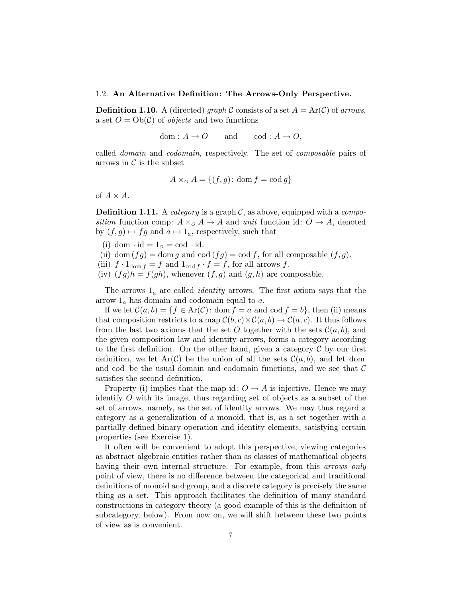#### 1.2. An Alternative Definition: The Arrows-Only Perspective.

**Definition 1.10.** A (directed) graph C consists of a set  $A = \text{Ar}(\mathcal{C})$  of arrows, a set  $O = Ob(\mathcal{C})$  of *objects* and two functions

dom :  $A \to O$  and cod :  $A \to O$ ,

called domain and codomain, respectively. The set of composable pairs of arrows in  $\mathcal C$  is the subset

$$
A \times_{\mathcal{O}} A = \{(f, g) : \text{dom } f = \text{cod } g\}
$$

of  $A \times A$ .

**Definition 1.11.** A *category* is a graph  $\mathcal{C}$ , as above, equipped with a *compo*sition function comp:  $A \times_{\scriptscriptstyle O} A \to A$  and unit function id:  $O \to A$ , denoted by  $(f, g) \mapsto fg$  and  $a \mapsto 1_a$ , respectively, such that

(i) dom  $\cdot$  id =  $1<sub>O</sub>$  = cod  $\cdot$  id.

(ii) dom  $(fg) = \text{dom } g$  and  $\text{cod } (fg) = \text{cod } f$ , for all composable  $(f, g)$ .

(iii)  $f \cdot 1_{\text{dom } f} = f$  and  $1_{\text{cod } f} \cdot f = f$ , for all arrows  $f$ .

(iv)  $(fg)h = f(gh)$ , whenever  $(f, g)$  and  $(g, h)$  are composable.

The arrows  $1_a$  are called *identity* arrows. The first axiom says that the arrow  $1_a$  has domain and codomain equal to  $a$ .

If we let  $\mathcal{C}(a, b) = \{f \in \text{Ar}(\mathcal{C}) : \text{dom } f = a \text{ and } \text{cod } f = b\}$ , then (ii) means that composition restricts to a map  $C(b, c) \times C(a, b) \rightarrow C(a, c)$ . It thus follows from the last two axioms that the set O together with the sets  $\mathcal{C}(a, b)$ , and the given composition law and identity arrows, forms a category according to the first definition. On the other hand, given a category  $\mathcal C$  by our first definition, we let  $\text{Ar}(\mathcal{C})$  be the union of all the sets  $\mathcal{C}(a, b)$ , and let dom and cod be the usual domain and codomain functions, and we see that  $\mathcal C$ satisfies the second definition.

Property (i) implies that the map id:  $O \rightarrow A$  is injective. Hence we may identify O with its image, thus regarding set of objects as a subset of the set of arrows, namely, as the set of identity arrows. We may thus regard a category as a generalization of a monoid, that is, as a set together with a partially defined binary operation and identity elements, satisfying certain properties (see Exercise 1).

It often will be convenient to adopt this perspective, viewing categories as abstract algebraic entities rather than as classes of mathematical objects having their own internal structure. For example, from this *arrows only* point of view, there is no difference between the categorical and traditional definitions of monoid and group, and a discrete category is precisely the same thing as a set. This approach facilitates the definition of many standard constructions in category theory (a good example of this is the definition of subcategory, below). From now on, we will shift between these two points of view as is convenient.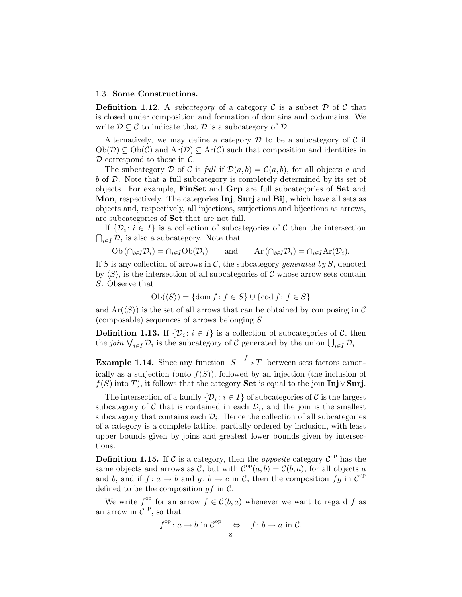## 1.3. Some Constructions.

**Definition 1.12.** A *subcategory* of a category C is a subset D of C that is closed under composition and formation of domains and codomains. We write  $\mathcal{D} \subseteq \mathcal{C}$  to indicate that  $\mathcal{D}$  is a subcategory of  $\mathcal{D}$ .

Alternatively, we may define a category  $D$  to be a subcategory of  $C$  if  $Ob(\mathcal{D}) \subseteq Ob(\mathcal{C})$  and  $Ar(\mathcal{D}) \subseteq Ar(\mathcal{C})$  such that composition and identities in  $\mathcal D$  correspond to those in  $\mathcal C$ .

The subcategory D of C is full if  $\mathcal{D}(a, b) = \mathcal{C}(a, b)$ , for all objects a and b of D. Note that a full subcategory is completely determined by its set of objects. For example, FinSet and Grp are full subcategories of Set and Mon, respectively. The categories Inj, Surj and Bij, which have all sets as objects and, respectively, all injections, surjections and bijections as arrows, are subcategories of Set that are not full.

If  $\{\mathcal{D}_i : i \in I\}$  is a collection of subcategories of C then the intersection  $\bigcap_{i\in I} \mathcal{D}_i$  is also a subcategory. Note that

Ob 
$$
(\bigcap_{i\in I} \mathcal{D}_i) = \bigcap_{i\in I} Ob(\mathcal{D}_i)
$$
 and  $Ar(\bigcap_{i\in I} \mathcal{D}_i) = \bigcap_{i\in I} Ar(\mathcal{D}_i)$ .

If S is any collection of arrows in  $\mathcal{C}$ , the subcategory generated by S, denoted by  $\langle S \rangle$ , is the intersection of all subcategories of C whose arrow sets contain S. Observe that

$$
Ob(\langle S \rangle) = \{ dom f : f \in S \} \cup \{ cod f : f \in S \}
$$

and  $\text{Ar}(\langle S \rangle)$  is the set of all arrows that can be obtained by composing in C (composable) sequences of arrows belonging S.

**Definition 1.13.** If  $\{\mathcal{D}_i : i \in I\}$  is a collection of subcategories of  $\mathcal{C}$ , then the join  $\bigvee_{i\in I} \mathcal{D}_i$  is the subcategory of C generated by the union  $\bigcup_{i\in I} \mathcal{D}_i$ .

**Example 1.14.** Since any function  $S \rightarrow Y$  between sets factors canonically as a surjection (onto  $f(S)$ ), followed by an injection (the inclusion of  $f(S)$  into T), it follows that the category Set is equal to the join Inj∨Surj.

The intersection of a family  $\{\mathcal{D}_i : i \in I\}$  of subcategories of C is the largest subcategory of  $C$  that is contained in each  $\mathcal{D}_i$ , and the join is the smallest subcategory that contains each  $\mathcal{D}_i$ . Hence the collection of all subcategories of a category is a complete lattice, partially ordered by inclusion, with least upper bounds given by joins and greatest lower bounds given by intersections.

**Definition 1.15.** If C is a category, then the *opposite* category  $\mathcal{C}^{\text{op}}$  has the same objects and arrows as C, but with  $\mathcal{C}^{\text{op}}(a, b) = \mathcal{C}(b, a)$ , for all objects a and b, and if  $f: a \to b$  and  $g: b \to c$  in C, then the composition  $fg$  in  $\mathcal{C}^{\text{op}}$ defined to be the composition  $gf$  in  $\mathcal{C}$ .

We write  $f^{\text{op}}$  for an arrow  $f \in \mathcal{C}(b, a)$  whenever we want to regard f as an arrow in  $\mathcal{C}^{\mathrm{op}}$ , so that

$$
f^{\text{op}}: a \to b \text{ in } C^{\text{op}} \iff f: b \to a \text{ in } C.
$$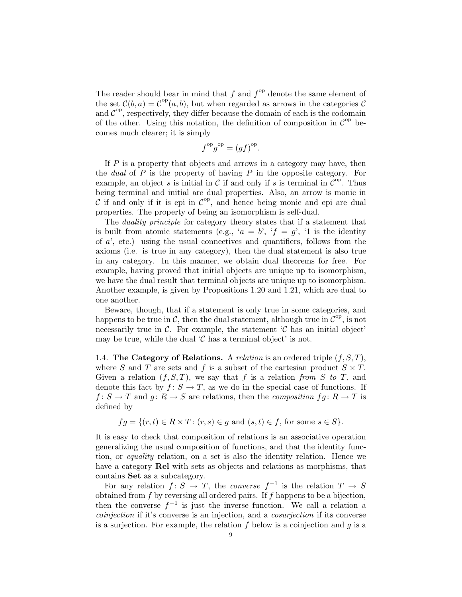The reader should bear in mind that  $f$  and  $f^{\text{op}}$  denote the same element of the set  $\mathcal{C}(b,a) = \mathcal{C}^{\text{op}}(a,b)$ , but when regarded as arrows in the categories  $\mathcal{C}$ and  $\mathcal{C}^{\text{op}}$ , respectively, they differ because the domain of each is the codomain of the other. Using this notation, the definition of composition in  $\mathcal{C}^{\mathrm{op}}$  becomes much clearer; it is simply

$$
f^{\rm op}g^{\rm op} = (gf)^{\rm op}.
$$

If  $P$  is a property that objects and arrows in a category may have, then the *dual* of  $P$  is the property of having  $P$  in the opposite category. For example, an object s is initial in C if and only if s is terminal in  $\mathcal{C}^{\text{op}}$ . Thus being terminal and initial are dual properties. Also, an arrow is monic in  $\mathcal C$  if and only if it is epi in  $\mathcal C^{op}$ , and hence being monic and epi are dual properties. The property of being an isomorphism is self-dual.

The *duality principle* for category theory states that if a statement that is built from atomic statements (e.g., ' $a = b$ ', ' $f = g$ ', '1 is the identity of  $a'$ , etc.) using the usual connectives and quantifiers, follows from the axioms (i.e. is true in any category), then the dual statement is also true in any category. In this manner, we obtain dual theorems for free. For example, having proved that initial objects are unique up to isomorphism, we have the dual result that terminal objects are unique up to isomorphism. Another example, is given by Propositions 1.20 and 1.21, which are dual to one another.

Beware, though, that if a statement is only true in some categories, and happens to be true in  $\mathcal{C}$ , then the dual statement, although true in  $\mathcal{C}^{\text{op}}$ , is not necessarily true in  $\mathcal{C}$ . For example, the statement  $\mathcal{C}$  has an initial object' may be true, while the dual  $\mathcal C$  has a terminal object' is not.

1.4. The Category of Relations. A relation is an ordered triple  $(f, S, T)$ , where S and T are sets and f is a subset of the cartesian product  $S \times T$ . Given a relation  $(f, S, T)$ , we say that f is a relation from S to T, and denote this fact by  $f: S \to T$ , as we do in the special case of functions. If  $f: S \to T$  and  $g: R \to S$  are relations, then the *composition*  $fg: R \to T$  is defined by

$$
fg = \{(r, t) \in R \times T : (r, s) \in g \text{ and } (s, t) \in f, \text{ for some } s \in S\}.
$$

It is easy to check that composition of relations is an associative operation generalizing the usual composition of functions, and that the identity function, or equality relation, on a set is also the identity relation. Hence we have a category Rel with sets as objects and relations as morphisms, that contains Set as a subcategory.

For any relation  $f: S \to T$ , the *converse*  $f^{-1}$  is the relation  $T \to S$ obtained from f by reversing all ordered pairs. If f happens to be a bijection, then the converse  $f^{-1}$  is just the inverse function. We call a relation a coinjection if it's converse is an injection, and a cosurjection if its converse is a surjection. For example, the relation  $f$  below is a coinjection and  $q$  is a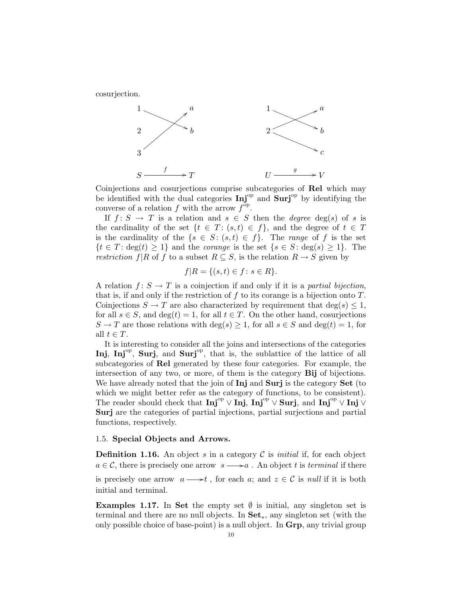cosurjection.



Coinjections and cosurjections comprise subcategories of Rel which may be identified with the dual categories  $\text{Inj}^{\text{op}}$  and  $\text{Surj}^{\text{op}}$  by identifying the converse of a relation  $f$  with the arrow  $f^{\text{op}}$ .

If  $f: S \to T$  is a relation and  $s \in S$  then the *degree* deg(s) of s is the cardinality of the set  $\{t \in T : (s,t) \in f\}$ , and the degree of  $t \in T$ is the cardinality of the  $\{s \in S : (s,t) \in f\}$ . The range of f is the set  $\{t \in T : deg(t) \geq 1\}$  and the *corange* is the set  $\{s \in S : deg(s) \geq 1\}$ . The *restriction*  $f|R$  of f to a subset  $R \subseteq S$ , is the relation  $R \to S$  given by

$$
f|R = \{(s, t) \in f : s \in R\}.
$$

A relation  $f: S \to T$  is a coinjection if and only if it is a partial bijection, that is, if and only if the restriction of  $f$  to its corange is a bijection onto  $T$ . Coinjections  $S \to T$  are also characterized by requirement that deg(s)  $\leq 1$ , for all  $s \in S$ , and  $\deg(t) = 1$ , for all  $t \in T$ . On the other hand, cosurjections  $S \to T$  are those relations with  $\deg(s) \geq 1$ , for all  $s \in S$  and  $\deg(t) = 1$ , for all  $t \in T$ .

It is interesting to consider all the joins and intersections of the categories Inj, Inj<sup>op</sup>, Surj, and Surj<sup>op</sup>, that is, the sublattice of the lattice of all subcategories of Rel generated by these four categories. For example, the intersection of any two, or more, of them is the category Bij of bijections. We have already noted that the join of **Inj** and **Surj** is the category **Set** (to which we might better refer as the category of functions, to be consistent). The reader should check that  $\text{Inj}^{\text{op}} \vee \text{Inj}$ ,  $\text{Inj}^{\text{op}} \vee \text{Surj}$ , and  $\text{Inj}^{\text{op}} \vee \text{Inj} \vee$ Surj are the categories of partial injections, partial surjections and partial functions, respectively.

## 1.5. Special Objects and Arrows.

**Definition 1.16.** An object s in a category C is *initial* if, for each object  $a \in \mathcal{C}$ , there is precisely one arrow  $s \longrightarrow a$ . An object t is terminal if there is precisely one arrow  $a \longrightarrow t$ , for each  $a$ ; and  $z \in \mathcal{C}$  is null if it is both initial and terminal.

Examples 1.17. In Set the empty set  $\emptyset$  is initial, any singleton set is terminal and there are no null objects. In  $Set_{\ast}$ , any singleton set (with the only possible choice of base-point) is a null object. In Grp, any trivial group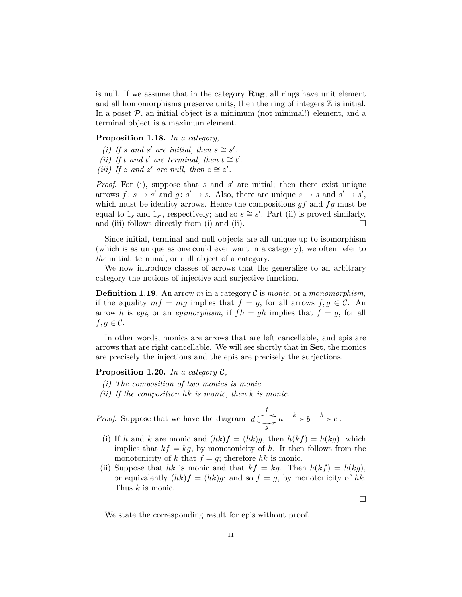is null. If we assume that in the category Rng, all rings have unit element and all homomorphisms preserve units, then the ring of integers  $\mathbb Z$  is initial. In a poset  $\mathcal{P}$ , an initial object is a minimum (not minimal!) element, and a terminal object is a maximum element.

## Proposition 1.18. In a category,

- (i) If s and s' are initial, then  $s \cong s'$ .
- (ii) If t and t' are terminal, then  $t \cong t'$ .
- (iii) If z and z' are null, then  $z \cong z'$ .

*Proof.* For (i), suppose that s and s' are initial; then there exist unique arrows  $f: s \to s'$  and  $g: s' \to s$ . Also, there are unique  $s \to s$  and  $s' \to s'$ , which must be identity arrows. Hence the compositions  $gf$  and  $fg$  must be equal to  $1_s$  and  $1_{s'}$ , respectively; and so  $s \cong s'$ . Part (ii) is proved similarly, and (iii) follows directly from (i) and (ii).  $\Box$ 

Since initial, terminal and null objects are all unique up to isomorphism (which is as unique as one could ever want in a category), we often refer to the initial, terminal, or null object of a category.

We now introduce classes of arrows that the generalize to an arbitrary category the notions of injective and surjective function.

**Definition 1.19.** An arrow m in a category  $\mathcal{C}$  is monic, or a monomorphism, if the equality  $mf = mg$  implies that  $f = g$ , for all arrows  $f, g \in C$ . An arrow h is epi, or an epimorphism, if  $fh = gh$  implies that  $f = g$ , for all  $f, g \in \mathcal{C}$ .

In other words, monics are arrows that are left cancellable, and epis are arrows that are right cancellable. We will see shortly that in Set, the monics are precisely the injections and the epis are precisely the surjections.

# **Proposition 1.20.** In a category  $C$ ,

- (i) The composition of two monics is monic.
- (ii) If the composition  $hk$  is monic, then  $k$  is monic.

*Proof.* Suppose that we have the diagram  $d$ f g  $a \xrightarrow{k} b \xrightarrow{h} c.$ 

- (i) If h and k are monic and  $(hk)f = (hk)g$ , then  $h(kf) = h(kg)$ , which implies that  $kf = kg$ , by monotonicity of h. It then follows from the monotonicity of k that  $f = g$ ; therefore hk is monic.
- (ii) Suppose that hk is monic and that  $kf = kg$ . Then  $h(kf) = h(kg)$ , or equivalently  $(hk)f = (hk)g$ ; and so  $f = g$ , by monotonicity of hk. Thus k is monic.

 $\Box$ 

We state the corresponding result for epis without proof.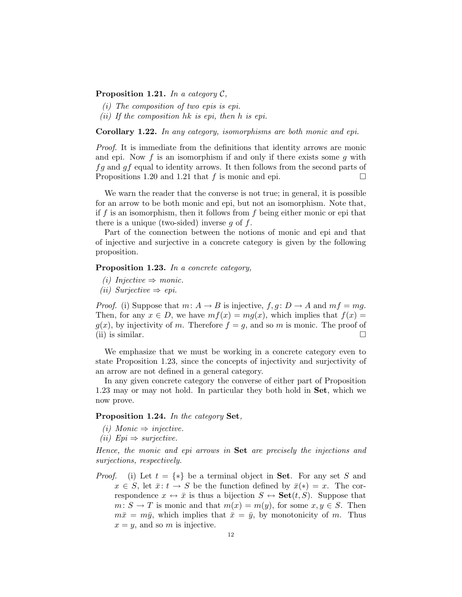## **Proposition 1.21.** In a category  $\mathcal{C}$ ,

- (i) The composition of two epis is epi.
- (ii) If the composition hk is epi, then h is epi.

# Corollary 1.22. In any category, isomorphisms are both monic and epi.

Proof. It is immediate from the definitions that identity arrows are monic and epi. Now  $f$  is an isomorphism if and only if there exists some  $g$  with  $f\bar{q}$  and  $g\bar{f}$  equal to identity arrows. It then follows from the second parts of Propositions 1.20 and 1.21 that f is monic and epi.  $\Box$ 

We warn the reader that the converse is not true; in general, it is possible for an arrow to be both monic and epi, but not an isomorphism. Note that, if f is an isomorphism, then it follows from f being either monic or epi that there is a unique (two-sided) inverse  $q$  of  $f$ .

Part of the connection between the notions of monic and epi and that of injective and surjective in a concrete category is given by the following proposition.

Proposition 1.23. In a concrete category,

- (*i*) Injective  $\Rightarrow$  monic.
- (*ii*) Surjective  $\Rightarrow$  epi.

*Proof.* (i) Suppose that  $m: A \to B$  is injective,  $f, g: D \to A$  and  $mf = mg$ . Then, for any  $x \in D$ , we have  $mf(x) = mg(x)$ , which implies that  $f(x) =$  $g(x)$ , by injectivity of m. Therefore  $f = g$ , and so m is monic. The proof of (ii) is similar.

We emphasize that we must be working in a concrete category even to state Proposition 1.23, since the concepts of injectivity and surjectivity of an arrow are not defined in a general category.

In any given concrete category the converse of either part of Proposition 1.23 may or may not hold. In particular they both hold in Set, which we now prove.

## Proposition 1.24. In the category Set,

- $(i)$  Monic  $\Rightarrow$  injective.
- (*ii*)  $Epi \Rightarrow$  surjective.

Hence, the monic and epi arrows in Set are precisely the injections and surjections, respectively.

*Proof.* (i) Let  $t = \{*\}$  be a terminal object in **Set**. For any set S and  $x \in S$ , let  $\bar{x}: t \to S$  be the function defined by  $\bar{x}(*) = x$ . The correspondence  $x \leftrightarrow \bar{x}$  is thus a bijection  $S \leftrightarrow$  **Set** $(t, S)$ . Suppose that  $m: S \to T$  is monic and that  $m(x) = m(y)$ , for some  $x, y \in S$ . Then  $m\bar{x} = m\bar{y}$ , which implies that  $\bar{x} = \bar{y}$ , by monotonicity of m. Thus  $x = y$ , and so m is injective.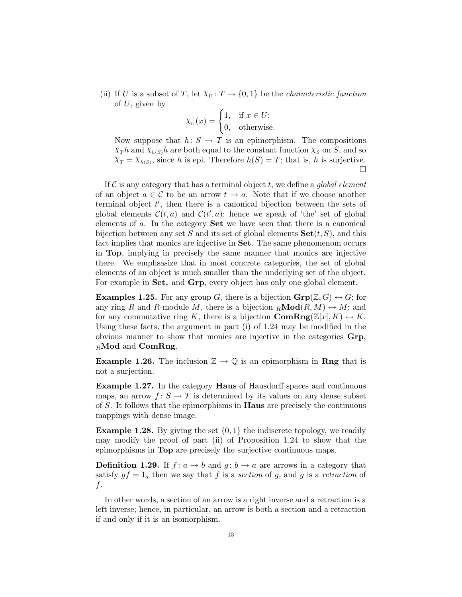(ii) If U is a subset of T, let  $\chi_U : T \to \{0,1\}$  be the *characteristic function* of  $U$ , given by

$$
\chi_U(x) = \begin{cases} 1, & \text{if } x \in U; \\ 0, & \text{otherwise.} \end{cases}
$$

Now suppose that  $h: S \to T$  is an epimorphism. The compositions  $\chi_{T}h$  and  $\chi_{h(S)}h$  are both equal to the constant function  $\chi_{S}$  on S, and so  $\chi_T = \chi_{h(S)}$ , since h is epi. Therefore  $h(S) = T$ ; that is, h is surjective.  $\Box$ 

If  $\mathcal C$  is any category that has a terminal object t, we define a global element of an object  $a \in \mathcal{C}$  to be an arrow  $t \to a$ . Note that if we choose another terminal object  $t'$ , then there is a canonical bijection between the sets of global elements  $\mathcal{C}(t,a)$  and  $\mathcal{C}(t',a)$ ; hence we speak of 'the' set of global elements of a. In the category Set we have seen that there is a canonical bijection between any set S and its set of global elements  $\textbf{Set}(t, S)$ , and this fact implies that monics are injective in Set. The same phenomenom occurs in Top, implying in precisely the same manner that monics are injective there. We emphsasize that in most concrete categories, the set of global elements of an object is much smaller than the underlying set of the object. For example in  $Set_*$  and  $Grp$ , every object has only one global element.

**Examples 1.25.** For any group G, there is a bijection  $\mathbf{Grp}(\mathbb{Z}, G) \leftrightarrow G$ ; for any ring R and R-module M, there is a bijection  $_R\text{Mod}(R, M) \leftrightarrow M$ ; and for any commutative ring K, there is a bijection  $\mathbf{ComRng}(\mathbb{Z}[x], K) \leftrightarrow K$ . Using these facts, the argument in part (i) of 1.24 may be modified in the obvious manner to show that monics are injective in the categories Grp,  $_R$ Mod and ComRng.

**Example 1.26.** The inclusion  $\mathbb{Z} \to \mathbb{Q}$  is an epimorphism in **Rng** that is not a surjection.

Example 1.27. In the category Haus of Hausdorff spaces and continuous maps, an arrow  $f: S \to T$  is determined by its values on any dense subset of S. It follows that the epimorphisms in Haus are precisely the continuous mappings with dense image.

**Example 1.28.** By giving the set  $\{0, 1\}$  the indiscrete topology, we readily may modify the proof of part (ii) of Proposition 1.24 to show that the epimorphisms in Top are precisely the surjective continuous maps.

**Definition 1.29.** If  $f: a \to b$  and  $q: b \to a$  are arrows in a category that satisfy  $gf = 1_a$  then we say that f is a section of g, and g is a retraction of f.

In other words, a section of an arrow is a right inverse and a retraction is a left inverse; hence, in particular, an arrow is both a section and a retraction if and only if it is an isomorphism.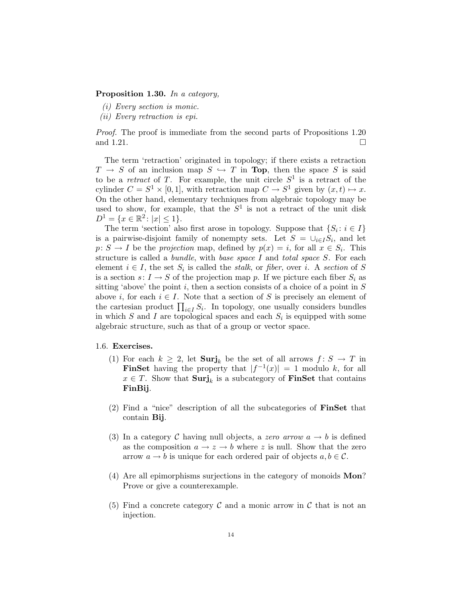## Proposition 1.30. In a category,

- (i) Every section is monic.
- (ii) Every retraction is epi.

Proof. The proof is immediate from the second parts of Propositions 1.20 and 1.21.

The term 'retraction' originated in topology; if there exists a retraction  $T \rightarrow S$  of an inclusion map  $S \hookrightarrow T$  in Top, then the space S is said to be a *retract* of T. For example, the unit circle  $S<sup>1</sup>$  is a retract of the cylinder  $C = S^1 \times [0,1]$ , with retraction map  $C \to S^1$  given by  $(x,t) \mapsto x$ . On the other hand, elementary techniques from algebraic topology may be used to show, for example, that the  $S^1$  is not a retract of the unit disk  $D^1 = \{x \in \mathbb{R}^2 \colon |x| \le 1\}.$ 

The term 'section' also first arose in topology. Suppose that  $\{S_i : i \in I\}$ is a pairwise-disjoint family of nonempty sets. Let  $S = \bigcup_{i \in I} S_i$ , and let  $p: S \to I$  be the projection map, defined by  $p(x) = i$ , for all  $x \in S_i$ . This structure is called a *bundle*, with *base space* I and *total space* S. For each element  $i \in I$ , the set  $S_i$  is called the *stalk*, or *fiber*, over i. A *section* of S is a section  $s: I \to S$  of the projection map p. If we picture each fiber  $S_i$  as sitting 'above' the point i, then a section consists of a choice of a point in  $S$ above i, for each  $i \in I$ . Note that a section of S is precisely an element of the cartesian product  $\prod_{i\in I} S_i$ . In topology, one usually considers bundles in which  $S$  and  $I$  are topological spaces and each  $S_i$  is equipped with some algebraic structure, such as that of a group or vector space.

## 1.6. Exercises.

- (1) For each  $k \geq 2$ , let  $\text{Surj}_k$  be the set of all arrows  $f: S \to T$  in **FinSet** having the property that  $|f^{-1}(x)| = 1$  modulo k, for all  $x \in T$ . Show that  $\textbf{Surj}_k$  is a subcategory of **FinSet** that contains FinBij.
- (2) Find a "nice" description of all the subcategories of FinSet that contain Bij.
- (3) In a category C having null objects, a zero arrow  $a \rightarrow b$  is defined as the composition  $a \to z \to b$  where z is null. Show that the zero arrow  $a \to b$  is unique for each ordered pair of objects  $a, b \in \mathcal{C}$ .
- (4) Are all epimorphisms surjections in the category of monoids Mon? Prove or give a counterexample.
- (5) Find a concrete category  $\mathcal C$  and a monic arrow in  $\mathcal C$  that is not an injection.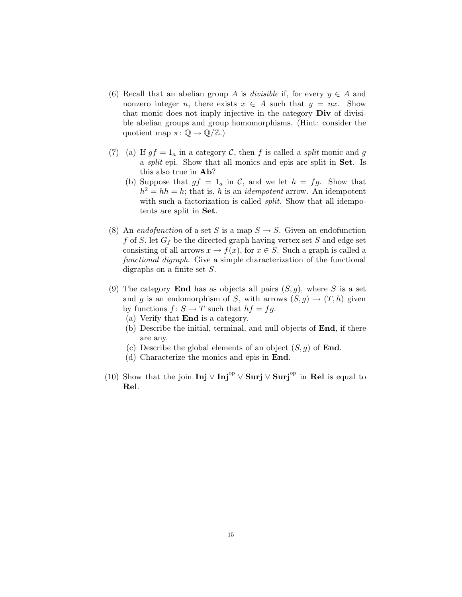- (6) Recall that an abelian group A is *divisible* if, for every  $y \in A$  and nonzero integer n, there exists  $x \in A$  such that  $y = nx$ . Show that monic does not imply injective in the category Div of divisible abelian groups and group homomorphisms. (Hint: consider the quotient map  $\pi \colon \mathbb{Q} \to \mathbb{Q}/\mathbb{Z}$ .)
- (7) (a) If  $gf = 1_a$  in a category C, then f is called a *split* monic and g a split epi. Show that all monics and epis are split in Set. Is this also true in Ab?
	- (b) Suppose that  $gf = 1_a$  in C, and we let  $h = fg$ . Show that  $h^2 = hh = h$ ; that is, h is an *idempotent* arrow. An idempotent with such a factorization is called *split*. Show that all idempotents are split in Set.
- (8) An endofunction of a set S is a map  $S \to S$ . Given an endofunction f of S, let  $G_f$  be the directed graph having vertex set S and edge set consisting of all arrows  $x \to f(x)$ , for  $x \in S$ . Such a graph is called a functional digraph. Give a simple characterization of the functional digraphs on a finite set S.
- (9) The category **End** has as objects all pairs  $(S, g)$ , where S is a set and g is an endomorphism of S, with arrows  $(S, q) \rightarrow (T, h)$  given by functions  $f: S \to T$  such that  $hf = fg$ .
	- (a) Verify that End is a category.
	- (b) Describe the initial, terminal, and null objects of End, if there are any.
	- (c) Describe the global elements of an object  $(S, g)$  of **End.**
	- (d) Characterize the monics and epis in End.
- (10) Show that the join Inj  $\vee$  Inj<sup>op</sup>  $\vee$  Surj  $\vee$  Surj<sup>op</sup> in Rel is equal to Rel.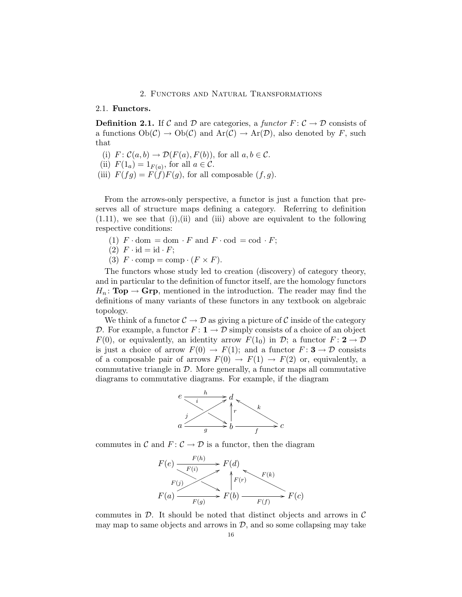#### 2. Functors and Natural Transformations

#### 2.1. Functors.

**Definition 2.1.** If C and D are categories, a functor  $F: \mathcal{C} \to \mathcal{D}$  consists of a functions  $Ob(\mathcal{C}) \to Ob(\mathcal{C})$  and  $Ar(\mathcal{C}) \to Ar(\mathcal{D})$ , also denoted by F, such that

- (i)  $F: \mathcal{C}(a, b) \to \mathcal{D}(F(a), F(b))$ , for all  $a, b \in \mathcal{C}$ .
- (ii)  $F(1_a) = 1_{F(a)}$ , for all  $a \in \mathcal{C}$ .
- (iii)  $F(fg) = F(f)F(g)$ , for all composable  $(f, g)$ .

From the arrows-only perspective, a functor is just a function that preserves all of structure maps defining a category. Referring to definition  $(1.11)$ , we see that  $(i)$ ,  $(ii)$  and  $(iii)$  above are equivalent to the following respective conditions:

- (1)  $F \cdot \text{dom} = \text{dom} \cdot F$  and  $F \cdot \text{cod} = \text{cod} \cdot F$ ;
- (2)  $F \cdot \text{id} = \text{id} \cdot F$ ;
- (3)  $F \cdot \text{comp} = \text{comp} \cdot (F \times F)$ .

The functors whose study led to creation (discovery) of category theory, and in particular to the definition of functor itself, are the homology functors  $H_n: \textbf{Top} \to \textbf{Grp}$ , mentioned in the introduction. The reader may find the definitions of many variants of these functors in any textbook on algebraic topology.

We think of a functor  $\mathcal{C} \to \mathcal{D}$  as giving a picture of C inside of the category D. For example, a functor  $F: \mathbf{1} \to \mathcal{D}$  simply consists of a choice of an object  $F(0)$ , or equivalently, an identity arrow  $F(1<sub>0</sub>)$  in  $\mathcal{D}$ ; a functor  $F: 2 \to \mathcal{D}$ is just a choice of arrow  $F(0) \to F(1)$ ; and a functor  $F: 3 \to \mathcal{D}$  consists of a composable pair of arrows  $F(0) \rightarrow F(1) \rightarrow F(2)$  or, equivalently, a commutative triangle in  $D$ . More generally, a functor maps all commutative diagrams to commutative diagrams. For example, if the diagram



commutes in C and  $F: \mathcal{C} \to \mathcal{D}$  is a functor, then the diagram



commutes in  $\mathcal{D}$ . It should be noted that distinct objects and arrows in  $\mathcal{C}$ may map to same objects and arrows in  $\mathcal{D}$ , and so some collapsing may take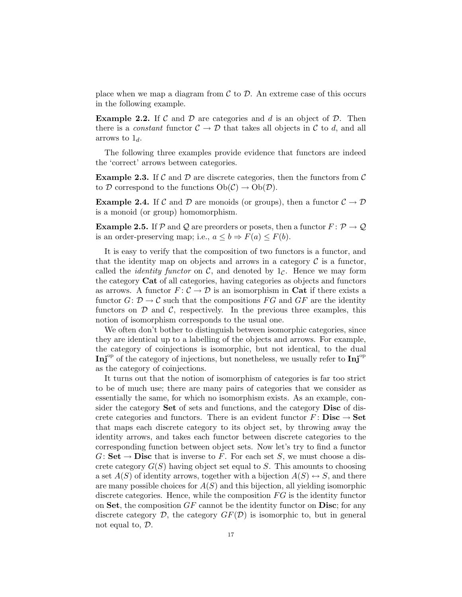place when we map a diagram from  $\mathcal C$  to  $\mathcal D$ . An extreme case of this occurs in the following example.

**Example 2.2.** If C and D are categories and d is an object of D. Then there is a *constant* functor  $C \to D$  that takes all objects in C to d, and all arrows to  $1_d$ .

The following three examples provide evidence that functors are indeed the 'correct' arrows between categories.

**Example 2.3.** If  $\mathcal{C}$  and  $\mathcal{D}$  are discrete categories, then the functors from  $\mathcal{C}$ to D correspond to the functions  $Ob(\mathcal{C}) \to Ob(\mathcal{D})$ .

**Example 2.4.** If C and D are monoids (or groups), then a functor  $C \rightarrow D$ is a monoid (or group) homomorphism.

**Example 2.5.** If P and Q are preorders or posets, then a functor  $F: \mathcal{P} \to \mathcal{Q}$ is an order-preserving map; i.e.,  $a \leq b \Rightarrow F(a) \leq F(b)$ .

It is easy to verify that the composition of two functors is a functor, and that the identity map on objects and arrows in a category  $\mathcal C$  is a functor, called the *identity functor* on  $\mathcal{C}$ , and denoted by  $1_{\mathcal{C}}$ . Hence we may form the category Cat of all categories, having categories as objects and functors as arrows. A functor  $F: \mathcal{C} \to \mathcal{D}$  is an isomorphism in Cat if there exists a functor  $G: \mathcal{D} \to \mathcal{C}$  such that the compositions  $FG$  and  $GF$  are the identity functors on  $D$  and  $C$ , respectively. In the previous three examples, this notion of isomorphism corresponds to the usual one.

We often don't bother to distinguish between isomorphic categories, since they are identical up to a labelling of the objects and arrows. For example, the category of coinjections is isomorphic, but not identical, to the dual Inj<sup>op</sup> of the category of injections, but nonetheless, we usually refer to Inj<sup>op</sup> as the category of coinjections.

It turns out that the notion of isomorphism of categories is far too strict to be of much use; there are many pairs of categories that we consider as essentially the same, for which no isomorphism exists. As an example, consider the category Set of sets and functions, and the category Disc of discrete categories and functors. There is an evident functor  $F: \mathbf{Disc} \to \mathbf{Set}$ that maps each discrete category to its object set, by throwing away the identity arrows, and takes each functor between discrete categories to the corresponding function between object sets. Now let's try to find a functor  $G:$  Set  $\rightarrow$  Disc that is inverse to F. For each set S, we must choose a discrete category  $G(S)$  having object set equal to S. This amounts to choosing a set  $A(S)$  of identity arrows, together with a bijection  $A(S) \leftrightarrow S$ , and there are many possible choices for  $A(S)$  and this bijection, all yielding isomorphic discrete categories. Hence, while the composition  $FG$  is the identity functor on Set, the composition  $GF$  cannot be the identity functor on Disc; for any discrete category  $D$ , the category  $GF(D)$  is isomorphic to, but in general not equal to, D.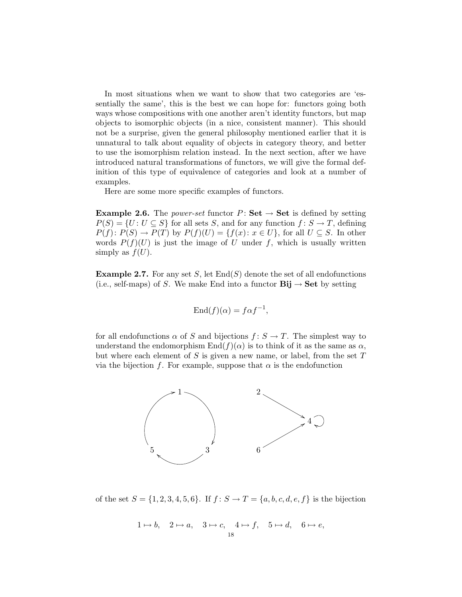In most situations when we want to show that two categories are 'essentially the same', this is the best we can hope for: functors going both ways whose compositions with one another aren't identity functors, but map objects to isomorphic objects (in a nice, consistent manner). This should not be a surprise, given the general philosophy mentioned earlier that it is unnatural to talk about equality of objects in category theory, and better to use the isomorphism relation instead. In the next section, after we have introduced natural transformations of functors, we will give the formal definition of this type of equivalence of categories and look at a number of examples.

Here are some more specific examples of functors.

**Example 2.6.** The *power-set* functor  $P: Set \rightarrow Set$  is defined by setting  $P(S) = \{U : U \subseteq S\}$  for all sets S, and for any function  $f : S \to T$ , defining  $P(f): P(S) \to P(T)$  by  $P(f)(U) = \{f(x): x \in U\}$ , for all  $U \subseteq S$ . In other words  $P(f)(U)$  is just the image of U under f, which is usually written simply as  $f(U)$ .

**Example 2.7.** For any set S, let  $\text{End}(S)$  denote the set of all endofunctions (i.e., self-maps) of S. We make End into a functor  $\text{Bij} \rightarrow \text{Set}$  by setting

$$
End(f)(\alpha) = f \alpha f^{-1},
$$

for all endofunctions  $\alpha$  of S and bijections  $f: S \to T$ . The simplest way to understand the endomorphism  $\text{End}(f)(\alpha)$  is to think of it as the same as  $\alpha$ , but where each element of S is given a new name, or label, from the set  $T$ via the bijection f. For example, suppose that  $\alpha$  is the endofunction



of the set  $S = \{1, 2, 3, 4, 5, 6\}$ . If  $f : S \to T = \{a, b, c, d, e, f\}$  is the bijection

$$
1 \mapsto b, \quad 2 \mapsto a, \quad 3 \mapsto c, \quad 4 \mapsto f, \quad 5 \mapsto d, \quad 6 \mapsto e,
$$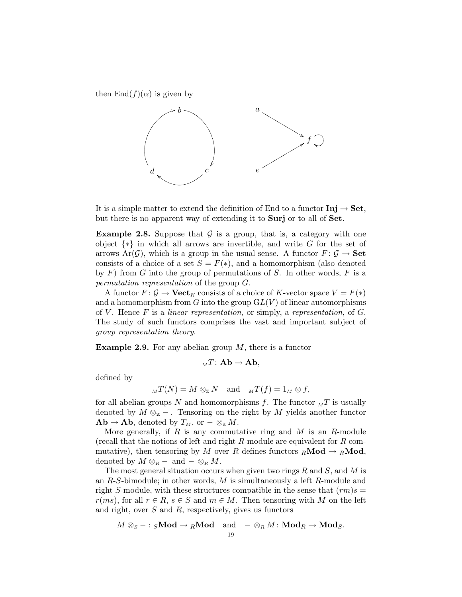then  $\text{End}(f)(\alpha)$  is given by



It is a simple matter to extend the definition of End to a functor  $\text{Inj} \rightarrow \text{Set}$ , but there is no apparent way of extending it to Surj or to all of Set.

**Example 2.8.** Suppose that  $\mathcal{G}$  is a group, that is, a category with one object  $\{*\}$  in which all arrows are invertible, and write G for the set of arrows  $\text{Ar}(\mathcal{G})$ , which is a group in the usual sense. A functor  $F: \mathcal{G} \to \mathbf{Set}$ consists of a choice of a set  $S = F(*)$ , and a homomorphism (also denoted by  $F$ ) from  $G$  into the group of permutations of  $S$ . In other words,  $F$  is a permutation representation of the group G.

A functor  $F: \mathcal{G} \to \mathbf{Vect}_K$  consists of a choice of K-vector space  $V = F(*)$ and a homomorphism from  $G$  into the group  $GL(V)$  of linear automorphisms of V. Hence F is a linear representation, or simply, a representation, of  $G$ . The study of such functors comprises the vast and important subject of group representation theory.

**Example 2.9.** For any abelian group  $M$ , there is a functor

$$
_MT\colon\mathbf{Ab}\to\mathbf{Ab},
$$

defined by

$$
{}_M T(N) = M \otimes_{\mathbb{Z}} N \quad \text{and} \quad {}_M T(f) = 1_M \otimes f,
$$

for all abelian groups N and homomorphisms f. The functor  $_{M}T$  is usually denoted by  $M \otimes_{\mathbf{Z}} -$ . Tensoring on the right by M yields another functor  $\mathbf{Ab} \to \mathbf{Ab}$ , denoted by  $T_M$ , or  $-\otimes_{\mathbb{Z}} M$ .

More generally, if R is any commutative ring and M is an R-module (recall that the notions of left and right R-module are equivalent for R commutative), then tensoring by M over R defines functors  ${}_{R}\text{Mod} \rightarrow {}_{R}\text{Mod}$ , denoted by  $M \otimes_R -$  and  $-\otimes_R M$ .

The most general situation occurs when given two rings  $R$  and  $S$ , and  $M$  is an R-S-bimodule; in other words, M is simultaneously a left R-module and right S-module, with these structures compatible in the sense that  $(rm)s =$  $r(ms)$ , for all  $r \in R$ ,  $s \in S$  and  $m \in M$ . Then tensoring with M on the left and right, over  $S$  and  $R$ , respectively, gives us functors

$$
M \otimes_S - : \mathcal{S}Mod \to \mathcal{R}Mod
$$
 and  $-\otimes_R M: Mod_R \to Mod_S$ .  
<sup>19</sup>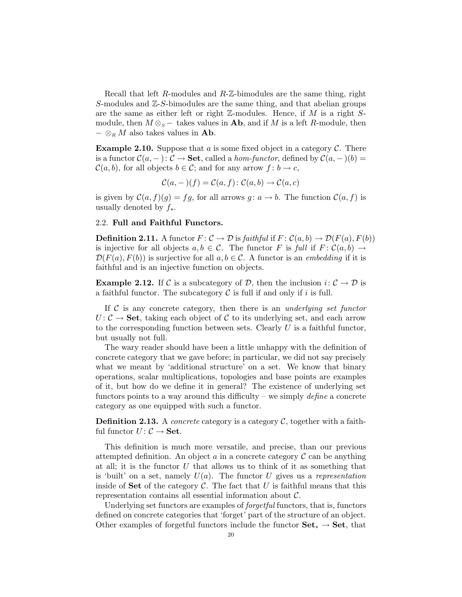Recall that left R-modules and R-Z-bimodules are the same thing, right S-modules and Z-S-bimodules are the same thing, and that abelian groups are the same as either left or right  $\mathbb{Z}$ -modules. Hence, if M is a right Smodule, then  $M \otimes_{S} -$  takes values in **Ab**, and if M is a left R-module, then  $- \otimes_R M$  also takes values in **Ab**.

**Example 2.10.** Suppose that a is some fixed object in a category  $C$ . There is a functor  $C(a, -): C \rightarrow$  **Set**, called a *hom-functor*, defined by  $C(a, -)(b) =$  $\mathcal{C}(a, b)$ , for all objects  $b \in \mathcal{C}$ ; and for any arrow  $f : b \to c$ ,

$$
\mathcal{C}(a,-)(f) = \mathcal{C}(a,f) \colon \mathcal{C}(a,b) \to \mathcal{C}(a,c)
$$

is given by  $\mathcal{C}(a, f)(g) = fg$ , for all arrows  $g: a \to b$ . The function  $\mathcal{C}(a, f)$  is usually denoted by  $f_*$ .

# 2.2. Full and Faithful Functors.

**Definition 2.11.** A functor  $F: \mathcal{C} \to \mathcal{D}$  is faithful if  $F: \mathcal{C}(a, b) \to \mathcal{D}(F(a), F(b))$ is injective for all objects  $a, b \in \mathcal{C}$ . The functor F is full if  $F: \mathcal{C}(a, b) \to$  $\mathcal{D}(F(a), F(b))$  is surjective for all  $a, b \in \mathcal{C}$ . A functor is an *embedding* if it is faithful and is an injective function on objects.

**Example 2.12.** If C is a subcategory of D, then the inclusion  $i: \mathcal{C} \to \mathcal{D}$  is a faithful functor. The subcategory  $\mathcal C$  is full if and only if i is full.

If  $\mathcal C$  is any concrete category, then there is an *underlying set functor*  $U: \mathcal{C} \to \mathbf{Set}$ , taking each object of  $\mathcal C$  to its underlying set, and each arrow to the corresponding function between sets. Clearly  $U$  is a faithful functor, but usually not full.

The wary reader should have been a little unhappy with the definition of concrete category that we gave before; in particular, we did not say precisely what we meant by 'additional structure' on a set. We know that binary operations, scalar multiplications, topologies and base points are examples of it, but how do we define it in general? The existence of underlying set functors points to a way around this difficulty – we simply *define* a concrete category as one equipped with such a functor.

**Definition 2.13.** A *concrete* category is a category  $C$ , together with a faithful functor  $U: \mathcal{C} \to \mathbf{Set}$ .

This definition is much more versatile, and precise, than our previous attempted definition. An object  $\alpha$  in a concrete category  $\mathcal C$  can be anything at all; it is the functor  $U$  that allows us to think of it as something that is 'built' on a set, namely  $U(a)$ . The functor U gives us a representation inside of Set of the category  $\mathcal{C}$ . The fact that U is faithful means that this representation contains all essential information about C.

Underlying set functors are examples of forgetful functors, that is, functors defined on concrete categories that 'forget' part of the structure of an object. Other examples of forgetful functors include the functor  $\textbf{Set}_{*} \to \textbf{Set}$ , that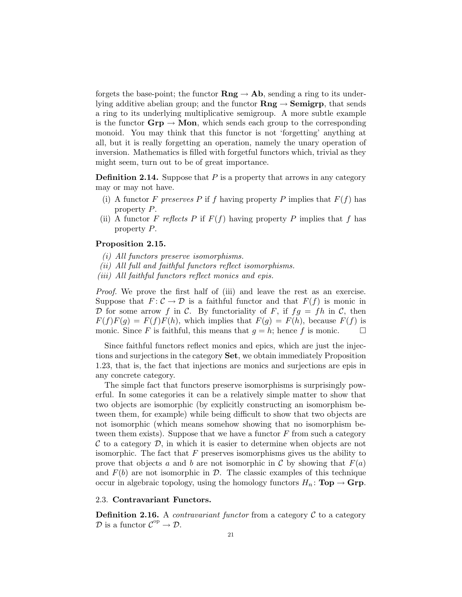forgets the base-point; the functor  $\mathbf{Rng} \to \mathbf{Ab}$ , sending a ring to its underlying additive abelian group; and the functor  $\mathbf{Rng} \rightarrow \mathbf{Semigrp}$ , that sends a ring to its underlying multiplicative semigroup. A more subtle example is the functor  $\mathbf{Grp} \rightarrow \mathbf{Mon}$ , which sends each group to the corresponding monoid. You may think that this functor is not 'forgetting' anything at all, but it is really forgetting an operation, namely the unary operation of inversion. Mathematics is filled with forgetful functors which, trivial as they might seem, turn out to be of great importance.

**Definition 2.14.** Suppose that  $P$  is a property that arrows in any category may or may not have.

- (i) A functor F preserves P if f having property P implies that  $F(f)$  has property P.
- (ii) A functor F reflects P if  $F(f)$  having property P implies that f has property P.

#### Proposition 2.15.

- (i) All functors preserve isomorphisms.
- (ii) All full and faithful functors reflect isomorphisms.
- (iii) All faithful functors reflect monics and epis.

Proof. We prove the first half of (iii) and leave the rest as an exercise. Suppose that  $F: \mathcal{C} \to \mathcal{D}$  is a faithful functor and that  $F(f)$  is monic in D for some arrow f in C. By functoriality of F, if  $fg = fh$  in C, then  $F(f)F(g) = F(f)F(h)$ , which implies that  $F(g) = F(h)$ , because  $F(f)$  is monic. Since F is faithful, this means that  $q = h$ ; hence f is monic.  $\Box$ 

Since faithful functors reflect monics and epics, which are just the injections and surjections in the category Set, we obtain immediately Proposition 1.23, that is, the fact that injections are monics and surjections are epis in any concrete category.

The simple fact that functors preserve isomorphisms is surprisingly powerful. In some categories it can be a relatively simple matter to show that two objects are isomorphic (by explicitly constructing an isomorphism between them, for example) while being difficult to show that two objects are not isomorphic (which means somehow showing that no isomorphism between them exists). Suppose that we have a functor  $F$  from such a category  $\mathcal C$  to a category  $\mathcal D$ , in which it is easier to determine when objects are not isomorphic. The fact that  $F$  preserves isomorphisms gives us the ability to prove that objects a and b are not isomorphic in C by showing that  $F(a)$ and  $F(b)$  are not isomorphic in  $\mathcal{D}$ . The classic examples of this technique occur in algebraic topology, using the homology functors  $H_n: \textbf{Top} \to \textbf{Grp}$ .

## 2.3. Contravariant Functors.

**Definition 2.16.** A *contravariant functor* from a category  $\mathcal C$  to a category  $D$  is a functor  $\mathcal{C}^{\text{op}} \to \mathcal{D}$ .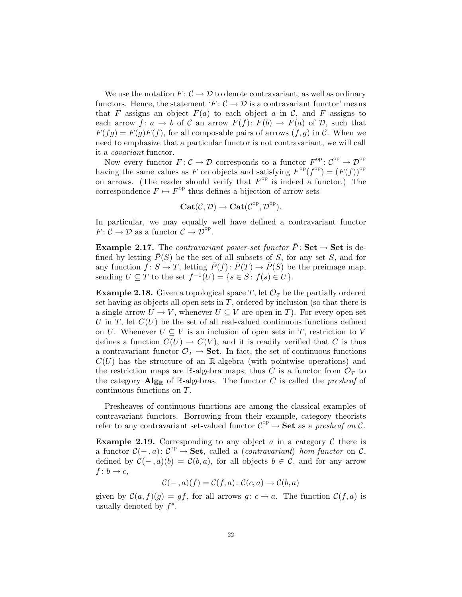We use the notation  $F: \mathcal{C} \to \mathcal{D}$  to denote contravariant, as well as ordinary functors. Hence, the statement ' $F: \mathcal{C} \to \mathcal{D}$  is a contravariant functor' means that F assigns an object  $F(a)$  to each object a in C, and F assigns to each arrow  $f: a \to b$  of C an arrow  $F(f): F(b) \to F(a)$  of D, such that  $F(fg) = F(g)F(f)$ , for all composable pairs of arrows  $(f, g)$  in C. When we need to emphasize that a particular functor is not contravariant, we will call it a covariant functor.

Now every functor  $F: \mathcal{C} \to \mathcal{D}$  corresponds to a functor  $F^{\rm op}: \mathcal{C}^{\rm op} \to \mathcal{D}^{\rm op}$ having the same values as F on objects and satisfying  $F^{\text{op}}(f^{\text{op}}) = (F(f))^{\text{op}}$ on arrows. (The reader should verify that  $F^{\rm op}$  is indeed a functor.) The correspondence  $F \mapsto F^{\text{op}}$  thus defines a bijection of arrow sets

$$
\mathbf{Cat}(\mathcal{C}, \mathcal{D}) \to \mathbf{Cat}(\mathcal{C}^{op}, \mathcal{D}^{op}).
$$

In particular, we may equally well have defined a contravariant functor  $F: \mathcal{C} \to \mathcal{D}$  as a functor  $\mathcal{C} \to \mathcal{D}^{\mathrm{op}}$ .

**Example 2.17.** The *contravariant power-set functor*  $\overline{P}$ : **Set**  $\rightarrow$  **Set** is defined by letting  $\overline{P}(S)$  be the set of all subsets of S, for any set S, and for any function  $f: S \to T$ , letting  $\overline{P}(f): \overline{P}(T) \to \overline{P}(S)$  be the preimage map, sending  $U \subseteq T$  to the set  $f^{-1}(U) = \{ s \in S : f(s) \in U \}.$ 

**Example 2.18.** Given a topological space T, let  $\mathcal{O}_T$  be the partially ordered set having as objects all open sets in  $T$ , ordered by inclusion (so that there is a single arrow  $U \to V$ , whenever  $U \subseteq V$  are open in T). For every open set U in T, let  $C(U)$  be the set of all real-valued continuous functions defined on U. Whenever  $U \subseteq V$  is an inclusion of open sets in T, restriction to V defines a function  $C(U) \to C(V)$ , and it is readily verified that C is thus a contravariant functor  $\mathcal{O}_T \to \mathbf{Set}$ . In fact, the set of continuous functions  $C(U)$  has the structure of an R-algebra (with pointwise operations) and the restriction maps are R-algebra maps; thus C is a functor from  $\mathcal{O}_T$  to the category  $\mathbf{Alg}_{\mathbb{R}}$  of  $\mathbb{R}\text{-algebras}$ . The functor C is called the *presheaf* of continuous functions on T.

Presheaves of continuous functions are among the classical examples of contravariant functors. Borrowing from their example, category theorists refer to any contravariant set-valued functor  $\mathcal{C}^{\text{op}} \to \mathbf{Set}$  as a presheaf on C.

**Example 2.19.** Corresponding to any object a in a category  $\mathcal C$  there is a functor  $C(-,a): \mathcal{C}^{\mathrm{op}} \to \mathbf{Set}$ , called a *(contravariant) hom-functor* on  $\mathcal{C}$ , defined by  $\mathcal{C}(-,a)(b) = \mathcal{C}(b,a)$ , for all objects  $b \in \mathcal{C}$ , and for any arrow  $f: b \rightarrow c$ ,

$$
\mathcal{C}(-,a)(f) = \mathcal{C}(f,a) \colon \mathcal{C}(c,a) \to \mathcal{C}(b,a)
$$

given by  $\mathcal{C}(a, f)(g) = gf$ , for all arrows  $g: c \to a$ . The function  $\mathcal{C}(f, a)$  is usually denoted by  $f^*$ .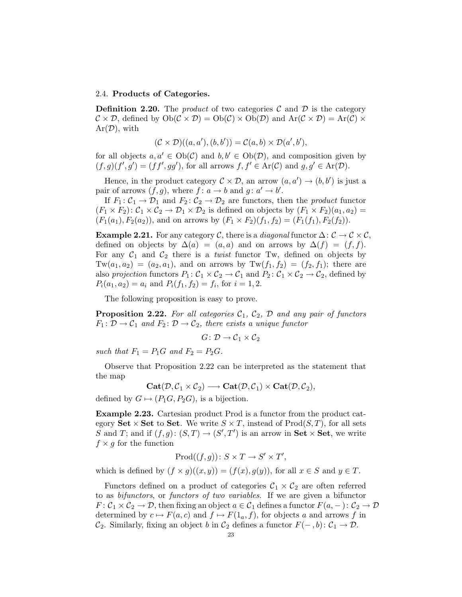## 2.4. Products of Categories.

**Definition 2.20.** The *product* of two categories C and D is the category  $\mathcal{C} \times \mathcal{D}$ , defined by  $Ob(\mathcal{C} \times \mathcal{D}) = Ob(\mathcal{C}) \times Ob(\mathcal{D})$  and  $Ar(\mathcal{C} \times \mathcal{D}) = Ar(\mathcal{C}) \times$  $Ar(\mathcal{D})$ , with

$$
(\mathcal{C} \times \mathcal{D})((a, a'), (b, b')) = \mathcal{C}(a, b) \times \mathcal{D}(a', b'),
$$

for all objects  $a, a' \in Ob(\mathcal{C})$  and  $b, b' \in Ob(\mathcal{D})$ , and composition given by  $(f,g)(f',g') = (ff', gg')$ , for all arrows  $f, f' \in Ar(\mathcal{C})$  and  $g, g' \in Ar(\mathcal{D})$ .

Hence, in the product category  $C \times D$ , an arrow  $(a, a') \rightarrow (b, b')$  is just a pair of arrows  $(f, g)$ , where  $f : a \to b$  and  $g : a' \to b'$ .

If  $F_1: \mathcal{C}_1 \to \mathcal{D}_1$  and  $F_2: \mathcal{C}_2 \to \mathcal{D}_2$  are functors, then the *product* functor  $(F_1 \times F_2)$ :  $C_1 \times C_2 \rightarrow \mathcal{D}_1 \times \mathcal{D}_2$  is defined on objects by  $(F_1 \times F_2)(a_1, a_2)$  =  $(F_1(a_1), F_2(a_2))$ , and on arrows by  $(F_1 \times F_2)(f_1, f_2) = (F_1(f_1), F_2(f_2)).$ 

**Example 2.21.** For any category C, there is a *diagonal* functor  $\Delta: \mathcal{C} \to \mathcal{C} \times \mathcal{C}$ , defined on objects by  $\Delta(a) = (a, a)$  and on arrows by  $\Delta(f) = (f, f)$ . For any  $C_1$  and  $C_2$  there is a *twist* functor Tw, defined on objects by  $Tw(a_1, a_2) = (a_2, a_1)$ , and on arrows by  $Tw(f_1, f_2) = (f_2, f_1)$ ; there are also projection functors  $P_1: C_1 \times C_2 \to C_1$  and  $P_2: C_1 \times C_2 \to C_2$ , defined by  $P_i(a_1, a_2) = a_i$  and  $P_i(f_1, f_2) = f_i$ , for  $i = 1, 2$ .

The following proposition is easy to prove.

**Proposition 2.22.** For all categories  $C_1$ ,  $C_2$ ,  $D$  and any pair of functors  $F_1: \mathcal{D} \to \mathcal{C}_1$  and  $F_2: \mathcal{D} \to \mathcal{C}_2$ , there exists a unique functor

$$
G\colon \mathcal{D}\to \mathcal{C}_1\times \mathcal{C}_2
$$

such that  $F_1 = P_1G$  and  $F_2 = P_2G$ .

Observe that Proposition 2.22 can be interpreted as the statement that the map

$$
\mathbf{Cat}(\mathcal{D}, \mathcal{C}_1 \times \mathcal{C}_2) \longrightarrow \mathbf{Cat}(\mathcal{D}, \mathcal{C}_1) \times \mathbf{Cat}(\mathcal{D}, \mathcal{C}_2),
$$

defined by  $G \mapsto (P_1G, P_2G)$ , is a bijection.

Example 2.23. Cartesian product Prod is a functor from the product category Set  $\times$  Set to Set. We write  $S \times T$ , instead of  $Prod(S, T)$ , for all sets S and T; and if  $(f, g) : (S, T) \to (S', T')$  is an arrow in **Set**  $\times$  **Set**, we write  $f \times g$  for the function

$$
Prod((f,g)) : S \times T \to S' \times T',
$$

which is defined by  $(f \times g)((x, y)) = (f(x), g(y))$ , for all  $x \in S$  and  $y \in T$ .

Functors defined on a product of categories  $C_1 \times C_2$  are often referred to as bifunctors, or functors of two variables. If we are given a bifunctor  $F: \mathcal{C}_1 \times \mathcal{C}_2 \to \mathcal{D}$ , then fixing an object  $a \in \mathcal{C}_1$  defines a functor  $F(a, -): \mathcal{C}_2 \to \mathcal{D}$ determined by  $c \mapsto F(a, c)$  and  $f \mapsto F(1_a, f)$ , for objects a and arrows f in  $C_2$ . Similarly, fixing an object b in  $C_2$  defines a functor  $F(-, b)$ :  $C_1 \rightarrow \mathcal{D}$ .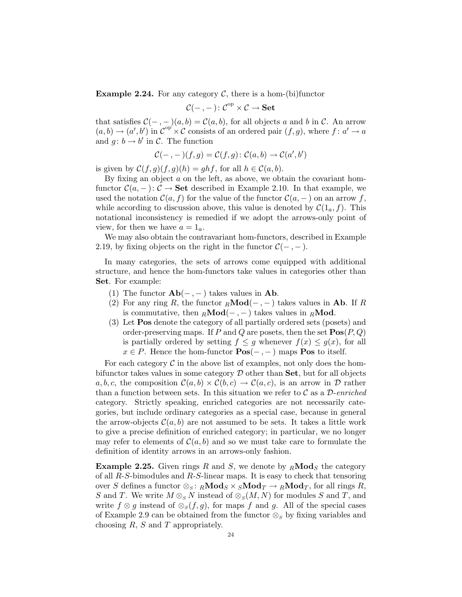**Example 2.24.** For any category  $\mathcal{C}$ , there is a hom-(bi)functor

$$
\mathcal{C}(-,-)\colon \mathcal{C}^{\mathrm{op}}\times \mathcal{C}\to \mathbf{Set}
$$

that satisfies  $C(-, -)(a, b) = C(a, b)$ , for all objects a and b in C. An arrow  $(a, b) \rightarrow (a', b')$  in  $\mathcal{C}^{\text{op}} \times \mathcal{C}$  consists of an ordered pair  $(f, g)$ , where  $f : a' \rightarrow a$ and  $g: b \to b'$  in C. The function

$$
\mathcal{C}(-,-)(f,g) = \mathcal{C}(f,g) \colon \mathcal{C}(a,b) \to \mathcal{C}(a',b')
$$

is given by  $\mathcal{C}(f,g)(f,g)(h) = ghf$ , for all  $h \in \mathcal{C}(a,b)$ .

By fixing an object  $a$  on the left, as above, we obtain the covariant homfunctor  $C(a, -): C \to \mathbf{Set}$  described in Example 2.10. In that example, we used the notation  $\mathcal{C}(a, f)$  for the value of the functor  $\mathcal{C}(a, -)$  on an arrow f, while according to discussion above, this value is denoted by  $\mathcal{C}(1_a, f)$ . This notational inconsistency is remedied if we adopt the arrows-only point of view, for then we have  $a = 1_a$ .

We may also obtain the contravariant hom-functors, described in Example 2.19, by fixing objects on the right in the functor  $\mathcal{C}(-,-)$ .

In many categories, the sets of arrows come equipped with additional structure, and hence the hom-functors take values in categories other than Set. For example:

- (1) The functor  $\mathbf{Ab}(-,-)$  takes values in  $\mathbf{Ab}$ .
- (2) For any ring R, the functor  $_R\text{Mod}(-, -)$  takes values in Ab. If R is commutative, then  $_R\text{Mod}(-, -)$  takes values in  $_R\text{Mod}$ .
- (3) Let Pos denote the category of all partially ordered sets (posets) and order-preserving maps. If P and Q are posets, then the set  $Pos(P,Q)$ is partially ordered by setting  $f \leq g$  whenever  $f(x) \leq g(x)$ , for all  $x \in P$ . Hence the hom-functor  $\text{Pos}(-,-)$  maps  $\text{Pos}$  to itself.

For each category  $\mathcal C$  in the above list of examples, not only does the hombifunctor takes values in some category  $\mathcal D$  other than **Set**, but for all objects  $a, b, c$ , the composition  $\mathcal{C}(a, b) \times \mathcal{C}(b, c) \rightarrow \mathcal{C}(a, c)$ , is an arrow in D rather than a function between sets. In this situation we refer to  $\mathcal C$  as a D-enriched category. Strictly speaking, enriched categories are not necessarily categories, but include ordinary categories as a special case, because in general the arrow-objects  $C(a, b)$  are not assumed to be sets. It takes a little work to give a precise definition of enriched category; in particular, we no longer may refer to elements of  $\mathcal{C}(a, b)$  and so we must take care to formulate the definition of identity arrows in an arrows-only fashion.

**Example 2.25.** Given rings R and S, we denote by  $<sub>R</sub>Mod<sub>S</sub>$  the category</sub> of all R-S-bimodules and R-S-linear maps. It is easy to check that tensoring over S defines a functor  $\otimes_s$ : R**Mod**<sub>S</sub> × S**Mod**<sub>T</sub>  $\rightarrow$  R**Mod**<sub>T</sub>, for all rings R, S and T. We write  $M \otimes_S N$  instead of  $\otimes_S (M, N)$  for modules S and T, and write  $f \otimes g$  instead of  $\otimes_S(f, g)$ , for maps f and g. All of the special cases of Example 2.9 can be obtained from the functor  $\otimes_S$  by fixing variables and choosing  $R$ ,  $S$  and  $T$  appropriately.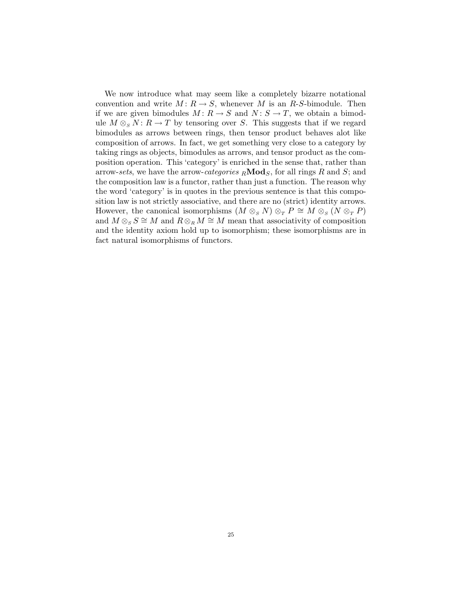We now introduce what may seem like a completely bizarre notational convention and write  $M: R \to S$ , whenever M is an R-S-bimodule. Then if we are given bimodules  $M: R \to S$  and  $N: S \to T$ , we obtain a bimodule  $M \otimes_S N : R \to T$  by tensoring over S. This suggests that if we regard bimodules as arrows between rings, then tensor product behaves alot like composition of arrows. In fact, we get something very close to a category by taking rings as objects, bimodules as arrows, and tensor product as the composition operation. This 'category' is enriched in the sense that, rather than arrow-sets, we have the arrow-categories  $_R\textbf{Mod}_S$ , for all rings R and S; and the composition law is a functor, rather than just a function. The reason why the word 'category' is in quotes in the previous sentence is that this composition law is not strictly associative, and there are no (strict) identity arrows. However, the canonical isomorphisms  $(M \otimes_S N) \otimes_T P \cong M \otimes_S (N \otimes_T P)$ and  $M \otimes_{S} S \cong M$  and  $R \otimes_{R} M \cong M$  mean that associativity of composition and the identity axiom hold up to isomorphism; these isomorphisms are in fact natural isomorphisms of functors.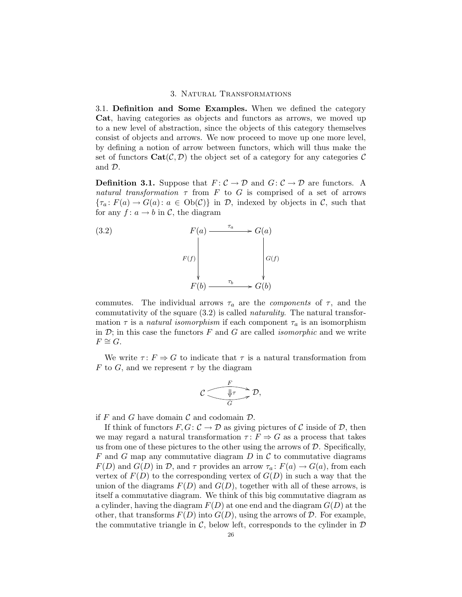#### 3. Natural Transformations

3.1. Definition and Some Examples. When we defined the category Cat, having categories as objects and functors as arrows, we moved up to a new level of abstraction, since the objects of this category themselves consist of objects and arrows. We now proceed to move up one more level, by defining a notion of arrow between functors, which will thus make the set of functors  $\text{Cat}(\mathcal{C}, \mathcal{D})$  the object set of a category for any categories  $\mathcal C$ and D.

**Definition 3.1.** Suppose that  $F: \mathcal{C} \to \mathcal{D}$  and  $G: \mathcal{C} \to \mathcal{D}$  are functors. A natural transformation  $\tau$  from F to G is comprised of a set of arrows  ${\tau_a \colon F(a) \to G(a) : a \in Ob(C)}$  in D, indexed by objects in C, such that for any  $f: a \rightarrow b$  in C, the diagram



commutes. The individual arrows  $\tau_a$  are the *components* of  $\tau$ , and the commutativity of the square (3.2) is called naturality. The natural transformation  $\tau$  is a *natural isomorphism* if each component  $\tau_a$  is an isomorphism in  $\mathcal{D}$ ; in this case the functors F and G are called *isomorphic* and we write  $F \cong G$ .

We write  $\tau: F \Rightarrow G$  to indicate that  $\tau$  is a natural transformation from F to G, and we represent  $\tau$  by the diagram

$$
c \xrightarrow{\frac{F}{\sqrt{r}}} \mathcal{D},
$$

if F and G have domain  $\mathcal C$  and codomain  $\mathcal D$ .

If think of functors  $F, G: \mathcal{C} \to \mathcal{D}$  as giving pictures of  $\mathcal{C}$  inside of  $\mathcal{D}$ , then we may regard a natural transformation  $\tau: F \Rightarrow G$  as a process that takes us from one of these pictures to the other using the arrows of  $D$ . Specifically,  $F$  and  $G$  map any commutative diagram  $D$  in  $C$  to commutative diagrams  $F(D)$  and  $G(D)$  in D, and  $\tau$  provides an arrow  $\tau_a: F(a) \to G(a)$ , from each vertex of  $F(D)$  to the corresponding vertex of  $G(D)$  in such a way that the union of the diagrams  $F(D)$  and  $G(D)$ , together with all of these arrows, is itself a commutative diagram. We think of this big commutative diagram as a cylinder, having the diagram  $F(D)$  at one end and the diagram  $G(D)$  at the other, that transforms  $F(D)$  into  $G(D)$ , using the arrows of D. For example, the commutative triangle in  $\mathcal{C}$ , below left, corresponds to the cylinder in  $\mathcal{D}$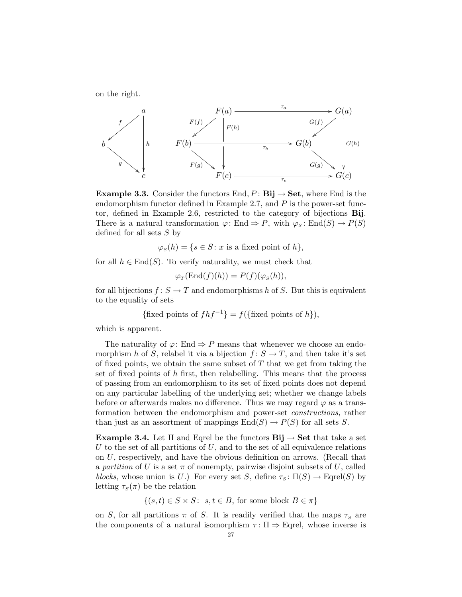on the right.



**Example 3.3.** Consider the functors End,  $P:$  Bij  $\rightarrow$  Set, where End is the endomorphism functor defined in Example 2.7, and  $P$  is the power-set functor, defined in Example 2.6, restricted to the category of bijections Bij. There is a natural transformation  $\varphi:$  End  $\Rightarrow$  P, with  $\varphi_S:$  End(S)  $\rightarrow$  P(S) defined for all sets  $S$  by

$$
\varphi_S(h) = \{ s \in S : x \text{ is a fixed point of } h \},
$$

for all  $h \in End(S)$ . To verify naturality, we must check that

$$
\varphi_T(\text{End}(f)(h)) = P(f)(\varphi_S(h)),
$$

for all bijections  $f: S \to T$  and endomorphisms h of S. But this is equivalent to the equality of sets

{fixed points of 
$$
fhf^{-1}
$$
} =  $f$ {fixed points of  $h$ },

which is apparent.

The naturality of  $\varphi:$  End  $\Rightarrow$  P means that whenever we choose an endomorphism h of S, relabel it via a bijection  $f: S \to T$ , and then take it's set of fixed points, we obtain the same subset of  $T$  that we get from taking the set of fixed points of  $h$  first, then relabelling. This means that the process of passing from an endomorphism to its set of fixed points does not depend on any particular labelling of the underlying set; whether we change labels before or afterwards makes no difference. Thus we may regard  $\varphi$  as a transformation between the endomorphism and power-set constructions, rather than just as an assortment of mappings  $End(S) \to P(S)$  for all sets S.

**Example 3.4.** Let  $\Pi$  and Eqrel be the functors  $\text{Bij} \rightarrow \text{Set}$  that take a set U to the set of all partitions of  $U$ , and to the set of all equivalence relations on U, respectively, and have the obvious definition on arrows. (Recall that a partition of U is a set  $\pi$  of nonempty, pairwise disjoint subsets of U, called blocks, whose union is U.) For every set S, define  $\tau_s: \Pi(S) \to \text{Eqrel}(S)$  by letting  $\tau_s(\pi)$  be the relation

$$
\{(s,t) \in S \times S: s, t \in B, \text{ for some block } B \in \pi\}
$$

on S, for all partitions  $\pi$  of S. It is readily verified that the maps  $\tau_s$  are the components of a natural isomorphism  $\tau : \Pi \Rightarrow \text{Eqrel},$  whose inverse is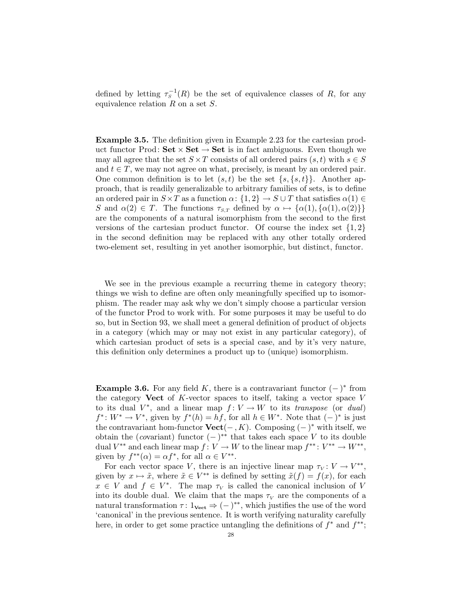defined by letting  $\tau_s^{-1}(R)$  be the set of equivalence classes of R, for any equivalence relation  $R$  on a set  $S$ .

Example 3.5. The definition given in Example 2.23 for the cartesian product functor Prod:  $\mathbf{Set} \times \mathbf{Set} \rightarrow \mathbf{Set}$  is in fact ambiguous. Even though we may all agree that the set  $S \times T$  consists of all ordered pairs  $(s, t)$  with  $s \in S$ and  $t \in T$ , we may not agree on what, precisely, is meant by an ordered pair. One common definition is to let  $(s, t)$  be the set  $\{s, \{s, t\}\}\$ . Another approach, that is readily generalizable to arbitrary families of sets, is to define an ordered pair in  $S \times T$  as a function  $\alpha$ :  $\{1,2\} \to S \cup T$  that satisfies  $\alpha(1) \in$ S and  $\alpha(2) \in T$ . The functions  $\tau_{S,T}$  defined by  $\alpha \mapsto {\alpha(1), \{\alpha(1), \alpha(2)\}}$ are the components of a natural isomorphism from the second to the first versions of the cartesian product functor. Of course the index set  $\{1,2\}$ in the second definition may be replaced with any other totally ordered two-element set, resulting in yet another isomorphic, but distinct, functor.

We see in the previous example a recurring theme in category theory; things we wish to define are often only meaningfully specified up to isomorphism. The reader may ask why we don't simply choose a particular version of the functor Prod to work with. For some purposes it may be useful to do so, but in Section 93, we shall meet a general definition of product of objects in a category (which may or may not exist in any particular category), of which cartesian product of sets is a special case, and by it's very nature, this definition only determines a product up to (unique) isomorphism.

**Example 3.6.** For any field K, there is a contravariant functor  $(-)^*$  from the category Vect of  $K$ -vector spaces to itself, taking a vector space  $V$ to its dual  $V^*$ , and a linear map  $f: V \to W$  to its transpose (or dual)  $f^*: W^* \to V^*$ , given by  $f^*(h) = hf$ , for all  $h \in W^*$ . Note that  $(-)^*$  is just the contravariant hom-functor  $\text{Vect}(-, K)$ . Composing  $(-)^*$  with itself, we obtain the (covariant) functor  $(-)^{**}$  that takes each space V to its double dual  $V^{**}$  and each linear map  $f: V \to W$  to the linear map  $f^{**}: V^{**} \to W^{**}$ , given by  $f^{**}(\alpha) = \alpha f^*$ , for all  $\alpha \in V^{**}$ .

For each vector space V, there is an injective linear map  $\tau_V: V \to V^{**}$ , given by  $x \mapsto \tilde{x}$ , where  $\tilde{x} \in V^{**}$  is defined by setting  $\tilde{x}(f) = f(x)$ , for each  $x \in V$  and  $f \in V^*$ . The map  $\tau_V$  is called the canonical inclusion of V into its double dual. We claim that the maps  $\tau_V$  are the components of a natural transformation  $\tau: 1_{\text{Vect}} \to (-)^{**}$ , which justifies the use of the word 'canonical' in the previous sentence. It is worth verifying naturality carefully here, in order to get some practice untangling the definitions of  $f^*$  and  $f^{**}$ ;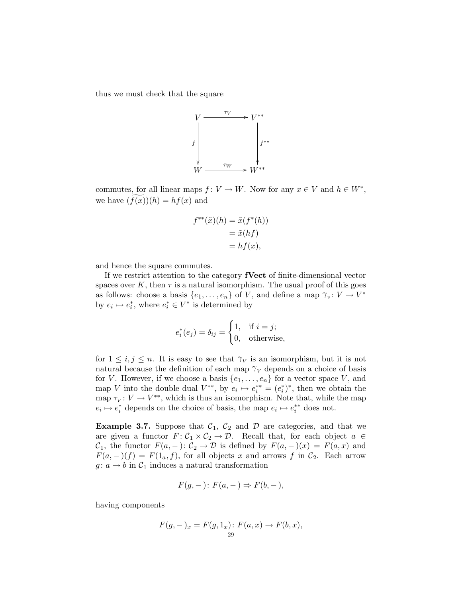thus we must check that the square



commutes, for all linear maps  $f: V \to W$ . Now for any  $x \in V$  and  $h \in W^*$ , we have  $(f(x))(h) = hf(x)$  and

$$
f^{**}(\tilde{x})(h) = \tilde{x}(f^*(h))
$$

$$
= \tilde{x}(hf)
$$

$$
= hf(x),
$$

and hence the square commutes.

If we restrict attention to the category fVect of finite-dimensional vector spaces over K, then  $\tau$  is a natural isomorphism. The usual proof of this goes as follows: choose a basis  $\{e_1, \ldots, e_n\}$  of V, and define a map  $\gamma_v : V \to V^*$ by  $e_i \mapsto e_i^*$ , where  $e_i^* \in V^*$  is determined by

$$
e_i^*(e_j) = \delta_{ij} = \begin{cases} 1, & \text{if } i = j; \\ 0, & \text{otherwise,} \end{cases}
$$

for  $1 \leq i, j \leq n$ . It is easy to see that  $\gamma_V$  is an isomorphism, but it is not natural because the definition of each map  $\gamma_V$  depends on a choice of basis for V. However, if we choose a basis  $\{e_1, \ldots, e_n\}$  for a vector space V, and map V into the double dual  $V^{**}$ , by  $e_i \mapsto e_i^{**} = (e_i^*)^*$ , then we obtain the map  $\tau_V: V \to V^{**}$ , which is thus an isomorphism. Note that, while the map  $e_i \mapsto e_i^*$  depends on the choice of basis, the map  $e_i \mapsto e_i^{**}$  does not.

**Example 3.7.** Suppose that  $C_1$ ,  $C_2$  and  $D$  are categories, and that we are given a functor  $F: \mathcal{C}_1 \times \mathcal{C}_2 \to \mathcal{D}$ . Recall that, for each object  $a \in \mathcal{C}$  $C_1$ , the functor  $F(a, -): C_2 \to \mathcal{D}$  is defined by  $F(a, -)(x) = F(a, x)$  and  $F(a, -)(f) = F(1<sub>a</sub>, f)$ , for all objects x and arrows f in  $C<sub>2</sub>$ . Each arrow  $g: a \rightarrow b$  in  $C_1$  induces a natural transformation

$$
F(g, -): F(a, -) \Rightarrow F(b, -),
$$

having components

$$
F(g, -)_x = F(g, 1_x) \colon F(a, x) \to F(b, x),
$$
  
<sub>29</sub>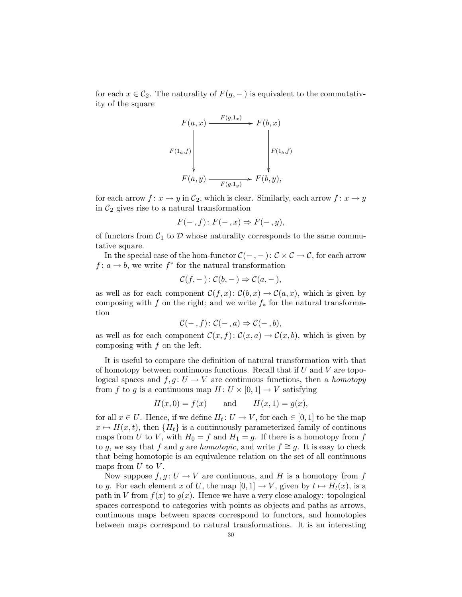for each  $x \in C_2$ . The naturality of  $F(g, -)$  is equivalent to the commutativity of the square

$$
F(a, x) \xrightarrow{F(g, 1_x)} F(b, x)
$$
  
\n
$$
F(1_a, f)
$$
\n
$$
F(a, y) \xrightarrow{F(g, 1_y)} F(b, y),
$$

for each arrow  $f: x \to y$  in  $C_2$ , which is clear. Similarly, each arrow  $f: x \to y$ in  $C_2$  gives rise to a natural transformation

$$
F(-, f) \colon F(-, x) \Rightarrow F(-, y),
$$

of functors from  $C_1$  to  $D$  whose naturality corresponds to the same commutative square.

In the special case of the hom-functor  $\mathcal{C}(-, -)$ :  $\mathcal{C} \times \mathcal{C} \rightarrow \mathcal{C}$ , for each arrow  $f: a \rightarrow b$ , we write  $f^*$  for the natural transformation

$$
\mathcal{C}(f,-): \mathcal{C}(b,-) \Rightarrow \mathcal{C}(a,-),
$$

as well as for each component  $\mathcal{C}(f, x): \mathcal{C}(b, x) \to \mathcal{C}(a, x)$ , which is given by composing with f on the right; and we write  $f_*$  for the natural transformation

$$
\mathcal{C}(-,f): \mathcal{C}(-,a) \Rightarrow \mathcal{C}(-,b),
$$

as well as for each component  $\mathcal{C}(x, f): \mathcal{C}(x, a) \to \mathcal{C}(x, b)$ , which is given by composing with f on the left.

It is useful to compare the definition of natural transformation with that of homotopy between continuous functions. Recall that if  $U$  and  $V$  are topological spaces and  $f, g: U \to V$  are continuous functions, then a *homotopy* from f to g is a continuous map  $H: U \times [0,1] \to V$  satisfying

$$
H(x,0) = f(x) \qquad \text{and} \qquad H(x,1) = g(x),
$$

for all  $x \in U$ . Hence, if we define  $H_t: U \to V$ , for each  $\in [0,1]$  to be the map  $x \mapsto H(x, t)$ , then  $\{H_t\}$  is a continuously parameterized family of continous maps from U to V, with  $H_0 = f$  and  $H_1 = g$ . If there is a homotopy from f to g, we say that f and g are *homotopic*, and write  $f \cong g$ . It is easy to check that being homotopic is an equivalence relation on the set of all continuous maps from  $U$  to  $V$ .

Now suppose  $f, g: U \to V$  are continuous, and H is a homotopy from f to g. For each element x of U, the map  $[0, 1] \rightarrow V$ , given by  $t \mapsto H_t(x)$ , is a path in V from  $f(x)$  to  $g(x)$ . Hence we have a very close analogy: topological spaces correspond to categories with points as objects and paths as arrows, continuous maps between spaces correspond to functors, and homotopies between maps correspond to natural transformations. It is an interesting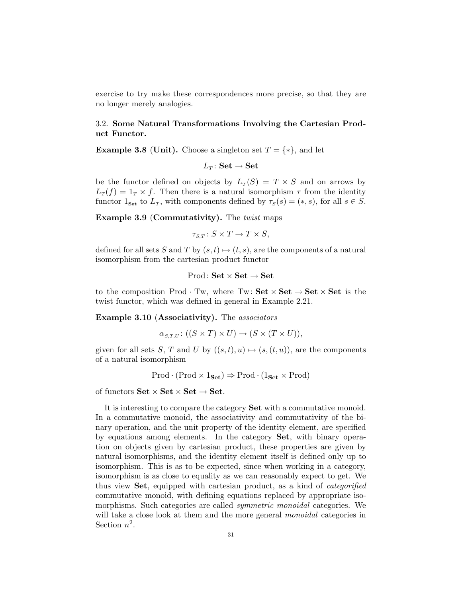exercise to try make these correspondences more precise, so that they are no longer merely analogies.

# 3.2. Some Natural Transformations Involving the Cartesian Product Functor.

**Example 3.8 (Unit).** Choose a singleton set  $T = \{*\}$ , and let

 $L_T$ : Set  $\rightarrow$  Set

be the functor defined on objects by  $L_T(S) = T \times S$  and on arrows by  $L_T(f) = 1_T \times f$ . Then there is a natural isomorphism  $\tau$  from the identity functor  $1_{\text{Set}}$  to  $L_T$ , with components defined by  $\tau_s(s) = (*, s)$ , for all  $s \in S$ .

Example 3.9 (Commutativity). The twist maps

$$
\tau_{S,T} \colon S \times T \to T \times S,
$$

defined for all sets S and T by  $(s, t) \mapsto (t, s)$ , are the components of a natural isomorphism from the cartesian product functor

Prod:  $Set \times Set \rightarrow Set$ 

to the composition Prod  $\cdot$  Tw, where Tw: Set  $\times$  Set  $\rightarrow$  Set  $\times$  Set is the twist functor, which was defined in general in Example 2.21.

Example 3.10 (Associativity). The *associators* 

 $\alpha_{S,TL}: ((S \times T) \times U) \rightarrow (S \times (T \times U)),$ 

given for all sets S, T and U by  $((s,t), u) \mapsto (s,(t, u))$ , are the components of a natural isomorphism

 $\text{Prod} \cdot (\text{Prod} \times 1_{\text{Set}}) \Rightarrow \text{Prod} \cdot (1_{\text{Set}} \times \text{Prod})$ 

of functors  $\mathbf{Set} \times \mathbf{Set} \times \mathbf{Set} \to \mathbf{Set}.$ 

It is interesting to compare the category Set with a commutative monoid. In a commutative monoid, the associativity and commutativity of the binary operation, and the unit property of the identity element, are specified by equations among elements. In the category Set, with binary operation on objects given by cartesian product, these properties are given by natural isomorphisms, and the identity element itself is defined only up to isomorphism. This is as to be expected, since when working in a category, isomorphism is as close to equality as we can reasonably expect to get. We thus view Set, equipped with cartesian product, as a kind of categorified commutative monoid, with defining equations replaced by appropriate isomorphisms. Such categories are called *symmetric monoidal* categories. We will take a close look at them and the more general *monoidal* categories in Section  $n^2$ .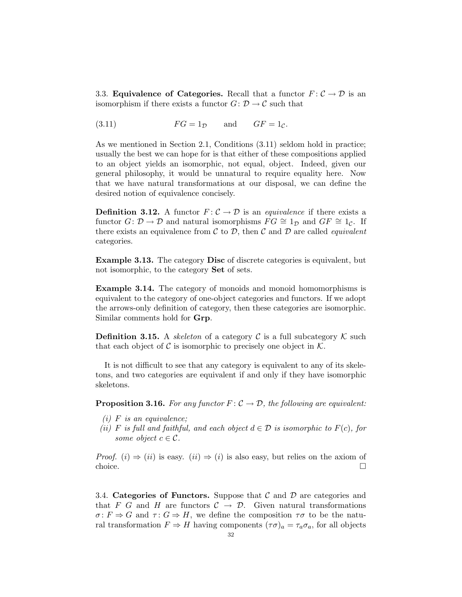3.3. Equivalence of Categories. Recall that a functor  $F: \mathcal{C} \to \mathcal{D}$  is an isomorphism if there exists a functor  $G: \mathcal{D} \to \mathcal{C}$  such that

(3.11)  $FG = 1_D$  and  $GF = 1_C$ .

As we mentioned in Section 2.1, Conditions (3.11) seldom hold in practice; usually the best we can hope for is that either of these compositions applied to an object yields an isomorphic, not equal, object. Indeed, given our general philosophy, it would be unnatural to require equality here. Now that we have natural transformations at our disposal, we can define the desired notion of equivalence concisely.

**Definition 3.12.** A functor  $F: \mathcal{C} \to \mathcal{D}$  is an *equivalence* if there exists a functor  $G: \mathcal{D} \to \mathcal{D}$  and natural isomorphisms  $FG \cong 1_{\mathcal{D}}$  and  $GF \cong 1_{\mathcal{C}}$ . If there exists an equivalence from  $\mathcal C$  to  $\mathcal D$ , then  $\mathcal C$  and  $\mathcal D$  are called *equivalent* categories.

Example 3.13. The category Disc of discrete categories is equivalent, but not isomorphic, to the category Set of sets.

Example 3.14. The category of monoids and monoid homomorphisms is equivalent to the category of one-object categories and functors. If we adopt the arrows-only definition of category, then these categories are isomorphic. Similar comments hold for Grp.

**Definition 3.15.** A skeleton of a category C is a full subcategory  $\mathcal K$  such that each object of  $\mathcal C$  is isomorphic to precisely one object in  $\mathcal K$ .

It is not difficult to see that any category is equivalent to any of its skeletons, and two categories are equivalent if and only if they have isomorphic skeletons.

**Proposition 3.16.** For any functor  $F: \mathcal{C} \to \mathcal{D}$ , the following are equivalent:

- $(i)$  F is an equivalence;
- (ii) F is full and faithful, and each object  $d \in \mathcal{D}$  is isomorphic to  $F(c)$ , for some object  $c \in \mathcal{C}$ .

*Proof.* (i)  $\Rightarrow$  (ii) is easy. (ii)  $\Rightarrow$  (i) is also easy, but relies on the axiom of choice.  $\Box$ 

3.4. Categories of Functors. Suppose that  $\mathcal C$  and  $\mathcal D$  are categories and that F G and H are functors  $C \rightarrow \mathcal{D}$ . Given natural transformations  $\sigma: F \Rightarrow G$  and  $\tau: G \Rightarrow H$ , we define the composition  $\tau\sigma$  to be the natural transformation  $F \Rightarrow H$  having components  $(\tau \sigma)_a = \tau_a \sigma_a$ , for all objects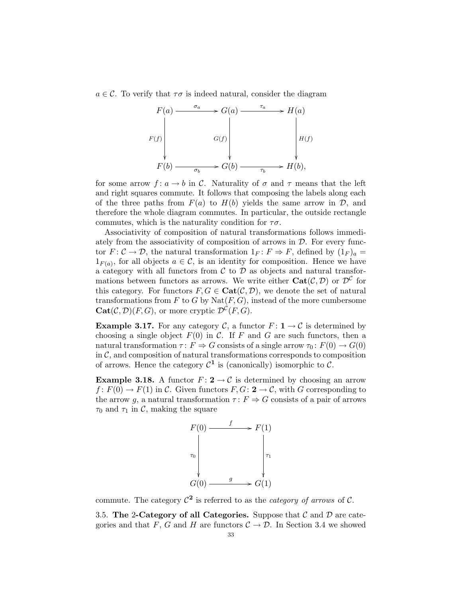$a \in \mathcal{C}$ . To verify that  $\tau \sigma$  is indeed natural, consider the diagram



for some arrow  $f: a \to b$  in C. Naturality of  $\sigma$  and  $\tau$  means that the left and right squares commute. It follows that composing the labels along each of the three paths from  $F(a)$  to  $H(b)$  yields the same arrow in  $D$ , and therefore the whole diagram commutes. In particular, the outside rectangle commutes, which is the naturality condition for  $\tau\sigma$ .

Associativity of composition of natural transformations follows immediately from the associativity of composition of arrows in  $\mathcal{D}$ . For every functor  $F: \mathcal{C} \to \mathcal{D}$ , the natural transformation  $1_F: F \Rightarrow F$ , defined by  $(1_F)_a$  $1_{F(a)}$ , for all objects  $a \in \mathcal{C}$ , is an identity for composition. Hence we have a category with all functors from  $\mathcal C$  to  $\mathcal D$  as objects and natural transformations between functors as arrows. We write either  $\text{Cat}(\mathcal{C}, \mathcal{D})$  or  $\mathcal{D}^{\mathcal{C}}$  for this category. For functors  $F, G \in \text{Cat}(\mathcal{C}, \mathcal{D})$ , we denote the set of natural transformations from  $F$  to  $G$  by  $\mathrm{Nat}(F,G)$ , instead of the more cumbersome  $\text{Cat}(\mathcal{C}, \mathcal{D})(F, G)$ , or more cryptic  $\mathcal{D}^{\mathcal{C}}(F, G)$ .

**Example 3.17.** For any category C, a functor  $F: 1 \rightarrow C$  is determined by choosing a single object  $F(0)$  in C. If F and G are such functors, then a natural transformation  $\tau : F \Rightarrow G$  consists of a single arrow  $\tau_0 : F(0) \to G(0)$  $\infty$ , and composition of natural transformations corresponds to composition of arrows. Hence the category  $\mathcal{C}^1$  is (canonically) isomorphic to  $\mathcal{C}$ .

**Example 3.18.** A functor  $F: 2 \to \mathcal{C}$  is determined by choosing an arrow  $f: F(0) \to F(1)$  in C. Given functors  $F, G: \mathbf{2} \to \mathcal{C}$ , with G corresponding to the arrow g, a natural transformation  $\tau: F \Rightarrow G$  consists of a pair of arrows  $\tau_0$  and  $\tau_1$  in C, making the square



commute. The category  $\mathcal{C}^2$  is referred to as the *category of arrows* of  $\mathcal{C}$ .

3.5. The 2-Category of all Categories. Suppose that  $\mathcal C$  and  $\mathcal D$  are categories and that F, G and H are functors  $C \to \mathcal{D}$ . In Section 3.4 we showed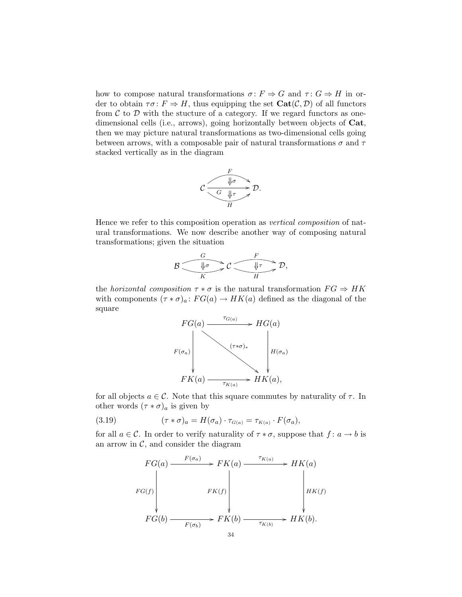how to compose natural transformations  $\sigma: F \Rightarrow G$  and  $\tau: G \Rightarrow H$  in order to obtain  $\tau\sigma: F \Rightarrow H$ , thus equipping the set  $\text{Cat}(\mathcal{C}, \mathcal{D})$  of all functors from  $\mathcal C$  to  $\mathcal D$  with the stucture of a category. If we regard functors as onedimensional cells (i.e., arrows), going horizontally between objects of Cat, then we may picture natural transformations as two-dimensional cells going between arrows, with a composable pair of natural transformations  $\sigma$  and  $\tau$ stacked vertically as in the diagram



Hence we refer to this composition operation as vertical composition of natural transformations. We now describe another way of composing natural transformations; given the situation



the horizontal composition  $\tau * \sigma$  is the natural transformation  $FG \Rightarrow HK$ with components  $(\tau * \sigma)_a : FG(a) \to HK(a)$  defined as the diagonal of the square



for all objects  $a \in \mathcal{C}$ . Note that this square commutes by naturality of  $\tau$ . In other words  $(\tau * \sigma)_a$  is given by

(3.19) 
$$
(\tau * \sigma)_a = H(\sigma_a) \cdot \tau_{G(a)} = \tau_{K(a)} \cdot F(\sigma_a),
$$

for all  $a \in \mathcal{C}$ . In order to verify naturality of  $\tau * \sigma$ , suppose that  $f : a \to b$  is an arrow in  $\mathcal{C}$ , and consider the diagram

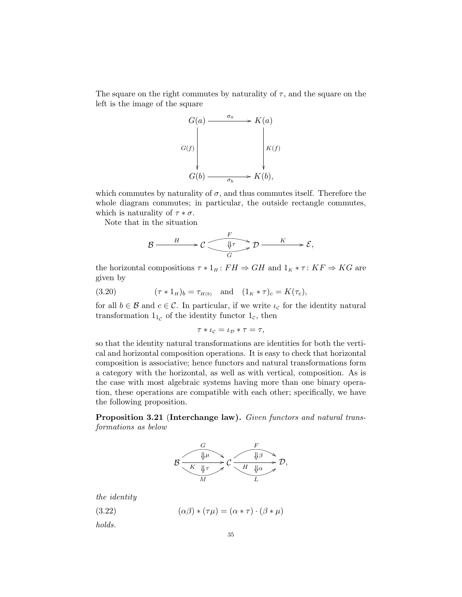The square on the right commutes by naturality of  $\tau$ , and the square on the left is the image of the square



which commutes by naturality of  $\sigma$ , and thus commutes itself. Therefore the whole diagram commutes; in particular, the outside rectangle commutes, which is naturality of  $\tau * \sigma$ .

Note that in the situation

$$
\mathcal{B} \xrightarrow{H} \mathcal{C} \xrightarrow{F} \mathcal{D} \xrightarrow{K} \mathcal{E},
$$

the horizontal compositions  $\tau * 1_H : FH \Rightarrow GH$  and  $1_K * \tau : KF \Rightarrow KG$  are given by

(3.20) 
$$
(\tau * 1_H)_b = \tau_{H(b)}
$$
 and  $(1_K * \tau)_c = K(\tau_c)$ ,

for all  $b \in \mathcal{B}$  and  $c \in \mathcal{C}$ . In particular, if we write  $\iota_c$  for the identity natural transformation  $1_{1c}$  of the identity functor  $1_c$ , then

$$
\tau * \iota_{\mathcal{C}} = \iota_{\mathcal{D}} * \tau = \tau,
$$

so that the identity natural transformations are identities for both the vertical and horizontal composition operations. It is easy to check that horizontal composition is associative; hence functors and natural transformations form a category with the horizontal, as well as with vertical, composition. As is the case with most algebraic systems having more than one binary operation, these operations are compatible with each other; specifically, we have the following proposition.

Proposition 3.21 (Interchange law). Given functors and natural transformations as below



the identity

| (3.22) | $(\alpha\beta) * (\tau\mu) = (\alpha * \tau) \cdot (\beta * \mu)$ |
|--------|-------------------------------------------------------------------|
| holds. |                                                                   |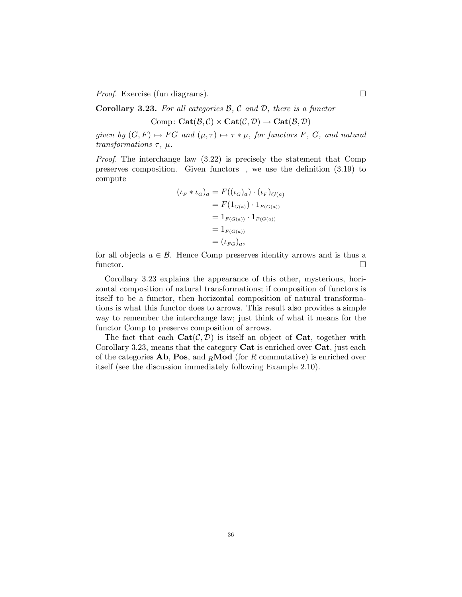*Proof.* Exercise (fun diagrams).  $\square$ 

**Corollary 3.23.** For all categories  $\mathcal{B}$ ,  $\mathcal{C}$  and  $\mathcal{D}$ , there is a functor

Comp: 
$$
\text{Cat}(\mathcal{B}, \mathcal{C}) \times \text{Cat}(\mathcal{C}, \mathcal{D}) \to \text{Cat}(\mathcal{B}, \mathcal{D})
$$

given by  $(G, F) \mapsto FG$  and  $(\mu, \tau) \mapsto \tau * \mu$ , for functors F, G, and natural transformations  $\tau$ ,  $\mu$ .

Proof. The interchange law (3.22) is precisely the statement that Comp preserves composition. Given functors , we use the definition (3.19) to compute

$$
(\iota_F * \iota_G)_a = F((\iota_G)_a) \cdot (\iota_F)_{G(a)}
$$
  
=  $F(1_{G(a)}) \cdot 1_{F(G(a))}$   
=  $1_{F(G(a))} \cdot 1_{F(G(a))}$   
=  $1_{F(G(a))}$   
=  $(\iota_{FG})_a$ ,

for all objects  $a \in \mathcal{B}$ . Hence Comp preserves identity arrows and is thus a functor.  $\Box$ 

Corollary 3.23 explains the appearance of this other, mysterious, horizontal composition of natural transformations; if composition of functors is itself to be a functor, then horizontal composition of natural transformations is what this functor does to arrows. This result also provides a simple way to remember the interchange law; just think of what it means for the functor Comp to preserve composition of arrows.

The fact that each  $Cat(\mathcal{C}, \mathcal{D})$  is itself an object of Cat, together with Corollary 3.23, means that the category Cat is enriched over Cat, just each of the categories **Ab**, **Pos**, and  $_R$ **Mod** (for R commutative) is enriched over itself (see the discussion immediately following Example 2.10).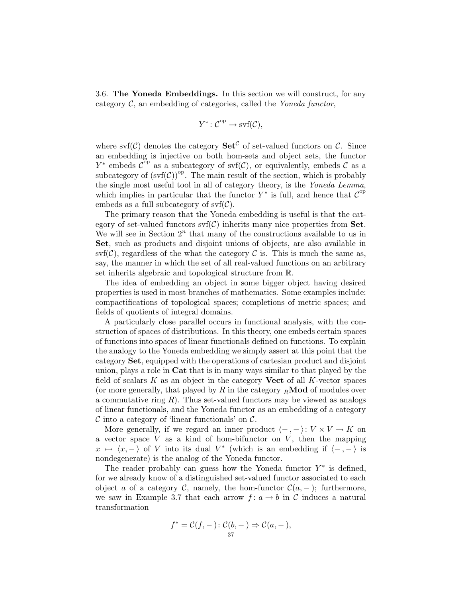3.6. The Yoneda Embeddings. In this section we will construct, for any category  $C$ , an embedding of categories, called the Yoneda functor,

$$
Y^* \colon \mathcal{C}^{op} \to \mathrm{svf}(\mathcal{C}),
$$

where svf( $\mathcal{C}$ ) denotes the category  $\mathbf{Set}^{\mathcal{C}}$  of set-valued functors on  $\mathcal{C}$ . Since an embedding is injective on both hom-sets and object sets, the functor  $Y^*$  embeds  $\mathcal{C}^{\text{op}}$  as a subcategory of svf( $\mathcal{C}$ ), or equivalently, embeds  $\mathcal{C}$  as a subcategory of  $(s\text{vf}(\mathcal{C}))^{\text{op}}$ . The main result of the section, which is probably the single most useful tool in all of category theory, is the Yoneda Lemma, which implies in particular that the functor  $Y^*$  is full, and hence that  $\mathcal{C}^{\text{op}}$ embeds as a full subcategory of  $\text{svf}(\mathcal{C})$ .

The primary reason that the Yoneda embedding is useful is that the category of set-valued functors  $\text{svf}(\mathcal{C})$  inherits many nice properties from **Set**. We will see in Section  $2^n$  that many of the constructions available to us in Set, such as products and disjoint unions of objects, are also available in  $\text{svf}(\mathcal{C})$ , regardless of the what the category  $\mathcal C$  is. This is much the same as, say, the manner in which the set of all real-valued functions on an arbitrary set inherits algebraic and topological structure from R.

The idea of embedding an object in some bigger object having desired properties is used in most branches of mathematics. Some examples include: compactifications of topological spaces; completions of metric spaces; and fields of quotients of integral domains.

A particularly close parallel occurs in functional analysis, with the construction of spaces of distributions. In this theory, one embeds certain spaces of functions into spaces of linear functionals defined on functions. To explain the analogy to the Yoneda embedding we simply assert at this point that the category Set, equipped with the operations of cartesian product and disjoint union, plays a role in Cat that is in many ways similar to that played by the field of scalars  $K$  as an object in the category **Vect** of all  $K$ -vector spaces (or more generally, that played by R in the category  $_R\textbf{Mod}$  of modules over a commutative ring  $R$ ). Thus set-valued functors may be viewed as analogs of linear functionals, and the Yoneda functor as an embedding of a category  $\mathcal C$  into a category of 'linear functionals' on  $\mathcal C$ .

More generally, if we regard an inner product  $\langle -, - \rangle : V \times V \to K$  on a vector space  $V$  as a kind of hom-bifunctor on  $V$ , then the mapping  $x \mapsto \langle x, -\rangle$  of V into its dual V<sup>\*</sup> (which is an embedding if  $\langle -, -\rangle$  is nondegenerate) is the analog of the Yoneda functor.

The reader probably can guess how the Yoneda functor  $Y^*$  is defined, for we already know of a distinguished set-valued functor associated to each object a of a category C, namely, the hom-functor  $C(a, -)$ ; furthermore, we saw in Example 3.7 that each arrow  $f: a \rightarrow b$  in C induces a natural transformation

$$
f^* = \mathcal{C}(f, -): \mathcal{C}(b, -) \Rightarrow \mathcal{C}(a, -),
$$
  
<sub>37</sub>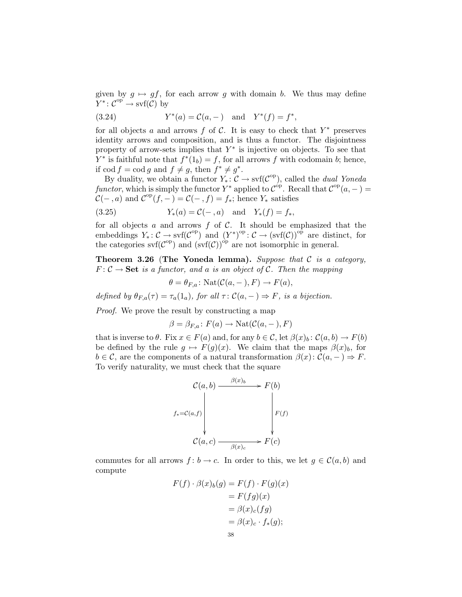given by  $g \mapsto gf$ , for each arrow g with domain b. We thus may define  $Y^* : \mathcal{C}^{op} \to \text{svf}(\mathcal{C})$  by

(3.24) 
$$
Y^*(a) = C(a, -)
$$
 and  $Y^*(f) = f^*$ ,

for all objects a and arrows f of  $\mathcal{C}$ . It is easy to check that  $Y^*$  preserves identity arrows and composition, and is thus a functor. The disjointness property of arrow-sets implies that  $Y^*$  is injective on objects. To see that  $Y^*$  is faithful note that  $f^*(1_b) = f$ , for all arrows f with codomain b; hence, if  $\operatorname{cod} f = \operatorname{cod} g$  and  $f \neq g$ , then  $f^* \neq g^*$ .

By duality, we obtain a functor  $Y_* : \mathcal{C} \to \text{svf}(\mathcal{C}^{\text{op}})$ , called the *dual Yoneda* functor, which is simply the functor  $Y^*$  applied to  $\mathcal{C}^{\text{op}}$ . Recall that  $\mathcal{C}^{\text{op}}(a, -) =$  $\mathcal{C}(-,a)$  and  $\mathcal{C}^{\text{op}}(f,-) = \mathcal{C}(-,f) = f_*$ ; hence Y<sub>\*</sub> satisfies

(3.25) 
$$
Y_*(a) = C(-, a)
$$
 and  $Y_*(f) = f_*$ ,

for all objects  $a$  and arrows  $f$  of  $C$ . It should be emphasized that the embeddings  $Y_*: \mathcal{C} \to \text{svf}(\mathcal{C}^{\text{op}})$  and  $(Y^*)^{\text{op}}: \mathcal{C} \to (\text{svf}(\mathcal{C}))^{\text{op}}$  are distinct, for the categories  $\text{svf}(\mathcal{C}^{\text{op}})$  and  $(\text{svf}(\mathcal{C}))^{\text{op}}$  are not isomorphic in general.

**Theorem 3.26** (The Yoneda lemma). Suppose that C is a category,  $F: \mathcal{C} \to \mathbf{Set}$  is a functor, and a is an object of  $\mathcal{C}$ . Then the mapping

$$
\theta = \theta_{F,a} \colon \mathrm{Nat}(\mathcal{C}(a, -), F) \to F(a),
$$

defined by  $\theta_{F,a}(\tau) = \tau_a(1_a)$ , for all  $\tau: \mathcal{C}(a, -) \Rightarrow F$ , is a bijection.

Proof. We prove the result by constructing a map

$$
\beta = \beta_{F,a} \colon F(a) \to \text{Nat}(\mathcal{C}(a, -), F)
$$

that is inverse to  $\theta$ . Fix  $x \in F(a)$  and, for any  $b \in \mathcal{C}$ , let  $\beta(x)_b : \mathcal{C}(a, b) \to F(b)$ be defined by the rule  $g \mapsto F(g)(x)$ . We claim that the maps  $\beta(x)_b$ , for  $b \in \mathcal{C}$ , are the components of a natural transformation  $\beta(x)$ :  $\mathcal{C}(a, -) \Rightarrow F$ . To verify naturality, we must check that the square



commutes for all arrows  $f: b \to c$ . In order to this, we let  $g \in \mathcal{C}(a, b)$  and compute

$$
F(f) \cdot \beta(x)_b(g) = F(f) \cdot F(g)(x)
$$
  
=  $F(fg)(x)$   
=  $\beta(x)_c(fg)$   
=  $\beta(x)_c \cdot f_*(g);$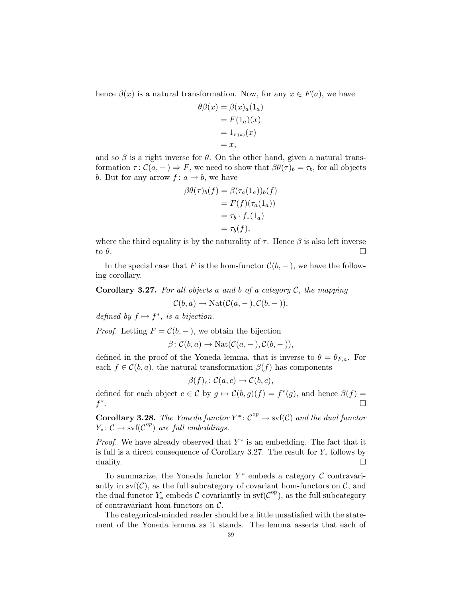hence  $\beta(x)$  is a natural transformation. Now, for any  $x \in F(a)$ , we have

$$
\theta \beta(x) = \beta(x)_a(1_a)
$$
  
=  $F(1_a)(x)$   
=  $1_{F(a)}(x)$   
= x,

and so  $\beta$  is a right inverse for  $\theta$ . On the other hand, given a natural transformation  $\tau: \mathcal{C}(a, -) \Rightarrow F$ , we need to show that  $\beta \theta(\tau)_b = \tau_b$ , for all objects b. But for any arrow  $f: a \rightarrow b$ , we have

$$
\beta \theta(\tau)_b(f) = \beta(\tau_a(1_a))_b(f)
$$
  
=  $F(f)(\tau_a(1_a))$   
=  $\tau_b \cdot f_*(1_a)$   
=  $\tau_b(f)$ ,

where the third equality is by the naturality of  $\tau$ . Hence  $\beta$  is also left inverse to  $\theta$ .

In the special case that F is the hom-functor  $\mathcal{C}(b, -)$ , we have the following corollary.

**Corollary 3.27.** For all objects a and b of a category  $C$ , the mapping

$$
C(b, a) \to \mathrm{Nat}(\mathcal{C}(a, -), \mathcal{C}(b, -)),
$$

defined by  $f \mapsto f^*$ , is a bijection.

*Proof.* Letting  $F = \mathcal{C}(b, -)$ , we obtain the bijection

$$
\beta \colon \mathcal{C}(b, a) \to \mathrm{Nat}(\mathcal{C}(a, -), \mathcal{C}(b, -)),
$$

defined in the proof of the Yoneda lemma, that is inverse to  $\theta = \theta_{F,a}$ . For each  $f \in \mathcal{C}(b, a)$ , the natural transformation  $\beta(f)$  has components

$$
\beta(f)_c \colon \mathcal{C}(a,c) \to \mathcal{C}(b,c),
$$

defined for each object  $c \in \mathcal{C}$  by  $g \mapsto \mathcal{C}(b, g)(f) = f^*(g)$ , and hence  $\beta(f) = f^*(g)$ f ∗ .

**Corollary 3.28.** The Yoneda functor  $Y^*$ :  $C^{op} \to \text{svf}(\mathcal{C})$  and the dual functor  $Y_*: \mathcal{C} \to \text{svf}(\mathcal{C}^{op})$  are full embeddings.

*Proof.* We have already observed that  $Y^*$  is an embedding. The fact that it is full is a direct consequence of Corollary 3.27. The result for  $Y_*$  follows by duality.  $\Box$ 

To summarize, the Yoneda functor  $Y^*$  embeds a category  $\mathcal C$  contravariantly in  $\text{svf}(\mathcal{C})$ , as the full subcategory of covariant hom-functors on  $\mathcal{C}$ , and the dual functor  $Y_*$  embeds  $\mathcal C$  covariantly in  $\text{svf}(\mathcal C^{\text{op}})$ , as the full subcategory of contravariant hom-functors on C.

The categorical-minded reader should be a little unsatisfied with the statement of the Yoneda lemma as it stands. The lemma asserts that each of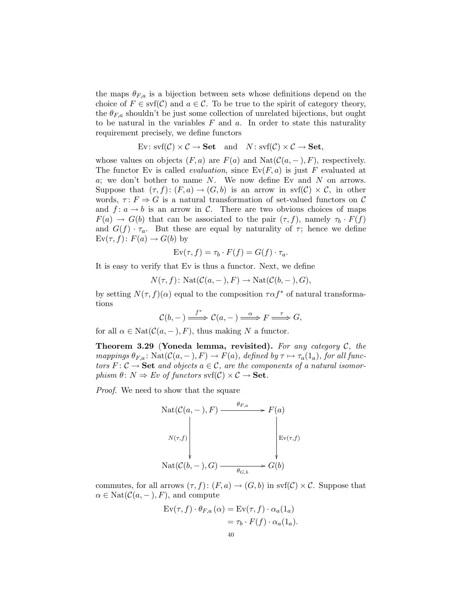the maps  $\theta_{F,a}$  is a bijection between sets whose definitions depend on the choice of  $F \in \text{svf}(\mathcal{C})$  and  $a \in \mathcal{C}$ . To be true to the spirit of category theory, the  $\theta_{F,a}$  shouldn't be just some collection of unrelated bijections, but ought to be natural in the variables  $F$  and  $a$ . In order to state this naturality requirement precisely, we define functors

$$
Ev: svf(\mathcal{C}) \times \mathcal{C} \to \mathbf{Set} \text{ and } N: svf(\mathcal{C}) \times \mathcal{C} \to \mathbf{Set},
$$

whose values on objects  $(F, a)$  are  $F(a)$  and  $\text{Nat}(\mathcal{C}(a, -), F)$ , respectively. The functor Ev is called *evaluation*, since  $Ev(F, a)$  is just F evaluated at  $a$ ; we don't bother to name N. We now define Ev and N on arrows. Suppose that  $(\tau, f): (F, a) \to (G, b)$  is an arrow in  $\text{svf}(\mathcal{C}) \times \mathcal{C}$ , in other words,  $\tau: F \Rightarrow G$  is a natural transformation of set-valued functors on C and  $f: a \to b$  is an arrow in C. There are two obvious choices of maps  $F(a) \rightarrow G(b)$  that can be associated to the pair  $(\tau, f)$ , namely  $\tau_b \cdot F(f)$ and  $G(f) \cdot \tau_a$ . But these are equal by naturality of  $\tau$ ; hence we define  $Ev(\tau, f) \colon F(a) \to G(b)$  by

$$
\operatorname{Ev}(\tau, f) = \tau_b \cdot F(f) = G(f) \cdot \tau_a.
$$

It is easy to verify that Ev is thus a functor. Next, we define

$$
N(\tau, f): \operatorname{Nat}(\mathcal{C}(a, -), F) \to \operatorname{Nat}(\mathcal{C}(b, -), G),
$$

by setting  $N(\tau, f)(\alpha)$  equal to the composition  $\tau \alpha f^*$  of natural transformations

$$
\mathcal{C}(b,-) \xrightarrow{f^*} \mathcal{C}(a,-) \xrightarrow{\alpha} F \xrightarrow{\tau} G,
$$

for all  $\alpha \in \text{Nat}(\mathcal{C}(a, -), F)$ , thus making N a functor.

Theorem 3.29 (Yoneda lemma, revisited). For any category  $C$ , the mappings  $\theta_{F,a}$ : Nat $(\mathcal{C}(a, -), F) \to F(a)$ , defined by  $\tau \mapsto \tau_a(1_a)$ , for all functors  $F: \mathcal{C} \to \mathbf{Set}$  and objects  $a \in \mathcal{C}$ , are the components of a natural isomorphism  $\theta \colon N \Rightarrow Ev$  of functors  $\text{svf}(\mathcal{C}) \times \mathcal{C} \to \mathbf{Set}$ .

Proof. We need to show that the square

$$
\operatorname{Nat}(\mathcal{C}(a, -), F) \xrightarrow{\theta_{F,a}} F(a)
$$
\n
$$
N(\tau, f) \downarrow \qquad \qquad \downarrow F(\tau, f)
$$
\n
$$
\operatorname{Nat}(\mathcal{C}(b, -), G) \xrightarrow{\theta_{G,b}} G(b)
$$

commutes, for all arrows  $(\tau, f): (F, a) \to (G, b)$  in svf $(\mathcal{C}) \times \mathcal{C}$ . Suppose that  $\alpha \in \mathrm{Nat}(\mathcal{C}(a,-),F)$ , and compute

$$
\text{Ev}(\tau, f) \cdot \theta_{F,a}(\alpha) = \text{Ev}(\tau, f) \cdot \alpha_a(1_a)
$$
  
=  $\tau_b \cdot F(f) \cdot \alpha_a(1_a)$ .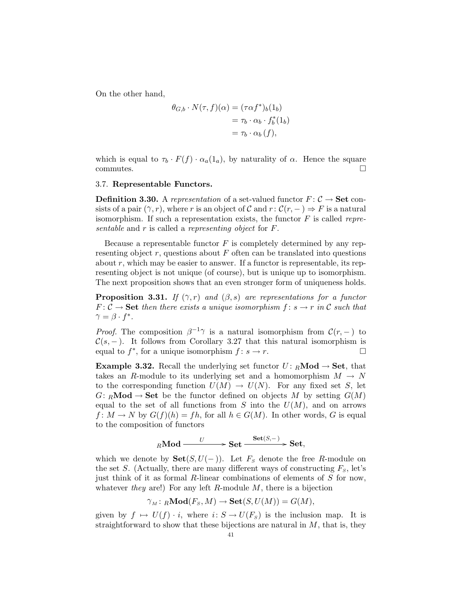On the other hand,

$$
\theta_{G,b} \cdot N(\tau, f)(\alpha) = (\tau \alpha f^*)_b(1_b)
$$
  
=  $\tau_b \cdot \alpha_b \cdot f_b^*(1_b)$   
=  $\tau_b \cdot \alpha_b (f),$ 

which is equal to  $\tau_b \cdot F(f) \cdot \alpha_a(1_a)$ , by naturality of  $\alpha$ . Hence the square  $commutes.$ 

## 3.7. Representable Functors.

**Definition 3.30.** A representation of a set-valued functor  $F: \mathcal{C} \to \mathbf{Set}$  consists of a pair  $(\gamma, r)$ , where r is an object of C and  $r : C(r, -) \Rightarrow F$  is a natural isomorphism. If such a representation exists, the functor  $F$  is called representable and r is called a representing object for F.

Because a representable functor  $F$  is completely determined by any representing object  $r$ , questions about  $F$  often can be translated into questions about  $r$ , which may be easier to answer. If a functor is representable, its representing object is not unique (of course), but is unique up to isomorphism. The next proposition shows that an even stronger form of uniqueness holds.

**Proposition 3.31.** If  $(\gamma, r)$  and  $(\beta, s)$  are representations for a functor  $F: \mathcal{C} \to \mathbf{Set}$  then there exists a unique isomorphism  $f: s \to r$  in  $\mathcal{C}$  such that  $\gamma = \beta \cdot f^*$ .

*Proof.* The composition  $\beta^{-1}\gamma$  is a natural isomorphism from  $\mathcal{C}(r,-)$  to  $\mathcal{C}(s, -)$ . It follows from Corollary 3.27 that this natural isomorphism is equal to  $f^*$ , for a unique isomorphism  $f: s \to r$ .

**Example 3.32.** Recall the underlying set functor  $U: {}_R\text{Mod} \to \text{Set}$ , that takes an R-module to its underlying set and a homomorphism  $M \to N$ to the corresponding function  $U(M) \to U(N)$ . For any fixed set S, let  $G: {}_R\textbf{Mod} \to \textbf{Set}$  be the functor defined on objects M by setting  $G(M)$ equal to the set of all functions from S into the  $U(M)$ , and on arrows  $f: M \to N$  by  $G(f)(h) = fh$ , for all  $h \in G(M)$ . In other words, G is equal to the composition of functors

$$
{}_{R}\textbf{Mod} \xrightarrow{U} \textbf{Set} \xrightarrow{\textbf{Set}(S,-)} \textbf{Set},
$$

which we denote by  $\textbf{Set}(S, U(-))$ . Let  $F_S$  denote the free R-module on the set S. (Actually, there are many different ways of constructing  $F_s$ , let's just think of it as formal R-linear combinations of elements of  $S$  for now, whatever they are!) For any left R-module  $M$ , there is a bijection

$$
\gamma_M \colon {}_R\mathbf{Mod}(F_S, M) \to \mathbf{Set}(S, U(M)) = G(M),
$$

given by  $f \mapsto U(f) \cdot i$ , where  $i: S \to U(F_S)$  is the inclusion map. It is straightforward to show that these bijections are natural in  $M$ , that is, they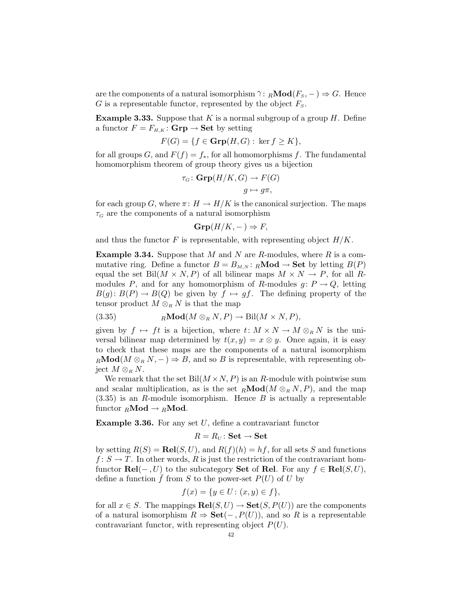are the components of a natural isomorphism  $\gamma: R\textbf{Mod}(F_s, -) \Rightarrow G$ . Hence G is a representable functor, represented by the object  $F_s$ .

**Example 3.33.** Suppose that K is a normal subgroup of a group  $H$ . Define a functor  $F = F_{H,K}$ : **Grp**  $\rightarrow$  **Set** by setting

$$
F(G) = \{ f \in \mathbf{Grp}(H, G) : \ker f \ge K \},
$$

for all groups G, and  $F(f) = f_*$ , for all homomorphisms f. The fundamental homomorphism theorem of group theory gives us a bijection

$$
\tau_G\colon \mathbf{Grp}(H/K, G) \to F(G)
$$

$$
g \mapsto g\pi,
$$

for each group G, where  $\pi: H \to H/K$  is the canonical surjection. The maps  $\tau<sub>G</sub>$  are the components of a natural isomorphism

$$
\mathbf{Grp}(H/K,-)\Rightarrow F,
$$

and thus the functor  $F$  is representable, with representing object  $H/K$ .

**Example 3.34.** Suppose that M and N are R-modules, where R is a commutative ring. Define a functor  $B = B_{M,N} : R\textbf{Mod} \to \textbf{Set}$  by letting  $B(P)$ equal the set Bil $(M \times N, P)$  of all bilinear maps  $M \times N \to P$ , for all Rmodules P, and for any homomorphism of R-modules  $g: P \to Q$ , letting  $B(g): B(P) \to B(Q)$  be given by  $f \mapsto gf$ . The defining property of the tensor product  $M \otimes_R N$  is that the map

(3.35) 
$$
_R\mathbf{Mod}(M\otimes_R N,P)\to \text{Bil}(M\times N,P),
$$

given by  $f \mapsto ft$  is a bijection, where  $t: M \times N \to M \otimes_R N$  is the universal bilinear map determined by  $t(x, y) = x \otimes y$ . Once again, it is easy to check that these maps are the components of a natural isomorphism  $_R\text{Mod}(M\otimes_R N,-)\Rightarrow B$ , and so B is representable, with representing object  $M \otimes_R N$ .

We remark that the set  $\text{Bil}(M \times N, P)$  is an R-module with pointwise sum and scalar multiplication, as is the set  $_R\textbf{Mod}(M \otimes_R N, P)$ , and the map  $(3.35)$  is an R-module isomorphism. Hence B is actually a representable functor  $_R\textbf{Mod} \to {}_R\textbf{Mod}.$ 

**Example 3.36.** For any set  $U$ , define a contravariant functor

$$
R = R_U : \mathbf{Set} \to \mathbf{Set}
$$

by setting  $R(S) = \text{Rel}(S, U)$ , and  $R(f)(h) = hf$ , for all sets S and functions  $f: S \to T$ . In other words, R is just the restriction of the contravariant homfunctor  $\textbf{Rel}(-, U)$  to the subcategory **Set** of Rel. For any  $f \in \textbf{Rel}(S, U)$ , define a function f from S to the power-set  $P(U)$  of U by

$$
f(x) = \{ y \in U : (x, y) \in f \},\
$$

for all  $x \in S$ . The mappings  $\text{Rel}(S, U) \to \text{Set}(S, P(U))$  are the components of a natural isomorphism  $R \Rightarrow Set(-, P(U))$ , and so R is a representable contravariant functor, with representing object  $P(U)$ .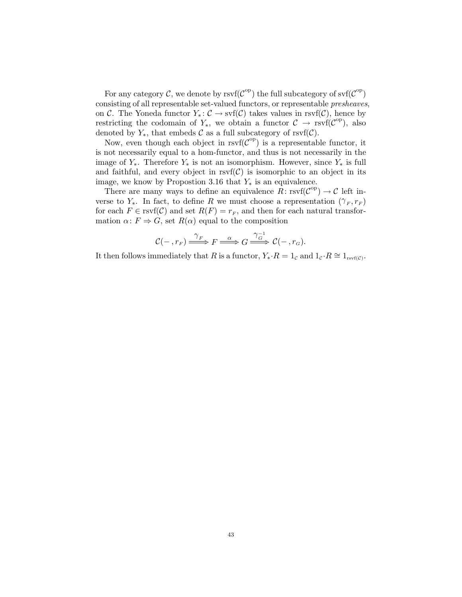For any category  $\mathcal{C}$ , we denote by  $\text{rsvf}(\mathcal{C}^{\text{op}})$  the full subcategory of  $\text{svf}(\mathcal{C}^{\text{op}})$ consisting of all representable set-valued functors, or representable presheaves, on C. The Yoneda functor  $Y_* : \mathcal{C} \to \text{svf}(\mathcal{C})$  takes values in rsvf(C), hence by restricting the codomain of  $Y_*$ , we obtain a functor  $\mathcal{C} \to \text{rsvf}(\mathcal{C}^{\text{op}})$ , also denoted by  $Y_*$ , that embeds  $\mathcal C$  as a full subcategory of rsvf $(\mathcal C)$ .

Now, even though each object in  $\text{rsvf}(\mathcal{C}^{\text{op}})$  is a representable functor, it is not necessarily equal to a hom-functor, and thus is not necessarily in the image of  $Y_*$ . Therefore  $Y_*$  is not an isomorphism. However, since  $Y_*$  is full and faithful, and every object in  $\text{rsvf}(\mathcal{C})$  is isomorphic to an object in its image, we know by Propostion 3.16 that  $Y_*$  is an equivalence.

There are many ways to define an equivalence  $R: \text{rsvf}(\mathcal{C}^{\text{op}}) \to \mathcal{C}$  left inverse to  $Y_*$ . In fact, to define R we must choose a representation  $(\gamma_F, r_F)$ for each  $F \in \text{rsvf}(\mathcal{C})$  and set  $R(F) = r_F$ , and then for each natural transformation  $\alpha: F \Rightarrow G$ , set  $R(\alpha)$  equal to the composition

$$
\mathcal{C}(-,r_F) \xrightarrow{\gamma_F} F \xrightarrow{\alpha} G \xrightarrow{\gamma_G^{-1}} \mathcal{C}(-,r_G).
$$

It then follows immediately that R is a functor,  $Y_*R = 1_{\mathcal{C}}$  and  $1_{\mathcal{C}} \cdot R \cong 1_{\text{rsvf}(\mathcal{C})}$ .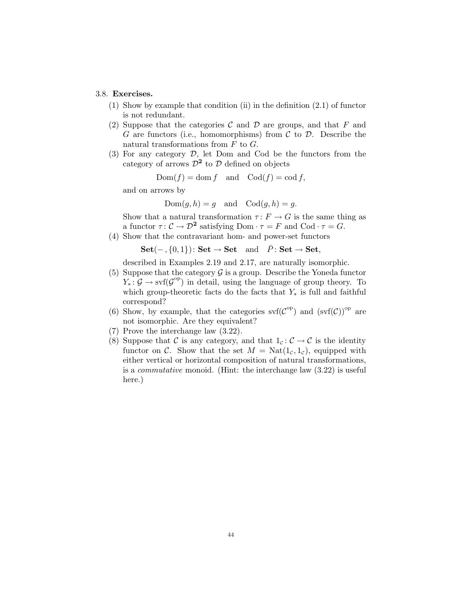### 3.8. Exercises.

- (1) Show by example that condition (ii) in the definition (2.1) of functor is not redundant.
- (2) Suppose that the categories C and D are groups, and that F and G are functors (i.e., homomorphisms) from C to D. Describe the natural transformations from  $F$  to  $G$ .
- (3) For any category  $D$ , let Dom and Cod be the functors from the category of arrows  $\mathcal{D}^2$  to  $\mathcal D$  defined on objects

 $Dom(f) = dom f$  and  $Cod(f) = cod f$ ,

and on arrows by

$$
Dom(g, h) = g
$$
 and  $Cod(g, h) = g$ .

Show that a natural transformation  $\tau: F \to G$  is the same thing as a functor  $\tau: \mathcal{C} \to \mathcal{D}^2$  satisfying Dom  $\cdot \tau = F$  and Cod  $\cdot \tau = G$ .

(4) Show that the contravariant hom- and power-set functors

$$
\mathbf{Set}(-,\{0,1\})\colon \mathbf{Set}\to \mathbf{Set}\quad \text{and}\quad \bar{P}\colon \mathbf{Set}\to \mathbf{Set},
$$

described in Examples 2.19 and 2.17, are naturally isomorphic.

- (5) Suppose that the category  $\mathcal G$  is a group. Describe the Yoneda functor  $Y_* : \mathcal{G} \to \text{svf}(\mathcal{G}^{\text{op}})$  in detail, using the language of group theory. To which group-theoretic facts do the facts that  $Y_*$  is full and faithful correspond?
- (6) Show, by example, that the categories  $\text{svf}(\mathcal{C}^{\text{op}})$  and  $(\text{svf}(\mathcal{C}))^{\text{op}}$  are not isomorphic. Are they equivalent?
- (7) Prove the interchange law (3.22).
- (8) Suppose that C is any category, and that  $1_c : \mathcal{C} \to \mathcal{C}$  is the identity functor on C. Show that the set  $M = \text{Nat}(1_c, 1_c)$ , equipped with either vertical or horizontal composition of natural transformations, is a commutative monoid. (Hint: the interchange law (3.22) is useful here.)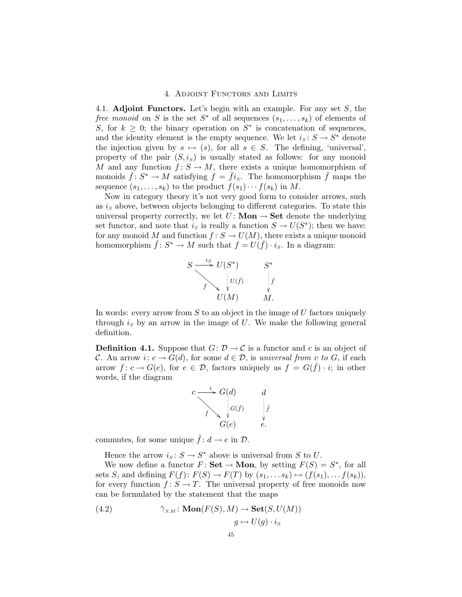#### 4. Adjoint Functors and Limits

4.1. **Adjoint Functors.** Let's begin with an example. For any set  $S$ , the free monoid on S is the set  $S^*$  of all sequences  $(s_1, \ldots, s_k)$  of elements of S, for  $k \geq 0$ ; the binary operation on  $S^*$  is concatenation of sequences, and the identity element is the empty sequence. We let  $i_S : S \to S^*$  denote the injection given by  $s \mapsto (s)$ , for all  $s \in S$ . The defining, 'universal', property of the pair  $(S, i_S)$  is usually stated as follows: for any monoid M and any function  $f: S \to M$ , there exists a unique homomorphism of monoids  $\bar{f}: S^* \to M$  satisfying  $f = \bar{f}i_S$ . The homomorphism  $\bar{f}$  maps the sequence  $(s_1, \ldots, s_k)$  to the product  $f(s_1) \cdots f(s_k)$  in M.

Now in category theory it's not very good form to consider arrows, such as  $i<sub>S</sub>$  above, between objects belonging to different categories. To state this universal property correctly, we let  $U: \mathbf{Mon} \to \mathbf{Set}$  denote the underlying set functor, and note that  $i_S$  is really a function  $S \to U(S^*)$ ; then we have: for any monoid M and function  $f: S \to U(M)$ , there exists a unique monoid homomorphism  $\bar{f}: S^* \to M$  such that  $f = U(\bar{f}) \cdot i_S$ . In a diagram:



In words: every arrow from  $S$  to an object in the image of  $U$  factors uniquely through  $i<sub>S</sub>$  by an arrow in the image of U. We make the following general definition.

**Definition 4.1.** Suppose that  $G: \mathcal{D} \to \mathcal{C}$  is a functor and c is an object of C. An arrow  $i: c \to G(d)$ , for some  $d \in \mathcal{D}$ , is universal from c to G, if each arrow  $f: c \to G(e)$ , for  $e \in \mathcal{D}$ , factors uniquely as  $f = G(\bar{f}) \cdot i$ ; in other words, if the diagram



commutes, for some unique  $\bar{f}$ :  $d \to e$  in  $\mathcal{D}$ .

Hence the arrow  $i_S: S \to S^*$  above is universal from S to U.

We now define a functor  $F: Set \to Mon$ , by setting  $F(S) = S^*$ , for all sets S, and defining  $F(f): F(S) \to F(T)$  by  $(s_1, \ldots s_k) \mapsto (f(s_1), \ldots f(s_k)),$ for every function  $f: S \to T$ . The universal property of free monoids now can be formulated by the statement that the maps

(4.2) 
$$
\gamma_{S,M} : \text{Mon}(F(S), M) \to \text{Set}(S, U(M))
$$

$$
g \mapsto U(g) \cdot i_S
$$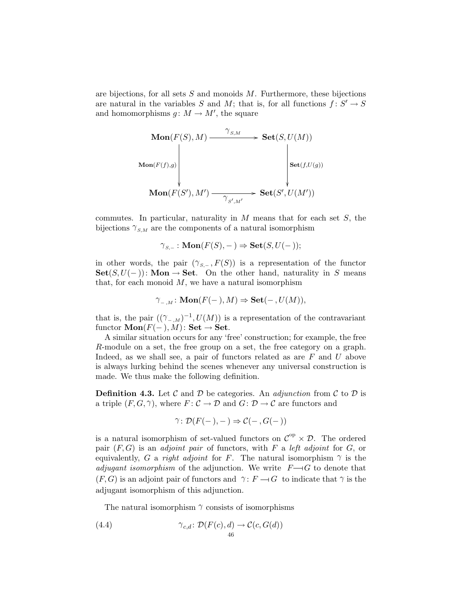are bijections, for all sets  $S$  and monoids  $M$ . Furthermore, these bijections are natural in the variables S and M; that is, for all functions  $f: S' \to S$ and homomorphisms  $g: M \to M'$ , the square

Mon(F(S), M) γS,M Mon(F(f),g) Set(S, U(M)) Set(f,U(g)) Mon(F(S ′ ), M′ ) γ S ′ ,M′ Set(S ′ , U(M′ ))

commutes. In particular, naturality in  $M$  means that for each set  $S$ , the bijections  $\gamma_{S,M}$  are the components of a natural isomorphism

$$
\gamma_{S,-}: \mathbf{Mon}(F(S), -) \Rightarrow \mathbf{Set}(S, U(-));
$$

in other words, the pair  $(\gamma_{S,-}, F(S))$  is a representation of the functor  $\textbf{Set}(S, U(-))$ : Mon → Set. On the other hand, naturality in S means that, for each monoid  $M$ , we have a natural isomorphism

$$
\gamma_{-,M}\colon \mathbf{Mon}(F(-),M)\Rightarrow \mathbf{Set}(-,U(M)),
$$

that is, the pair  $((\gamma_{-,M})^{-1}, U(M))$  is a representation of the contravariant functor  $\text{Mon}(F(-), M)$ : Set  $\rightarrow$  Set.

A similar situation occurs for any 'free' construction; for example, the free R-module on a set, the free group on a set, the free category on a graph. Indeed, as we shall see, a pair of functors related as are  $F$  and  $U$  above is always lurking behind the scenes whenever any universal construction is made. We thus make the following definition.

**Definition 4.3.** Let C and D be categories. An *adjunction* from C to D is a triple  $(F, G, \gamma)$ , where  $F: \mathcal{C} \to \mathcal{D}$  and  $G: \mathcal{D} \to \mathcal{C}$  are functors and

$$
\gamma \colon \mathcal{D}(F(-), -) \Rightarrow \mathcal{C}(-, G(-))
$$

is a natural isomorphism of set-valued functors on  $\mathcal{C}^{op} \times \mathcal{D}$ . The ordered pair  $(F, G)$  is an *adjoint pair* of functors, with  $F$  a left adjoint for  $G$ , or equivalently, G a right adjoint for F. The natural isomorphism  $\gamma$  is the adjugant isomorphism of the adjunction. We write  $F \rightarrow G$  to denote that  $(F, G)$  is an adjoint pair of functors and  $\gamma: F \longrightarrow G$  to indicate that  $\gamma$  is the adjugant isomorphism of this adjunction.

The natural isomorphism  $\gamma$  consists of isomorphisms

(4.4) 
$$
\gamma_{c,d} \colon \mathcal{D}(F(c), d) \to \mathcal{C}(c, G(d))
$$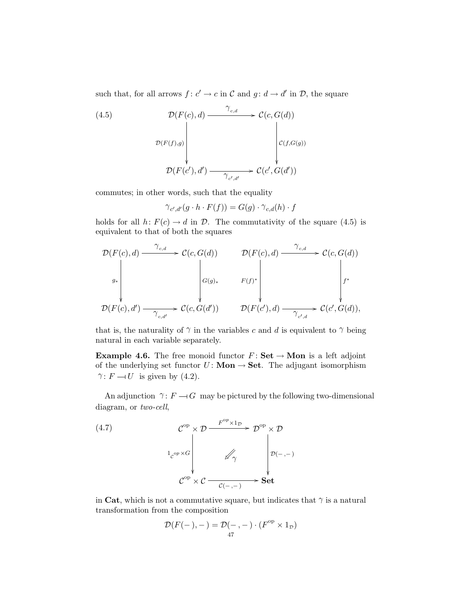such that, for all arrows  $f: c' \to c$  in C and  $g: d \to d'$  in D, the square

(4.5)  
\n
$$
\mathcal{D}(F(c), d) \xrightarrow{\gamma_{c,d}} \mathcal{C}(c, G(d))
$$
\n
$$
\mathcal{D}(F(f), g) \downarrow \qquad \qquad \downarrow \qquad \qquad \downarrow \qquad \qquad \mathcal{C}(f, G(g))
$$
\n
$$
\mathcal{D}(F(c'), d') \xrightarrow{\gamma_{c', d'}} \mathcal{C}(c', G(d'))
$$

commutes; in other words, such that the equality

$$
\gamma_{c',d'}(g \cdot h \cdot F(f)) = G(g) \cdot \gamma_{c,d}(h) \cdot f
$$

holds for all  $h: F(c) \to d$  in  $\mathcal{D}$ . The commutativity of the square (4.5) is equivalent to that of both the squares

$$
\mathcal{D}(F(c), d) \xrightarrow{\gamma_{c,d}} \mathcal{C}(c, G(d)) \qquad \mathcal{D}(F(c), d) \xrightarrow{\gamma_{c,d}} \mathcal{C}(c, G(d))
$$
\n
$$
g_* \qquad \qquad \downarrow \qquad \qquad \downarrow \qquad \qquad \downarrow \qquad \qquad \downarrow \qquad \qquad \downarrow \qquad \qquad \downarrow \qquad \qquad \downarrow \qquad \qquad \downarrow \qquad \qquad \downarrow \qquad \qquad \downarrow \qquad \qquad \downarrow \qquad \qquad \downarrow \qquad \qquad \downarrow \qquad \qquad \downarrow \qquad \qquad \downarrow \qquad \qquad \downarrow \qquad \qquad \downarrow \qquad \qquad \downarrow \qquad \qquad \downarrow \qquad \qquad \downarrow \qquad \qquad \downarrow \qquad \qquad \downarrow \qquad \qquad \downarrow \qquad \qquad \downarrow \qquad \qquad \downarrow \qquad \qquad \downarrow \qquad \qquad \downarrow \qquad \qquad \downarrow \qquad \qquad \downarrow \qquad \qquad \downarrow \qquad \qquad \downarrow \qquad \qquad \downarrow \qquad \qquad \downarrow \qquad \qquad \downarrow \qquad \qquad \downarrow \qquad \qquad \downarrow \qquad \qquad \downarrow \qquad \qquad \downarrow \qquad \qquad \downarrow \qquad \qquad \downarrow \qquad \qquad \downarrow \qquad \qquad \downarrow \qquad \qquad \downarrow \qquad \qquad \downarrow \qquad \qquad \downarrow \qquad \qquad \downarrow \qquad \qquad \downarrow \qquad \qquad \downarrow \qquad \qquad \downarrow \qquad \qquad \downarrow \qquad \qquad \downarrow \qquad \qquad \downarrow \qquad \qquad \downarrow \qquad \qquad \downarrow \qquad \qquad \downarrow \qquad \qquad \downarrow \qquad \qquad \downarrow \qquad \qquad \downarrow \qquad \qquad \downarrow \qquad \qquad \downarrow \qquad \qquad \downarrow \qquad \qquad \downarrow \qquad \qquad \downarrow \qquad \qquad \downarrow \qquad \qquad \downarrow \qquad \qquad \downarrow \qquad \qquad \downarrow \qquad \qquad \downarrow \qquad \qquad \downarrow \qquad \qquad \downarrow \qquad \qquad \downarrow \qquad \qquad \downarrow \qquad \qquad \downarrow \qquad \qquad \downarrow \qquad \qquad \downarrow \qquad \qquad \down
$$

that is, the naturality of  $\gamma$  in the variables c and d is equivalent to  $\gamma$  being natural in each variable separately.

**Example 4.6.** The free monoid functor  $F: Set \to Mon$  is a left adjoint of the underlying set functor  $U \colon \mathbf{Mon} \to \mathbf{Set}$ . The adjugant isomorphism  $\gamma: F \longrightarrow U$  is given by (4.2).

An adjunction  $\gamma: F \longrightarrow G$  may be pictured by the following two-dimensional diagram, or two-cell,

(4.7)  
\n
$$
\mathcal{C}^{\mathrm{op}} \times \mathcal{D} \xrightarrow{F^{\mathrm{op}} \times 1_{\mathcal{D}}} \mathcal{D}^{\mathrm{op}} \times \mathcal{D}
$$
\n
$$
\downarrow_{\mathcal{C}^{\mathrm{op}}} \qquad \qquad \downarrow_{\gamma} \qquad \qquad \downarrow_{\mathcal{D}(-,-)}
$$
\n
$$
\mathcal{C}^{\mathrm{op}} \times \mathcal{C} \xrightarrow{\mathcal{C}(-,-)} \mathbf{Set}
$$

in Cat, which is not a commutative square, but indicates that  $\gamma$  is a natural transformation from the composition

$$
\mathcal{D}(F(-), -) = \mathcal{D}(-, -) \cdot (F^{\text{op}} \times 1_{\mathcal{D}})
$$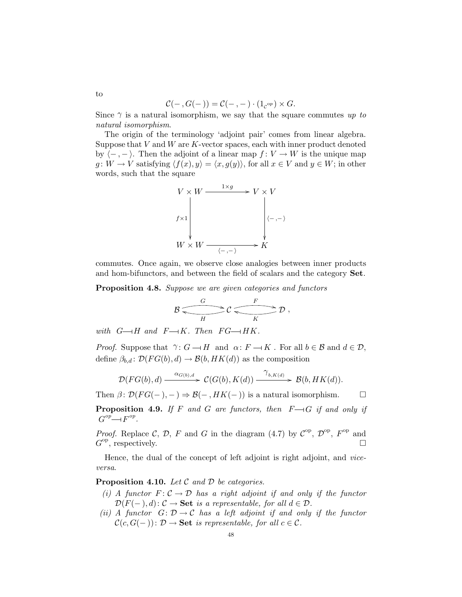$$
\mathcal{C}(-,G(-))=\mathcal{C}(-,-)\cdot(1_{c^{op}})\times G.
$$

Since  $\gamma$  is a natural isomorphism, we say that the square commutes up to natural isomorphism.

The origin of the terminology 'adjoint pair' comes from linear algebra. Suppose that  $V$  and  $W$  are  $K$ -vector spaces, each with inner product denoted by  $\langle -,- \rangle$ . Then the adjoint of a linear map  $f: V \to W$  is the unique map  $g: W \to V$  satisfying  $\langle f(x), y \rangle = \langle x, g(y) \rangle$ , for all  $x \in V$  and  $y \in W$ ; in other words, such that the square



commutes. Once again, we observe close analogies between inner products and hom-bifunctors, and between the field of scalars and the category Set.

**Proposition 4.8.** Suppose we are given categories and functors

$$
\mathcal{B} \xrightarrow{G} \mathcal{C} \xrightarrow{F} \mathcal{D} ,
$$

with  $G \rightarrow H$  and  $F \rightarrow K$ . Then  $FG \rightarrow HK$ .

*Proof.* Suppose that  $\gamma: G \to H$  and  $\alpha: F \to K$ . For all  $b \in \mathcal{B}$  and  $d \in \mathcal{D}$ , define  $\beta_{b,d} : \mathcal{D}(FG(b), d) \to \mathcal{B}(b, HK(d))$  as the composition

$$
\mathcal{D}(FG(b),d) \xrightarrow{\alpha_{G(b),d}} \mathcal{C}(G(b),K(d)) \xrightarrow{\gamma_{b,K(d)}} \mathcal{B}(b,HK(d)).
$$

Then  $\beta$ :  $\mathcal{D}(FG(-), -) \Rightarrow \mathcal{B}(-, HK(-))$  is a natural isomorphism.  $\square$ 

**Proposition 4.9.** If F and G are functors, then  $F \rightarrow G$  if and only if  $G^{op}\rightarrow F^{op}.$ 

*Proof.* Replace C, D, F and G in the diagram (4.7) by  $\mathcal{C}^{\text{op}}, \mathcal{D}^{\text{op}}, F^{\text{op}}$  and  $G^{\rm op}$ , respectively.

Hence, the dual of the concept of left adjoint is right adjoint, and viceversa.

**Proposition 4.10.** Let  $\mathcal C$  and  $\mathcal D$  be categories.

- (i) A functor  $F: \mathcal{C} \to \mathcal{D}$  has a right adjoint if and only if the functor  $\mathcal{D}(F(-), d)$ :  $\mathcal{C} \to \mathbf{Set}$  is a representable, for all  $d \in \mathcal{D}$ .
- (ii) A functor  $G: \mathcal{D} \to \mathcal{C}$  has a left adjoint if and only if the functor  $\mathcal{C}(c, G(-))\colon \mathcal{D} \to \mathbf{Set}$  is representable, for all  $c \in \mathcal{C}$ .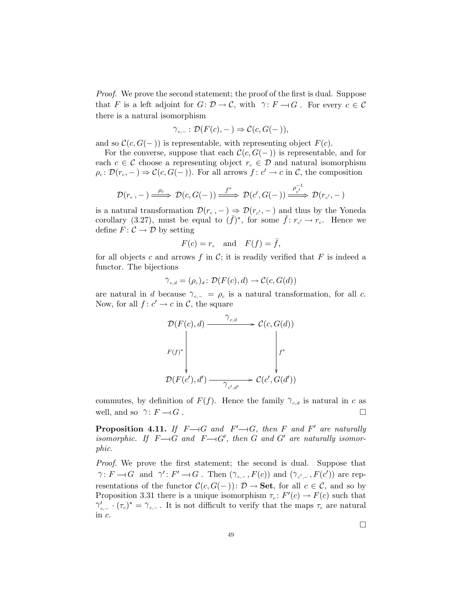Proof. We prove the second statement; the proof of the first is dual. Suppose that F is a left adjoint for  $G: \mathcal{D} \to \mathcal{C}$ , with  $\gamma: F \to G$ . For every  $c \in \mathcal{C}$ there is a natural isomorphism

$$
\gamma_{c,-}: \mathcal{D}(F(c), -) \Rightarrow \mathcal{C}(c, G(-)),
$$

and so  $\mathcal{C}(c, G(-))$  is representable, with representing object  $F(c)$ .

For the converse, suppose that each  $\mathcal{C}(c, G(-))$  is representable, and for each  $c \in \mathcal{C}$  choose a representing object  $r_c \in \mathcal{D}$  and natural isomorphism  $\rho_c: \mathcal{D}(r_c, -) \Rightarrow \mathcal{C}(c, G(-))$ . For all arrows  $f: c' \to c$  in C, the composition

$$
\mathcal{D}(r_c, -) \xrightarrow{\rho_c} \mathcal{D}(c, G(-)) \xrightarrow{f^*} \mathcal{D}(c', G(-)) \xrightarrow{\rho_{c'}^{-1}} \mathcal{D}(r_{c'}, -)
$$

is a natural transformation  $\mathcal{D}(r_c, -) \Rightarrow \mathcal{D}(r_{c'}, -)$  and thus by the Yoneda corollary (3.27), must be equal to  $(f)^*$ , for some  $\bar{f}: r_{c'} \to r_c$ . Hence we define  $F: \mathcal{C} \to \mathcal{D}$  by setting

$$
F(c) = r_c \quad \text{and} \quad F(f) = \bar{f},
$$

for all objects c and arrows f in C; it is readily verified that F is indeed a functor. The bijections

$$
\gamma_{c,d} = (\rho_c)_d \colon \mathcal{D}(F(c), d) \to \mathcal{C}(c, G(d))
$$

are natural in d because  $\gamma_{c,-} = \rho_c$  is a natural transformation, for all c. Now, for all  $f: c' \to c$  in C, the square

$$
\mathcal{D}(F(c), d) \xrightarrow{\gamma_{c,d}} \mathcal{C}(c, G(d))
$$
\n
$$
F(f)^* \downarrow \qquad \qquad \downarrow
$$
\n
$$
\mathcal{D}(F(c'), d') \xrightarrow{\gamma_{c',d'}} \mathcal{C}(c', G(d'))
$$

commutes, by definition of  $F(f)$ . Hence the family  $\gamma_{c,d}$  is natural in c as well, and so  $\gamma: F \to G$ .

**Proposition 4.11.** If  $F \rightarrow G$  and  $F' \rightarrow G$ , then F and F' are naturally isomorphic. If  $F \rightarrow G$  and  $F \rightarrow G'$ , then G and G' are naturally isomorphic.

Proof. We prove the first statement; the second is dual. Suppose that  $\gamma: F \longrightarrow G$  and  $\gamma': F' \longrightarrow G$ . Then  $(\gamma_{c,-}, F(c))$  and  $(\gamma_{c',-}, F(c'))$  are representations of the functor  $\mathcal{C}(c, G(-))$ :  $\mathcal{D} \to \mathbf{Set}$ , for all  $c \in \mathcal{C}$ , and so by Proposition 3.31 there is a unique isomorphism  $\tau_c: F'(c) \to F(c)$  such that  $\gamma'_{c,-} \cdot (\tau_c)^* = \gamma_{c,-}$ . It is not difficult to verify that the maps  $\tau_c$  are natural in c.

 $\Box$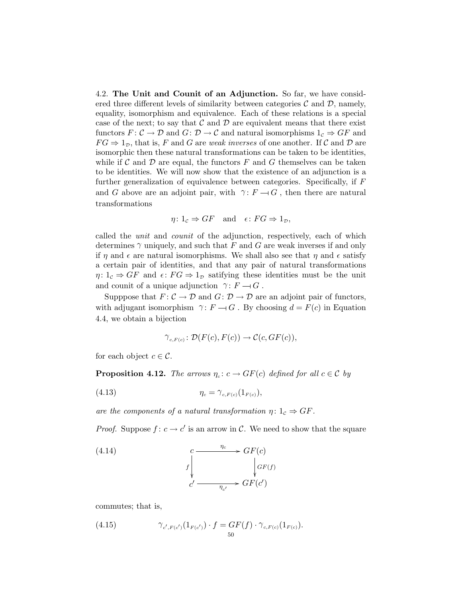4.2. The Unit and Counit of an Adjunction. So far, we have considered three different levels of similarity between categories  $\mathcal C$  and  $\mathcal D$ , namely, equality, isomorphism and equivalence. Each of these relations is a special case of the next; to say that  $\mathcal C$  and  $\mathcal D$  are equivalent means that there exist functors  $F: \mathcal{C} \to \mathcal{D}$  and  $G: \mathcal{D} \to \mathcal{C}$  and natural isomorphisms  $1_{\mathcal{C}} \Rightarrow GF$  and  $FG \Rightarrow 1_{\mathcal{D}}$ , that is, F and G are weak inverses of one another. If C and D are isomorphic then these natural transformations can be taken to be identities, while if C and D are equal, the functors F and G themselves can be taken to be identities. We will now show that the existence of an adjunction is a further generalization of equivalence between categories. Specifically, if F and G above are an adjoint pair, with  $\gamma: F \to G$ , then there are natural transformations

$$
\eta \colon 1_c \Rightarrow GF
$$
 and  $\epsilon \colon FG \Rightarrow 1_p$ ,

called the *unit* and *counit* of the adjunction, respectively, each of which determines  $\gamma$  uniquely, and such that F and G are weak inverses if and only if  $\eta$  and  $\epsilon$  are natural isomorphisms. We shall also see that  $\eta$  and  $\epsilon$  satisfy a certain pair of identities, and that any pair of natural transformations  $\eta: 1_c \Rightarrow GF$  and  $\epsilon: FG \Rightarrow 1_{\mathcal{D}}$  satifying these identities must be the unit and counit of a unique adjunction  $\gamma: F \longrightarrow G$ .

Supppose that  $F: \mathcal{C} \to \mathcal{D}$  and  $G: \mathcal{D} \to \mathcal{D}$  are an adjoint pair of functors, with adjugant isomorphism  $\gamma: F \to G$ . By choosing  $d = F(c)$  in Equation 4.4, we obtain a bijection

$$
\gamma_{c,F(c)} \colon \mathcal{D}(F(c), F(c)) \to \mathcal{C}(c, GF(c)),
$$

for each object  $c \in \mathcal{C}$ .

**Proposition 4.12.** The arrows  $\eta_c: c \to GF(c)$  defined for all  $c \in \mathcal{C}$  by

(4.13) 
$$
\eta_c = \gamma_{c, F(c)}(1_{F(c)}),
$$

are the components of a natural transformation  $\eta: 1_c \Rightarrow GF$ .

*Proof.* Suppose  $f: c \to c'$  is an arrow in C. We need to show that the square

(4.14) 
$$
c \xrightarrow{\eta_c} GF(c) \qquad \qquad \downarrow
$$

$$
c' \xrightarrow{\eta_c} GF(c')
$$

commutes; that is,

(4.15) 
$$
\gamma_{c',F(c')}(\mathbf{1}_{F(c')}) \cdot f = GF(f) \cdot \gamma_{c,F(c)}(\mathbf{1}_{F(c)}).
$$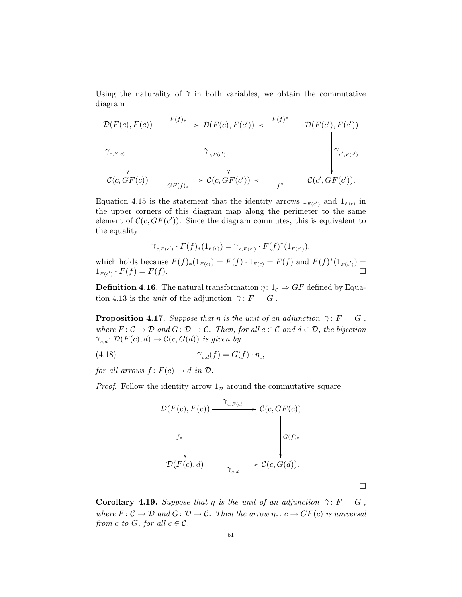Using the naturality of  $\gamma$  in both variables, we obtain the commutative diagram

$$
\mathcal{D}(F(c), F(c)) \xrightarrow{F(f)_{*}} \mathcal{D}(F(c), F(c')) \xleftarrow{F(f)^{*}} \mathcal{D}(F(c'), F(c'))
$$
\n
$$
\gamma_{c, F(c')} \downarrow \gamma_{c, F(c')} \downarrow \gamma_{c', F(c')} \downarrow \gamma_{c', F(c')} \downarrow \gamma_{c', F(c')} \downarrow \gamma_{c', F(c')} \downarrow \gamma_{c', F(c')} \downarrow \gamma_{c', F(c')} \downarrow \gamma_{c', F(c')} \downarrow \gamma_{c', F(c')} \downarrow \gamma_{c', F(c')} \downarrow \gamma_{c', F(c')} \downarrow \gamma_{c', F(c')} \downarrow \gamma_{c', F(c')} \downarrow \gamma_{c', F(c')} \downarrow \gamma_{c', F(c')} \downarrow \gamma_{c', F(c')} \downarrow \gamma_{c', F(c')} \downarrow \gamma_{c', F(c')} \downarrow \gamma_{c', F(c')} \downarrow \gamma_{c', F(c')} \downarrow \gamma_{c', F(c')} \downarrow \gamma_{c', F(c')} \downarrow \gamma_{c', F(c')} \downarrow \gamma_{c', F(c')} \downarrow \gamma_{c', F(c')} \downarrow \gamma_{c', F(c')} \downarrow \gamma_{c', F(c')} \downarrow \gamma_{c', F(c')} \downarrow \gamma_{c', F(c')} \downarrow \gamma_{c', F(c')} \downarrow \gamma_{c', F(c')} \downarrow \gamma_{c', F(c')} \downarrow \gamma_{c', F(c')} \downarrow \gamma_{c', F(c')} \downarrow \gamma_{c', F(c')} \downarrow \gamma_{c', F(c')} \downarrow \gamma_{c', F(c')} \downarrow \gamma_{c', F(c')} \downarrow \gamma_{c', F(c')} \downarrow \gamma_{c', F(c')} \downarrow \gamma_{c', F(c')} \downarrow \gamma_{c', F(c')} \downarrow \gamma_{c', F(c')} \downarrow \gamma_{c', F(c')} \downarrow \gamma_{c', F(c')} \downarrow \gamma_{c', F(c')} \downarrow \gamma_{c', F(c')} \downarrow \gamma_{c', F(c')} \downarrow \gamma_{c', F(c')} \downarrow \gamma_{c', F(c')} \downarrow \gamma_{c', F(c')} \downarrow \gamma_{c', F(c')} \downarrow \gamma_{c', F(c')} \downarrow \gamma_{c', F(c')} \downarrow \gamma_{c', F(c')} \downarrow \gamma_{c', F(c')} \downarrow \gamma_{c', F(c')} \downarrow \gamma_{c', F(c')} \downarrow \gamma_{c', F(c')} \downarrow \gamma_{c', F(c')} \downarrow \gamma_{c', F(c')} \downarrow \gamma_{c', F(c')} \downarrow \gamma
$$

Equation 4.15 is the statement that the identity arrows  $1_{F(c')}$  and  $1_{F(c)}$  in the upper corners of this diagram map along the perimeter to the same element of  $\mathcal{C}(c, GF(c'))$ . Since the diagram commutes, this is equivalent to the equality

$$
\gamma_{c,F(c')} \cdot F(f)_*(1_{F(c)}) = \gamma_{c,F(c')} \cdot F(f)^*(1_{F(c')}),
$$

which holds because  $F(f)_*(1_{F(c)}) = F(f) \cdot 1_{F(c)} = F(f)$  and  $F(f)^*(1_{F(c)}) =$  $1_{F(c')}$  $\cdot F(f) = F(f).$ 

**Definition 4.16.** The natural transformation  $\eta: 1_c \Rightarrow GF$  defined by Equation 4.13 is the *unit* of the adjunction  $\gamma: F \to G$ .

**Proposition 4.17.** Suppose that  $\eta$  is the unit of an adjunction  $\gamma: F \to G$ , where  $F: \mathcal{C} \to \mathcal{D}$  and  $G: \mathcal{D} \to \mathcal{C}$ . Then, for all  $c \in \mathcal{C}$  and  $d \in \mathcal{D}$ , the bijection  $\gamma_{c,d} : \mathcal{D}(F(c), d) \to \mathcal{C}(c, G(d))$  is given by

(4.18) 
$$
\gamma_{c,d}(f) = G(f) \cdot \eta_c,
$$

for all arrows  $f: F(c) \to d$  in  $\mathcal{D}$ .

*Proof.* Follow the identity arrow  $1<sub>D</sub>$  around the commutative square



 $\Box$ 

Corollary 4.19. Suppose that  $\eta$  is the unit of an adjunction  $\gamma: F \to G$ , where  $F: \mathcal{C} \to \mathcal{D}$  and  $G: \mathcal{D} \to \mathcal{C}$ . Then the arrow  $\eta_c: c \to GF(c)$  is universal from c to G, for all  $c \in \mathcal{C}$ .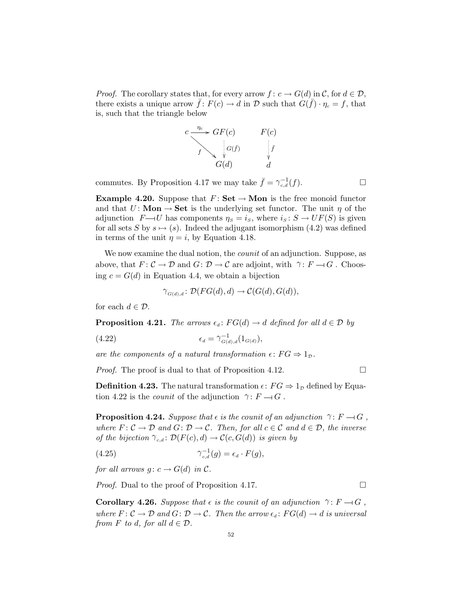*Proof.* The corollary states that, for every arrow  $f: c \to G(d)$  in C, for  $d \in \mathcal{D}$ , there exists a unique arrow  $\bar{f}: F(c) \to d$  in  $\mathcal D$  such that  $G(\bar{f}) \cdot \eta_c = f$ , that is, such that the triangle below

$$
c \xrightarrow{ \eta_c } GF(c) \qquad F(c) \n f \searrow^{\text{if } G(\bar{f})} \qquad \text{if } \\ G(d) \qquad d
$$

commutes. By Proposition 4.17 we may take  $\bar{f} = \gamma_{c,d}^{-1}(f)$ .

**Example 4.20.** Suppose that  $F:$  Set  $\rightarrow$  **Mon** is the free monoid functor and that  $U: \mathbf{Mon} \to \mathbf{Set}$  is the underlying set functor. The unit  $\eta$  of the adjunction  $F \rightarrow U$  has components  $\eta_s = i_s$ , where  $i_s : S \rightarrow UF(S)$  is given for all sets S by  $s \mapsto (s)$ . Indeed the adjugant isomorphism (4.2) was defined in terms of the unit  $\eta = i$ , by Equation 4.18.

We now examine the dual notion, the *counit* of an adjunction. Suppose, as above, that  $F: \mathcal{C} \to \mathcal{D}$  and  $G: \mathcal{D} \to \mathcal{C}$  are adjoint, with  $\gamma: F \to G$ . Choosing  $c = G(d)$  in Equation 4.4, we obtain a bijection

$$
\gamma_{G(d),d} \colon \mathcal{D}(FG(d),d) \to \mathcal{C}(G(d),G(d)),
$$

for each  $d \in \mathcal{D}$ .

**Proposition 4.21.** The arrows  $\epsilon_d$ :  $FG(d) \rightarrow d$  defined for all  $d \in \mathcal{D}$  by

(4.22) 
$$
\epsilon_d = \gamma_{G(d),d}^{-1}(1_{G(d)}),
$$

are the components of a natural transformation  $\epsilon: FG \Rightarrow 1_D$ .

*Proof.* The proof is dual to that of Proposition 4.12.

**Definition 4.23.** The natural transformation  $\epsilon$ :  $FG \Rightarrow 1_D$  defined by Equation 4.22 is the *counit* of the adjunction  $\gamma : F \longrightarrow G$ .

**Proposition 4.24.** Suppose that  $\epsilon$  is the counit of an adjunction  $\gamma: F \to G$ , where  $F: \mathcal{C} \to \mathcal{D}$  and  $G: \mathcal{D} \to \mathcal{C}$ . Then, for all  $c \in \mathcal{C}$  and  $d \in \mathcal{D}$ , the inverse of the bijection  $\gamma_{c,d} : \mathcal{D}(F(c), d) \to \mathcal{C}(c, G(d))$  is given by

(4.25) 
$$
\gamma_{c,d}^{-1}(g) = \epsilon_d \cdot F(g),
$$

for all arrows  $g: c \to G(d)$  in C.

*Proof.* Dual to the proof of Proposition 4.17.

**Corollary 4.26.** Suppose that  $\epsilon$  is the counit of an adjunction  $\gamma : F \to G$ , where  $F: \mathcal{C} \to \mathcal{D}$  and  $G: \mathcal{D} \to \mathcal{C}$ . Then the arrow  $\epsilon_d: FG(d) \to d$  is universal from F to d, for all  $d \in \mathcal{D}$ .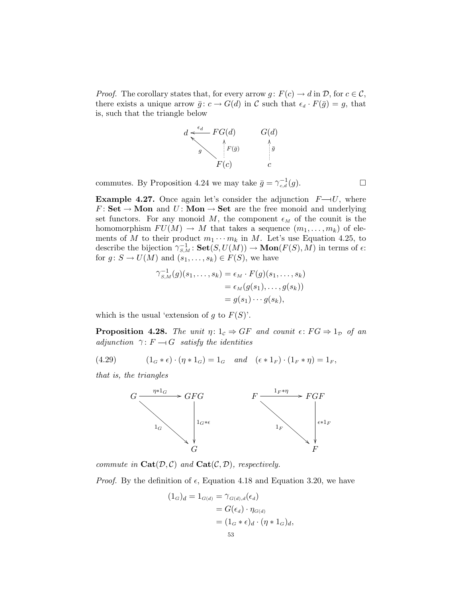*Proof.* The corollary states that, for every arrow  $g: F(c) \to d$  in  $\mathcal{D}$ , for  $c \in \mathcal{C}$ , there exists a unique arrow  $\bar{g}$ :  $c \to G(d)$  in C such that  $\epsilon_d \cdot F(\bar{g}) = g$ , that is, such that the triangle below



commutes. By Proposition 4.24 we may take  $\bar{g} = \gamma_{c,d}^{-1}(g)$ .

**Example 4.27.** Once again let's consider the adjunction  $F \rightarrow U$ , where  $F: \mathbf{Set} \to \mathbf{Mon}$  and  $U: \mathbf{Mon} \to \mathbf{Set}$  are the free monoid and underlying set functors. For any monoid M, the component  $\epsilon_M$  of the counit is the homomorphism  $FU(M) \to M$  that takes a sequence  $(m_1, \ldots, m_k)$  of elements of M to their product  $m_1 \cdots m_k$  in M. Let's use Equation 4.25, to describe the bijection  $\gamma_{S,M}^{-1}$ :  $\text{Set}(S, U(M)) \to \text{Mon}(F(S), M)$  in terms of  $\epsilon$ : for  $g: S \to U(M)$  and  $(s_1, \ldots, s_k) \in F(S)$ , we have

$$
\gamma_{S,M}^{-1}(g)(s_1,\ldots,s_k) = \epsilon_M \cdot F(g)(s_1,\ldots,s_k)
$$
  
=  $\epsilon_M(g(s_1),\ldots,g(s_k))$   
=  $g(s_1)\cdots g(s_k)$ ,

which is the usual 'extension of g to  $F(S)$ '.

**Proposition 4.28.** The unit  $\eta: 1_c \Rightarrow GF$  and counit  $\epsilon: FG \Rightarrow 1_p$  of an adjunction  $\gamma: F \longrightarrow G$  satisfy the identities

(4.29)  $(1_G * \epsilon) \cdot (\eta * 1_G) = 1_G \text{ and } (\epsilon * 1_F) \cdot (1_F * \eta) = 1_F,$ 

that is, the triangles



commute in  $\mathrm{Cat}(\mathcal{D}, \mathcal{C})$  and  $\mathrm{Cat}(\mathcal{C}, \mathcal{D})$ , respectively.

*Proof.* By the definition of  $\epsilon$ , Equation 4.18 and Equation 3.20, we have

$$
(1_G)_d = 1_{G(d)} = \gamma_{G(d),d}(\epsilon_d)
$$
  
=  $G(\epsilon_d) \cdot \eta_{G(d)}$   
=  $(1_G * \epsilon)_d \cdot (\eta * 1_G)_d$ ,  
<sub>53</sub>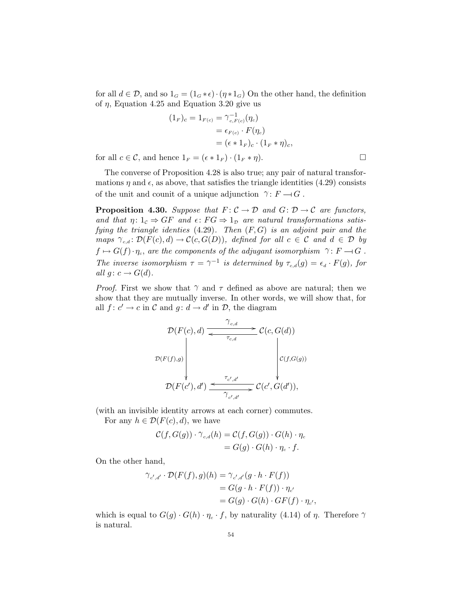for all  $d \in \mathcal{D}$ , and so  $1_G = (1_G * \epsilon) \cdot (\eta * 1_G)$  On the other hand, the definition of  $\eta$ , Equation 4.25 and Equation 3.20 give us

$$
(1_F)_c = 1_{F(c)} = \gamma_{c,F(c)}^{-1}(\eta_c)
$$
  
=  $\epsilon_{F(c)} \cdot F(\eta_c)$   
=  $(\epsilon * 1_F)_c \cdot (1_F * \eta)_c$ ,

for all  $c \in \mathcal{C}$ , and hence  $1_F = (\epsilon * 1_F) \cdot (1_F * \eta)$ .

The converse of Proposition 4.28 is also true; any pair of natural transformations  $\eta$  and  $\epsilon$ , as above, that satisfies the triangle identities (4.29) consists of the unit and counit of a unique adjunction  $\gamma: F \longrightarrow G$ .

**Proposition 4.30.** Suppose that  $F: \mathcal{C} \to \mathcal{D}$  and  $G: \mathcal{D} \to \mathcal{C}$  are functors, and that  $\eta: 1_c \Rightarrow GF$  and  $\epsilon: FG \Rightarrow 1_p$  are natural transformations satisfying the triangle identies  $(4.29)$ . Then  $(F, G)$  is an adjoint pair and the maps  $\gamma_{c,d} : \mathcal{D}(F(c), d) \to \mathcal{C}(c, G(D))$ , defined for all  $c \in \mathcal{C}$  and  $d \in \mathcal{D}$  by  $f \mapsto G(f) \cdot \eta_c$ , are the components of the adjugant isomorphism  $\gamma : F \longrightarrow G$ . The inverse isomorphism  $\tau = \gamma^{-1}$  is determined by  $\tau_{c,d}(g) = \epsilon_d \cdot F(g)$ , for all  $g: c \to G(d)$ .

*Proof.* First we show that  $\gamma$  and  $\tau$  defined as above are natural; then we show that they are mutually inverse. In other words, we will show that, for all  $f: c' \to c$  in C and  $g: d \to d'$  in D, the diagram

$$
\mathcal{D}(F(c), d) \xrightarrow{\gamma_{c,d}} \mathcal{C}(c, G(d))
$$
\n
$$
\mathcal{D}(F(f), g) \downarrow \qquad \downarrow \qquad \downarrow \qquad \downarrow \qquad \downarrow \qquad \downarrow \qquad \downarrow \qquad \downarrow \qquad \downarrow \qquad \downarrow \qquad \downarrow \qquad \downarrow \qquad \downarrow \qquad \downarrow \qquad \downarrow \qquad \downarrow \qquad \downarrow \qquad \downarrow \qquad \downarrow \qquad \downarrow \qquad \downarrow \qquad \downarrow \qquad \downarrow \qquad \downarrow \qquad \downarrow \qquad \downarrow \qquad \downarrow \qquad \downarrow \qquad \downarrow \qquad \downarrow \qquad \downarrow \qquad \downarrow \qquad \downarrow \qquad \downarrow \qquad \downarrow \qquad \downarrow \qquad \downarrow \qquad \downarrow \qquad \downarrow \qquad \downarrow \qquad \downarrow \qquad \downarrow \qquad \downarrow \qquad \downarrow \qquad \downarrow \qquad \downarrow \qquad \downarrow \qquad \downarrow \qquad \downarrow \qquad \downarrow \qquad \downarrow \qquad \downarrow \qquad \downarrow \qquad \downarrow \qquad \downarrow \qquad \downarrow \qquad \downarrow \qquad \downarrow \qquad \downarrow \qquad \downarrow \qquad \downarrow \qquad \downarrow \qquad \downarrow \qquad \downarrow \qquad \downarrow \qquad \downarrow \qquad \downarrow \qquad \downarrow \qquad \downarrow \qquad \downarrow \qquad \downarrow \qquad \downarrow \qquad \downarrow \qquad \downarrow \qquad \downarrow \qquad \downarrow \qquad \downarrow \qquad \downarrow \qquad \downarrow \qquad \downarrow \qquad \downarrow \qquad \downarrow \qquad \downarrow \qquad \downarrow \qquad \downarrow \qquad \downarrow \qquad \downarrow \qquad \downarrow \qquad \downarrow \qquad \downarrow \qquad \downarrow \qquad \downarrow \qquad \downarrow \qquad \downarrow \qquad \downarrow \qquad \downarrow \qquad \downarrow \qquad \downarrow \qquad \downarrow \qquad \downarrow \qquad \downarrow \qquad \downarrow \qquad \downarrow \qquad \downarrow \qquad \downarrow \qquad \downarrow \qquad \downarrow \qquad \downarrow \qquad \downarrow \qquad \downarrow \qquad \downarrow \qquad \downarrow \qquad \downarrow \qquad \downarrow \qquad \downarrow \qquad \downarrow \qquad \downarrow \qquad \downarrow \qquad \
$$

(with an invisible identity arrows at each corner) commutes.

For any  $h \in \mathcal{D}(F(c), d)$ , we have

$$
\mathcal{C}(f, G(g)) \cdot \gamma_{c,d}(h) = \mathcal{C}(f, G(g)) \cdot G(h) \cdot \eta_c
$$
  
= 
$$
G(g) \cdot G(h) \cdot \eta_c \cdot f.
$$

On the other hand,

$$
\gamma_{c',d'} \cdot \mathcal{D}(F(f),g)(h) = \gamma_{c',d'}(g \cdot h \cdot F(f))
$$
  
=  $G(g \cdot h \cdot F(f)) \cdot \eta_{c'}$   
=  $G(g) \cdot G(h) \cdot GF(f) \cdot \eta_{c'}$ ,

which is equal to  $G(g) \cdot G(h) \cdot \eta_c \cdot f$ , by naturality (4.14) of  $\eta$ . Therefore  $\gamma$ is natural.

$$
\qquad \qquad \Box
$$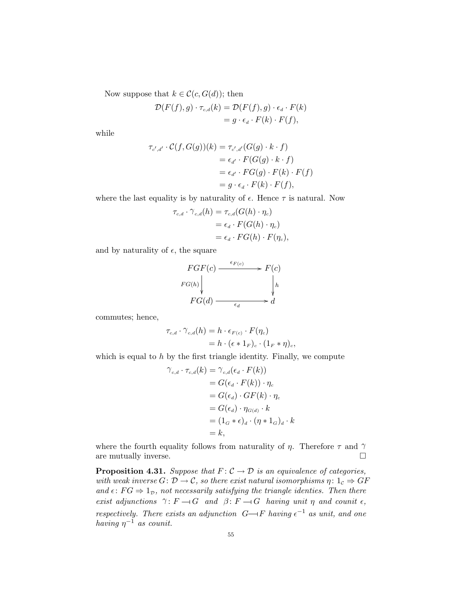Now suppose that  $k \in \mathcal{C}(c, G(d))$ ; then

$$
\mathcal{D}(F(f), g) \cdot \tau_{c,d}(k) = \mathcal{D}(F(f), g) \cdot \epsilon_d \cdot F(k)
$$
  
=  $g \cdot \epsilon_d \cdot F(k) \cdot F(f),$ 

while

$$
\tau_{c',d'} \cdot C(f, G(g))(k) = \tau_{c',d'}(G(g) \cdot k \cdot f)
$$
  
=  $\epsilon_{d'} \cdot F(G(g) \cdot k \cdot f)$   
=  $\epsilon_{d'} \cdot FG(g) \cdot F(k) \cdot F(f)$   
=  $g \cdot \epsilon_d \cdot F(k) \cdot F(f)$ ,

where the last equality is by naturality of  $\epsilon$ . Hence  $\tau$  is natural. Now

$$
\tau_{c,d} \cdot \gamma_{c,d}(h) = \tau_{c,d}(G(h) \cdot \eta_c)
$$
  
=  $\epsilon_d \cdot F(G(h) \cdot \eta_c)$   
=  $\epsilon_d \cdot FG(h) \cdot F(\eta_c)$ ,

and by naturality of  $\epsilon$ , the square

$$
FGF(c) \xrightarrow{\epsilon_{F(c)}} F(c)
$$
  

$$
FG(h) \downarrow \qquad \qquad \downarrow h
$$
  

$$
FG(d) \xrightarrow{\epsilon_d} d
$$

commutes; hence,

$$
\tau_{c,d} \cdot \gamma_{c,d}(h) = h \cdot \epsilon_{F(c)} \cdot F(\eta_c)
$$
  
=  $h \cdot (\epsilon * 1_F)_c \cdot (1_F * \eta)_c$ ,

which is equal to  $h$  by the first triangle identity. Finally, we compute

$$
\gamma_{c,d} \cdot \tau_{c,d}(k) = \gamma_{c,d}(\epsilon_d \cdot F(k))
$$
  
=  $G(\epsilon_d \cdot F(k)) \cdot \eta_c$   
=  $G(\epsilon_d) \cdot GF(k) \cdot \eta_c$   
=  $G(\epsilon_d) \cdot \eta_{G(d)} \cdot k$   
=  $(1_G * \epsilon)_d \cdot (\eta * 1_G)_d \cdot k$   
=  $k$ ,

where the fourth equality follows from naturality of  $\eta$ . Therefore  $\tau$  and  $\gamma$ are mutually inverse.  $\Box$ 

**Proposition 4.31.** Suppose that  $F: \mathcal{C} \to \mathcal{D}$  is an equivalence of categories, with weak inverse  $G: \mathcal{D} \to \mathcal{C}$ , so there exist natural isomorphisms  $\eta: 1_c \Rightarrow GF$ and  $\epsilon$ :  $FG \Rightarrow 1_D$ , not necessarily satisfying the triangle identies. Then there exist adjunctions  $\gamma: F \longrightarrow G$  and  $\beta: F \longrightarrow G$  having unit  $\eta$  and counit  $\epsilon$ , respectively. There exists an adjunction  $G \rightarrow F$  having  $\epsilon^{-1}$  as unit, and one having  $\eta^{-1}$  as counit.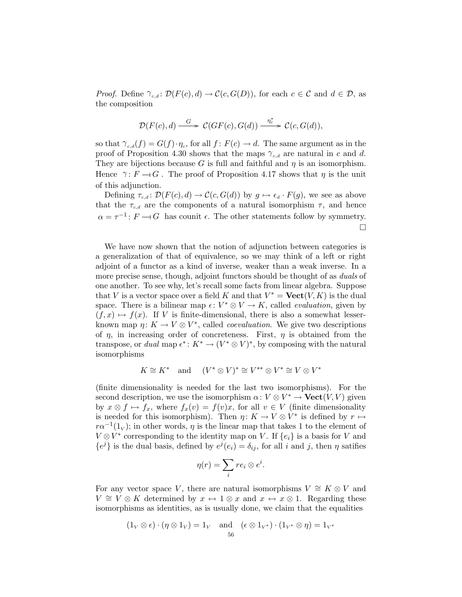*Proof.* Define  $\gamma_{c,d} : \mathcal{D}(F(c), d) \to \mathcal{C}(c, G(D))$ , for each  $c \in \mathcal{C}$  and  $d \in \mathcal{D}$ , as the composition

$$
\mathcal{D}(F(c),d) \xrightarrow{G} \mathcal{C}(GF(c),G(d)) \xrightarrow{\eta_c^*} \mathcal{C}(c,G(d)),
$$

so that  $\gamma_{c,d}(f) = G(f) \cdot \eta_c$ , for all  $f: F(c) \to d$ . The same argument as in the proof of Proposition 4.30 shows that the maps  $\gamma_{c,d}$  are natural in c and d. They are bijections because G is full and faithful and  $\eta$  is an isomorphism. Hence  $\gamma: F \to G$ . The proof of Proposition 4.17 shows that  $\eta$  is the unit of this adjunction.

Defining  $\tau_{c,d} : \mathcal{D}(F(c), d) \to \mathcal{C}(c, G(d))$  by  $g \mapsto \epsilon_d \cdot F(g)$ , we see as above that the  $\tau_{c,d}$  are the components of a natural isomorphism  $\tau$ , and hence  $\alpha = \tau^{-1} : F \longrightarrow G$  has counit  $\epsilon$ . The other statements follow by symmetry.  $\Box$ 

We have now shown that the notion of adjunction between categories is a generalization of that of equivalence, so we may think of a left or right adjoint of a functor as a kind of inverse, weaker than a weak inverse. In a more precise sense, though, adjoint functors should be thought of as *duals* of one another. To see why, let's recall some facts from linear algebra. Suppose that V is a vector space over a field K and that  $V^* = \textbf{Vect}(V, K)$  is the dual space. There is a bilinear map  $\epsilon: V^* \otimes V \to K$ , called *evaluation*, given by  $(f, x) \mapsto f(x)$ . If V is finite-dimensional, there is also a somewhat lesserknown map  $\eta: K \to V \otimes V^*$ , called *coevaluation*. We give two descriptions of  $\eta$ , in increasing order of concreteness. First,  $\eta$  is obtained from the transpose, or *dual* map  $\epsilon^*: K^* \to (V^* \otimes V)^*$ , by composing with the natural isomorphisms

$$
K \cong K^* \quad \text{and} \quad (V^* \otimes V)^* \cong V^{**} \otimes V^* \cong V \otimes V^*
$$

(finite dimensionality is needed for the last two isomorphisms). For the second description, we use the isomorphism  $\alpha: V \otimes V^* \to \textbf{Vect}(V, V)$  given by  $x \otimes f \mapsto f_x$ , where  $f_x(v) = f(v)x$ , for all  $v \in V$  (finite dimensionality is needed for this isomorphism). Then  $\eta: K \to V \otimes V^*$  is defined by  $r \mapsto$  $r\alpha^{-1}(1_V)$ ; in other words,  $\eta$  is the linear map that takes 1 to the element of  $V \otimes V^*$  corresponding to the identity map on V. If  $\{e_i\}$  is a basis for V and  ${e^{j}}$  is the dual basis, defined by  $e^{j}(e_i) = \delta_{ij}$ , for all i and j, then  $\eta$  satifies

$$
\eta(r) = \sum_i re_i \otimes e^i.
$$

For any vector space V, there are natural isomorphisms  $V \cong K \otimes V$  and  $V \cong V \otimes K$  determined by  $x \leftrightarrow 1 \otimes x$  and  $x \leftrightarrow x \otimes 1$ . Regarding these isomorphisms as identities, as is usually done, we claim that the equalities

$$
(1_V \otimes \epsilon) \cdot (\eta \otimes 1_V) = 1_V \quad \text{and} \quad (\epsilon \otimes 1_{V^*}) \cdot (1_{V^*} \otimes \eta) = 1_{V^*}
$$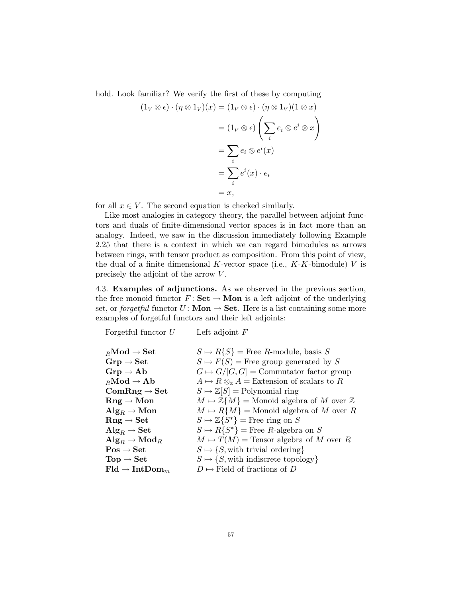hold. Look familiar? We verify the first of these by computing

$$
(1_V \otimes \epsilon) \cdot (\eta \otimes 1_V)(x) = (1_V \otimes \epsilon) \cdot (\eta \otimes 1_V)(1 \otimes x)
$$

$$
= (1_V \otimes \epsilon) \left(\sum_i e_i \otimes e^i \otimes x\right)
$$

$$
= \sum_i e_i \otimes e^i(x)
$$

$$
= \sum_i e^i(x) \cdot e_i
$$

$$
= x,
$$

for all  $x \in V$ . The second equation is checked similarly.

Forgetful functor  $U$  Left adjoint  $F$ 

Like most analogies in category theory, the parallel between adjoint functors and duals of finite-dimensional vector spaces is in fact more than an analogy. Indeed, we saw in the discussion immediately following Example 2.25 that there is a context in which we can regard bimodules as arrows between rings, with tensor product as composition. From this point of view, the dual of a finite dimensional K-vector space (i.e.,  $K$ -K-bimodule) V is precisely the adjoint of the arrow V.

4.3. Examples of adjunctions. As we observed in the previous section, the free monoid functor  $F : Set \to Mon$  is a left adjoint of the underlying set, or *forgetful* functor  $U: \mathbf{Mon} \to \mathbf{Set}$ . Here is a list containing some more examples of forgetful functors and their left adjoints:

| ${}_{R}\textbf{Mod} \rightarrow \textbf{Set}$ | $S \mapsto R\{S\}$ = Free R-module, basis S                       |
|-----------------------------------------------|-------------------------------------------------------------------|
| $\mathbf{Grp} \rightarrow \mathbf{Set}$       | $S \mapsto F(S)$ = Free group generated by S                      |
| $Grp \rightarrow Ab$                          | $G \mapsto G/[G,G] =$ Commutator factor group                     |
| $_R\mathrm{Mod}\to\mathrm{Ab}$                | $A \mapsto R \otimes_{\mathbb{Z}} A$ = Extension of scalars to R  |
| $ComRng \rightarrow Set$                      | $S \mapsto \mathbb{Z}[S] =$ Polynomial ring                       |
| $\mathrm{Rng} \to \mathrm{Mon}$               | $M \mapsto \mathbb{Z}{M}$ = Monoid algebra of M over $\mathbb{Z}$ |
| $\mathbf{Alg}_R \to \mathbf{Mon}$             | $M \mapsto R\{M\}$ = Monoid algebra of M over R                   |
| $\mathbf{Rng} \rightarrow \mathbf{Set}$       | $S \mapsto \mathbb{Z}\lbrace S^* \rbrace$ = Free ring on S        |
| $\mathbf{Alg}_R \to \mathbf{Set}$             | $S \mapsto R\{S^*\}$ = Free R-algebra on S                        |
| $\mathbf{Alg}_R \to \mathbf{Mod}_R$           | $M \mapsto T(M)$ = Tensor algebra of M over R                     |
| $Pos \rightarrow Set$                         | $S \mapsto \{S$ , with trivial ordering}                          |
| $\operatorname{Top} \to \operatorname{Set}$   | $S \mapsto \{S, \text{with } \text{indiscrete topology}\}\$       |
| $\mathrm{Fld} \to \mathrm{Int}\mathrm{Dom}_m$ | $D \mapsto$ Field of fractions of D                               |
|                                               |                                                                   |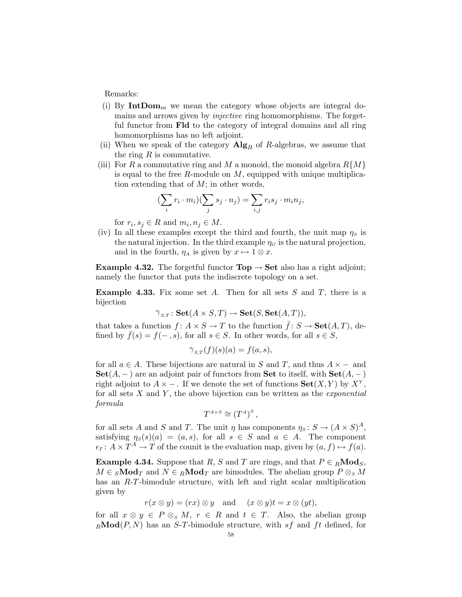Remarks:

- (i) By  $\text{IntDom}_{m}$  we mean the category whose objects are integral domains and arrows given by injective ring homomorphisms. The forgetful functor from Fld to the category of integral domains and all ring homomorphisms has no left adjoint.
- (ii) When we speak of the category  $\mathbf{Alg}_R$  of R-algebras, we assume that the ring  $R$  is commutative.
- (iii) For R a commutative ring and M a monoid, the monoid algebra  $R\{M\}$ is equal to the free R-module on  $M$ , equipped with unique multiplication extending that of  $M$ ; in other words,

$$
(\sum_i r_i \cdot m_i)(\sum_j s_j \cdot n_j) = \sum_{i,j} r_i s_j \cdot m_i n_j,
$$

for  $r_i, s_j \in R$  and  $m_i, n_j \in M$ .

(iv) In all these examples except the third and fourth, the unit map  $\eta_s$  is the natural injection. In the third example  $\eta_G$  is the natural projection, and in the fourth,  $\eta_A$  is given by  $x \mapsto 1 \otimes x$ .

**Example 4.32.** The forgetful functor  $Top \rightarrow Set$  also has a right adjoint; namely the functor that puts the indiscrete topology on a set.

**Example 4.33.** Fix some set A. Then for all sets S and T, there is a bijection

$$
\gamma_{S,T} \colon \mathbf{Set}(A \times S, T) \to \mathbf{Set}(S, \mathbf{Set}(A, T)),
$$

that takes a function  $f: A \times S \to T$  to the function  $\bar{f}: S \to \textbf{Set}(A, T)$ , defined by  $\bar{f}(s) = f(-, s)$ , for all  $s \in S$ . In other words, for all  $s \in S$ ,

$$
\gamma_{s,T}(f)(s)(a) = f(a,s),
$$

for all  $a \in A$ . These bijections are natural in S and T, and thus  $A \times -$  and  $\mathbf{Set}(A, -)$  are an adjoint pair of functors from Set to itself, with  $\mathbf{Set}(A, -)$ right adjoint to  $A \times -$ . If we denote the set of functions  $\mathbf{Set}(X, Y)$  by  $X^Y$ , for all sets  $X$  and  $Y$ , the above bijection can be written as the *exponential* formula

$$
T^{A\times S} \cong (T^A)^S,
$$

for all sets A and S and T. The unit  $\eta$  has components  $\eta_s : S \to (A \times S)^A$ , satisfying  $\eta_S(s)(a) = (a, s)$ , for all  $s \in S$  and  $a \in A$ . The component  $\epsilon_T: A \times T^A \to T$  of the counit is the evaluation map, given by  $(a, f) \mapsto f(a)$ .

**Example 4.34.** Suppose that R, S and T are rings, and that  $P \in {}_R\text{Mod}_S$ ,  $M \in {}_S \textbf{Mod}_T$  and  $N \in {}_R \textbf{Mod}_T$  are bimodules. The abelian group  $P \otimes_S M$ has an R-T-bimodule structure, with left and right scalar multiplication given by

$$
r(x \otimes y) = (rx) \otimes y \quad \text{and} \quad (x \otimes y)t = x \otimes (yt),
$$

for all  $x \otimes y \in P \otimes_S M$ ,  $r \in R$  and  $t \in T$ . Also, the abelian group  $_R\textbf{Mod}(P, N)$  has an S-T-bimodule structure, with sf and ft defined, for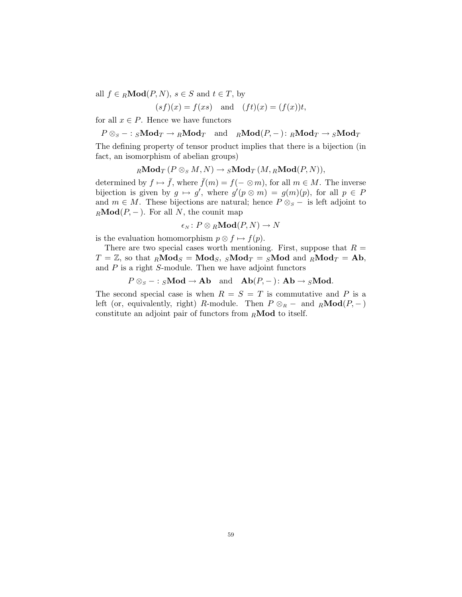all  $f \in {}_R\textbf{Mod}(P, N), s \in S$  and  $t \in T$ , by

$$
(sf)(x) = f(xs) \quad \text{and} \quad (ft)(x) = (f(x))t,
$$

for all  $x \in P$ . Hence we have functors

 $P \otimes_S - :_{S} \text{Mod}_T \to {}_{R} \text{Mod}_T$  and  ${}_R \text{Mod}(P, -) :_{R} \text{Mod}_T \to {}_{S} \text{Mod}_T$ 

The defining property of tensor product implies that there is a bijection (in fact, an isomorphism of abelian groups)

$$
{}_{R}\mathbf{Mod}_{T}(P \otimes_{S} M, N) \to {}_{S}\mathbf{Mod}_{T}(M, {}_{R}\mathbf{Mod}(P, N)),
$$

determined by  $f \mapsto \bar{f}$ , where  $\bar{f}(m) = f(- \otimes m)$ , for all  $m \in M$ . The inverse bijection is given by  $g \mapsto g'$ , where  $g'(p \otimes m) = g(m)(p)$ , for all  $p \in P$ and  $m \in M$ . These bijections are natural; hence  $P \otimes_S -$  is left adjoint to  $_R\textbf{Mod}(P, -)$ . For all N, the counit map

$$
\epsilon_N\colon P\otimes_R \mathbf{Mod}(P,N)\to N
$$

is the evaluation homomorphism  $p \otimes f \mapsto f(p)$ .

There are two special cases worth mentioning. First, suppose that  $R =$  $T = \mathbb{Z}$ , so that  $R\textbf{Mod}_S = \textbf{Mod}_S$ ,  $S\textbf{Mod}_T = S\textbf{Mod}$  and  $R\textbf{Mod}_T = \textbf{Ab}$ , and  $P$  is a right  $S$ -module. Then we have adjoint functors

 $P \otimes_S - : S \textbf{Mod} \to \textbf{Ab} \text{ and } \textbf{Ab}(P, -) : \textbf{Ab} \to S \textbf{Mod}.$ 

The second special case is when  $R = S = T$  is commutative and P is a left (or, equivalently, right) R-module. Then  $P \otimes_R -$  and  $_R \text{Mod}(P, -)$ constitute an adjoint pair of functors from  $_R\textbf{Mod}$  to itself.